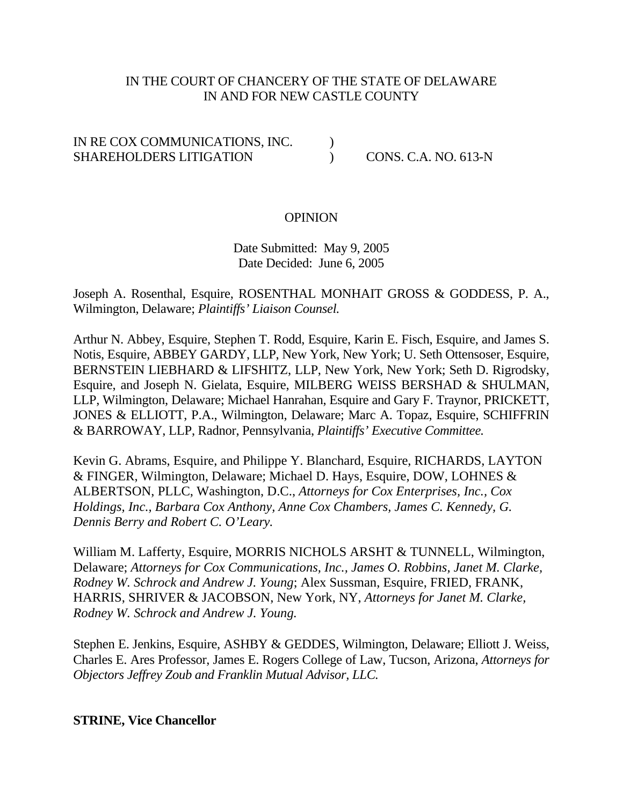## IN THE COURT OF CHANCERY OF THE STATE OF DELAWARE IN AND FOR NEW CASTLE COUNTY

IN RE COX COMMUNICATIONS, INC. SHAREHOLDERS LITIGATION (CONS. C.A. NO. 613-N

### OPINION

## Date Submitted: May 9, 2005 Date Decided: June 6, 2005

Joseph A. Rosenthal, Esquire, ROSENTHAL MONHAIT GROSS & GODDESS, P. A., Wilmington, Delaware; *Plaintiffs' Liaison Counsel.* 

Arthur N. Abbey, Esquire, Stephen T. Rodd, Esquire, Karin E. Fisch, Esquire, and James S. Notis, Esquire, ABBEY GARDY, LLP, New York, New York; U. Seth Ottensoser, Esquire, BERNSTEIN LIEBHARD & LIFSHITZ, LLP, New York, New York; Seth D. Rigrodsky, Esquire, and Joseph N. Gielata, Esquire, MILBERG WEISS BERSHAD & SHULMAN, LLP, Wilmington, Delaware; Michael Hanrahan, Esquire and Gary F. Traynor, PRICKETT, JONES & ELLIOTT, P.A., Wilmington, Delaware; Marc A. Topaz, Esquire, SCHIFFRIN & BARROWAY, LLP, Radnor, Pennsylvania, *Plaintiffs' Executive Committee.* 

Kevin G. Abrams, Esquire, and Philippe Y. Blanchard, Esquire, RICHARDS, LAYTON & FINGER, Wilmington, Delaware; Michael D. Hays, Esquire, DOW, LOHNES & ALBERTSON, PLLC, Washington, D.C., *Attorneys for Cox Enterprises, Inc., Cox Holdings, Inc., Barbara Cox Anthony, Anne Cox Chambers, James C. Kennedy, G. Dennis Berry and Robert C. O'Leary.* 

William M. Lafferty, Esquire, MORRIS NICHOLS ARSHT & TUNNELL, Wilmington, Delaware; *Attorneys for Cox Communications, Inc., James O. Robbins, Janet M. Clarke, Rodney W. Schrock and Andrew J. Young*; Alex Sussman, Esquire, FRIED, FRANK, HARRIS, SHRIVER & JACOBSON, New York, NY, *Attorneys for Janet M. Clarke, Rodney W. Schrock and Andrew J. Young.*

Stephen E. Jenkins, Esquire, ASHBY & GEDDES, Wilmington, Delaware; Elliott J. Weiss, Charles E. Ares Professor, James E. Rogers College of Law, Tucson, Arizona, *Attorneys for Objectors Jeffrey Zoub and Franklin Mutual Advisor, LLC.* 

**STRINE, Vice Chancellor**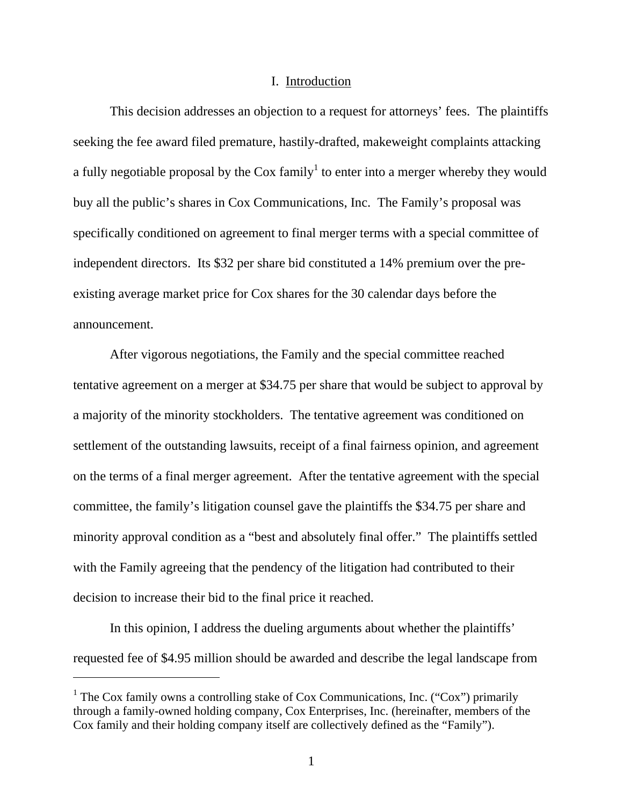#### I. Introduction

 This decision addresses an objection to a request for attorneys' fees. The plaintiffs seeking the fee award filed premature, hastily-drafted, makeweight complaints attacking a fully negotiable proposal by the Cox family<sup>1</sup> to enter into a merger whereby they would buy all the public's shares in Cox Communications, Inc. The Family's proposal was specifically conditioned on agreement to final merger terms with a special committee of independent directors. Its \$32 per share bid constituted a 14% premium over the preexisting average market price for Cox shares for the 30 calendar days before the announcement.

 After vigorous negotiations, the Family and the special committee reached tentative agreement on a merger at \$34.75 per share that would be subject to approval by a majority of the minority stockholders. The tentative agreement was conditioned on settlement of the outstanding lawsuits, receipt of a final fairness opinion, and agreement on the terms of a final merger agreement. After the tentative agreement with the special committee, the family's litigation counsel gave the plaintiffs the \$34.75 per share and minority approval condition as a "best and absolutely final offer." The plaintiffs settled with the Family agreeing that the pendency of the litigation had contributed to their decision to increase their bid to the final price it reached.

 In this opinion, I address the dueling arguments about whether the plaintiffs' requested fee of \$4.95 million should be awarded and describe the legal landscape from

<sup>&</sup>lt;sup>1</sup> The Cox family owns a controlling stake of Cox Communications, Inc. ("Cox") primarily through a family-owned holding company, Cox Enterprises, Inc. (hereinafter, members of the Cox family and their holding company itself are collectively defined as the "Family").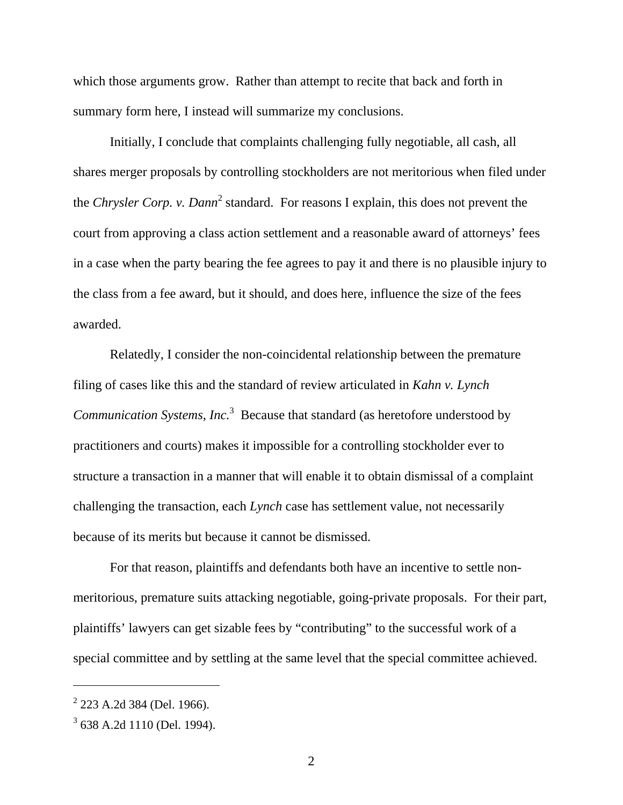which those arguments grow. Rather than attempt to recite that back and forth in summary form here, I instead will summarize my conclusions.

 Initially, I conclude that complaints challenging fully negotiable, all cash, all shares merger proposals by controlling stockholders are not meritorious when filed under the *Chrysler Corp. v. Dann*<sup>2</sup> standard. For reasons I explain, this does not prevent the court from approving a class action settlement and a reasonable award of attorneys' fees in a case when the party bearing the fee agrees to pay it and there is no plausible injury to the class from a fee award, but it should, and does here, influence the size of the fees awarded.

 Relatedly, I consider the non-coincidental relationship between the premature filing of cases like this and the standard of review articulated in *Kahn v. Lynch*  Communication Systems, Inc.<sup>3</sup> Because that standard (as heretofore understood by practitioners and courts) makes it impossible for a controlling stockholder ever to structure a transaction in a manner that will enable it to obtain dismissal of a complaint challenging the transaction, each *Lynch* case has settlement value, not necessarily because of its merits but because it cannot be dismissed.

 For that reason, plaintiffs and defendants both have an incentive to settle nonmeritorious, premature suits attacking negotiable, going-private proposals. For their part, plaintiffs' lawyers can get sizable fees by "contributing" to the successful work of a special committee and by settling at the same level that the special committee achieved.

 $2$  223 A.2d 384 (Del. 1966).

 $3$  638 A.2d 1110 (Del. 1994).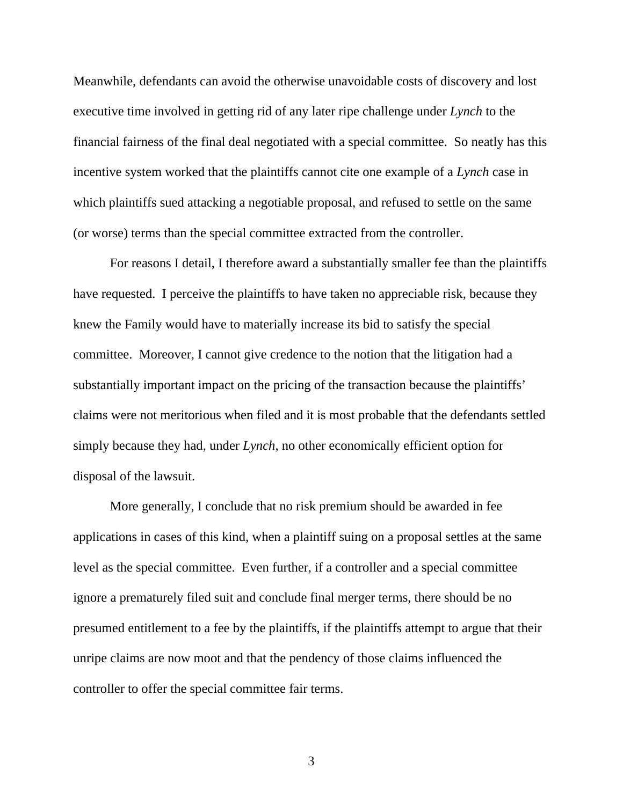Meanwhile, defendants can avoid the otherwise unavoidable costs of discovery and lost executive time involved in getting rid of any later ripe challenge under *Lynch* to the financial fairness of the final deal negotiated with a special committee. So neatly has this incentive system worked that the plaintiffs cannot cite one example of a *Lynch* case in which plaintiffs sued attacking a negotiable proposal, and refused to settle on the same (or worse) terms than the special committee extracted from the controller.

 For reasons I detail, I therefore award a substantially smaller fee than the plaintiffs have requested. I perceive the plaintiffs to have taken no appreciable risk, because they knew the Family would have to materially increase its bid to satisfy the special committee. Moreover, I cannot give credence to the notion that the litigation had a substantially important impact on the pricing of the transaction because the plaintiffs' claims were not meritorious when filed and it is most probable that the defendants settled simply because they had, under *Lynch*, no other economically efficient option for disposal of the lawsuit.

 More generally, I conclude that no risk premium should be awarded in fee applications in cases of this kind, when a plaintiff suing on a proposal settles at the same level as the special committee. Even further, if a controller and a special committee ignore a prematurely filed suit and conclude final merger terms, there should be no presumed entitlement to a fee by the plaintiffs, if the plaintiffs attempt to argue that their unripe claims are now moot and that the pendency of those claims influenced the controller to offer the special committee fair terms.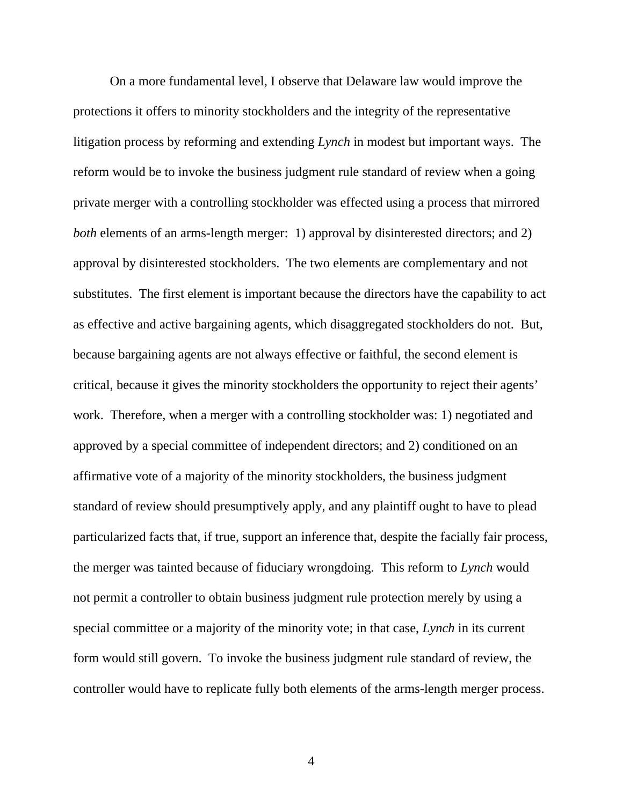On a more fundamental level, I observe that Delaware law would improve the protections it offers to minority stockholders and the integrity of the representative litigation process by reforming and extending *Lynch* in modest but important ways. The reform would be to invoke the business judgment rule standard of review when a going private merger with a controlling stockholder was effected using a process that mirrored *both* elements of an arms-length merger: 1) approval by disinterested directors; and 2) approval by disinterested stockholders. The two elements are complementary and not substitutes. The first element is important because the directors have the capability to act as effective and active bargaining agents, which disaggregated stockholders do not. But, because bargaining agents are not always effective or faithful, the second element is critical, because it gives the minority stockholders the opportunity to reject their agents' work. Therefore, when a merger with a controlling stockholder was: 1) negotiated and approved by a special committee of independent directors; and 2) conditioned on an affirmative vote of a majority of the minority stockholders, the business judgment standard of review should presumptively apply, and any plaintiff ought to have to plead particularized facts that, if true, support an inference that, despite the facially fair process, the merger was tainted because of fiduciary wrongdoing. This reform to *Lynch* would not permit a controller to obtain business judgment rule protection merely by using a special committee or a majority of the minority vote; in that case, *Lynch* in its current form would still govern. To invoke the business judgment rule standard of review, the controller would have to replicate fully both elements of the arms-length merger process.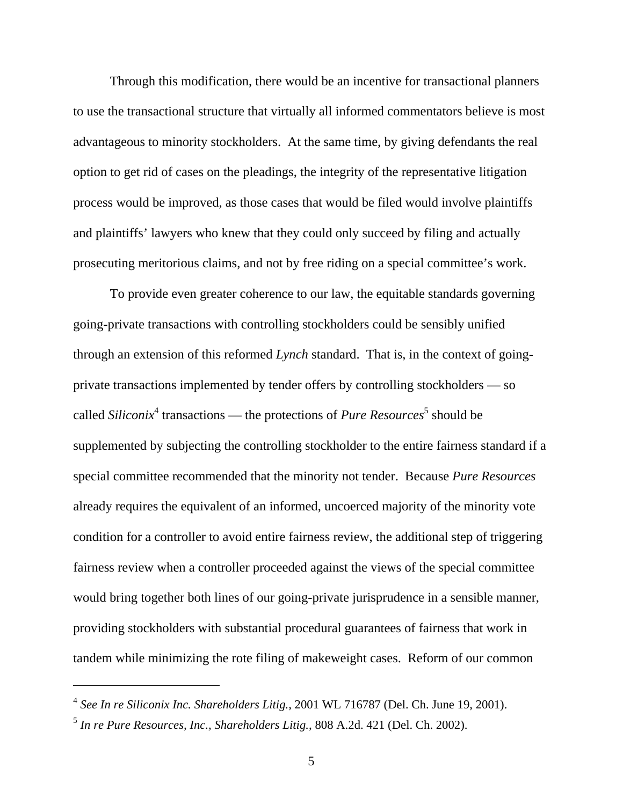Through this modification, there would be an incentive for transactional planners to use the transactional structure that virtually all informed commentators believe is most advantageous to minority stockholders. At the same time, by giving defendants the real option to get rid of cases on the pleadings, the integrity of the representative litigation process would be improved, as those cases that would be filed would involve plaintiffs and plaintiffs' lawyers who knew that they could only succeed by filing and actually prosecuting meritorious claims, and not by free riding on a special committee's work.

 To provide even greater coherence to our law, the equitable standards governing going-private transactions with controlling stockholders could be sensibly unified through an extension of this reformed *Lynch* standard. That is, in the context of goingprivate transactions implemented by tender offers by controlling stockholders — so called *Siliconix*<sup>4</sup> transactions — the protections of *Pure Resources*<sup>5</sup> should be supplemented by subjecting the controlling stockholder to the entire fairness standard if a special committee recommended that the minority not tender. Because *Pure Resources* already requires the equivalent of an informed, uncoerced majority of the minority vote condition for a controller to avoid entire fairness review, the additional step of triggering fairness review when a controller proceeded against the views of the special committee would bring together both lines of our going-private jurisprudence in a sensible manner, providing stockholders with substantial procedural guarantees of fairness that work in tandem while minimizing the rote filing of makeweight cases. Reform of our common

<sup>4</sup> *See In re Siliconix Inc. Shareholders Litig.*, 2001 WL 716787 (Del. Ch. June 19, 2001).

<sup>5</sup> *In re Pure Resources, Inc., Shareholders Litig.*, 808 A.2d. 421 (Del. Ch. 2002).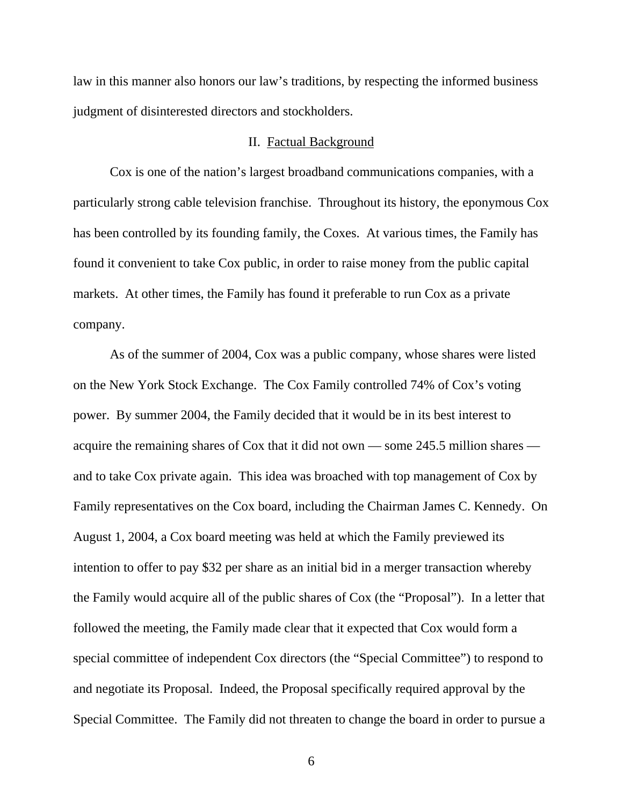law in this manner also honors our law's traditions, by respecting the informed business judgment of disinterested directors and stockholders.

### II. Factual Background

Cox is one of the nation's largest broadband communications companies, with a particularly strong cable television franchise. Throughout its history, the eponymous Cox has been controlled by its founding family, the Coxes. At various times, the Family has found it convenient to take Cox public, in order to raise money from the public capital markets. At other times, the Family has found it preferable to run Cox as a private company.

As of the summer of 2004, Cox was a public company, whose shares were listed on the New York Stock Exchange. The Cox Family controlled 74% of Cox's voting power. By summer 2004, the Family decided that it would be in its best interest to acquire the remaining shares of Cox that it did not own — some 245.5 million shares and to take Cox private again. This idea was broached with top management of Cox by Family representatives on the Cox board, including the Chairman James C. Kennedy. On August 1, 2004, a Cox board meeting was held at which the Family previewed its intention to offer to pay \$32 per share as an initial bid in a merger transaction whereby the Family would acquire all of the public shares of Cox (the "Proposal"). In a letter that followed the meeting, the Family made clear that it expected that Cox would form a special committee of independent Cox directors (the "Special Committee") to respond to and negotiate its Proposal. Indeed, the Proposal specifically required approval by the Special Committee. The Family did not threaten to change the board in order to pursue a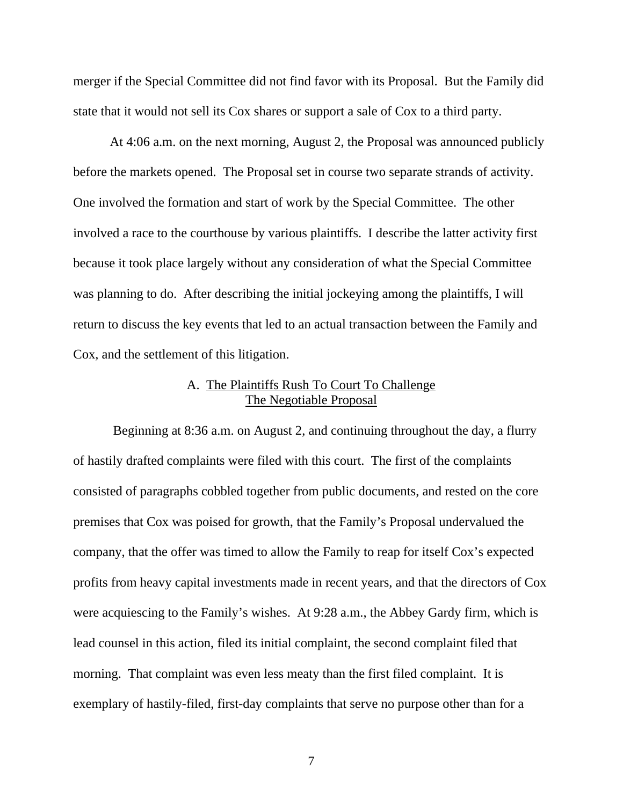merger if the Special Committee did not find favor with its Proposal. But the Family did state that it would not sell its Cox shares or support a sale of Cox to a third party.

At 4:06 a.m. on the next morning, August 2, the Proposal was announced publicly before the markets opened. The Proposal set in course two separate strands of activity. One involved the formation and start of work by the Special Committee. The other involved a race to the courthouse by various plaintiffs. I describe the latter activity first because it took place largely without any consideration of what the Special Committee was planning to do. After describing the initial jockeying among the plaintiffs, I will return to discuss the key events that led to an actual transaction between the Family and Cox, and the settlement of this litigation.

# A. The Plaintiffs Rush To Court To Challenge The Negotiable Proposal

 Beginning at 8:36 a.m. on August 2, and continuing throughout the day, a flurry of hastily drafted complaints were filed with this court. The first of the complaints consisted of paragraphs cobbled together from public documents, and rested on the core premises that Cox was poised for growth, that the Family's Proposal undervalued the company, that the offer was timed to allow the Family to reap for itself Cox's expected profits from heavy capital investments made in recent years, and that the directors of Cox were acquiescing to the Family's wishes. At 9:28 a.m., the Abbey Gardy firm, which is lead counsel in this action, filed its initial complaint, the second complaint filed that morning. That complaint was even less meaty than the first filed complaint. It is exemplary of hastily-filed, first-day complaints that serve no purpose other than for a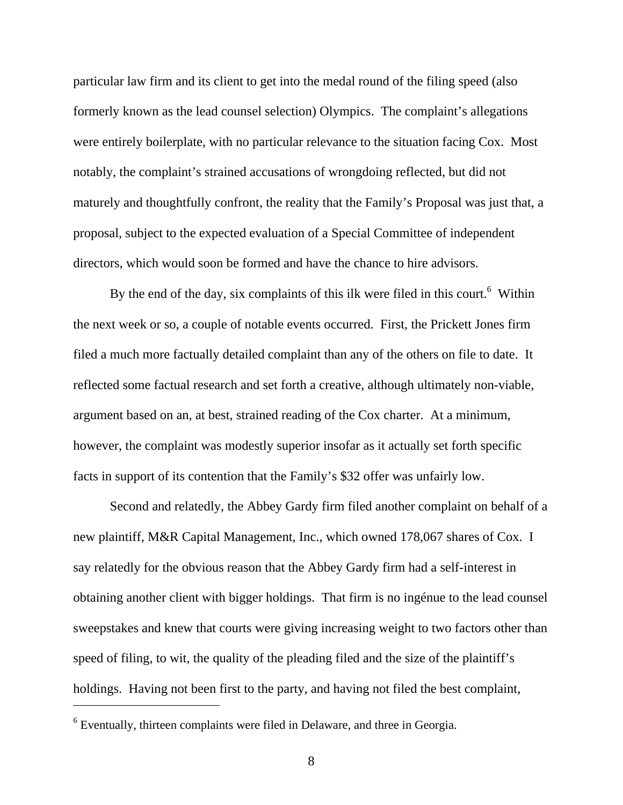particular law firm and its client to get into the medal round of the filing speed (also formerly known as the lead counsel selection) Olympics. The complaint's allegations were entirely boilerplate, with no particular relevance to the situation facing Cox. Most notably, the complaint's strained accusations of wrongdoing reflected, but did not maturely and thoughtfully confront, the reality that the Family's Proposal was just that, a proposal, subject to the expected evaluation of a Special Committee of independent directors, which would soon be formed and have the chance to hire advisors.

By the end of the day, six complaints of this ilk were filed in this court.<sup>6</sup> Within the next week or so, a couple of notable events occurred. First, the Prickett Jones firm filed a much more factually detailed complaint than any of the others on file to date. It reflected some factual research and set forth a creative, although ultimately non-viable, argument based on an, at best, strained reading of the Cox charter. At a minimum, however, the complaint was modestly superior insofar as it actually set forth specific facts in support of its contention that the Family's \$32 offer was unfairly low.

Second and relatedly, the Abbey Gardy firm filed another complaint on behalf of a new plaintiff, M&R Capital Management, Inc., which owned 178,067 shares of Cox. I say relatedly for the obvious reason that the Abbey Gardy firm had a self-interest in obtaining another client with bigger holdings. That firm is no ingénue to the lead counsel sweepstakes and knew that courts were giving increasing weight to two factors other than speed of filing, to wit, the quality of the pleading filed and the size of the plaintiff's holdings. Having not been first to the party, and having not filed the best complaint,

 $6$  Eventually, thirteen complaints were filed in Delaware, and three in Georgia.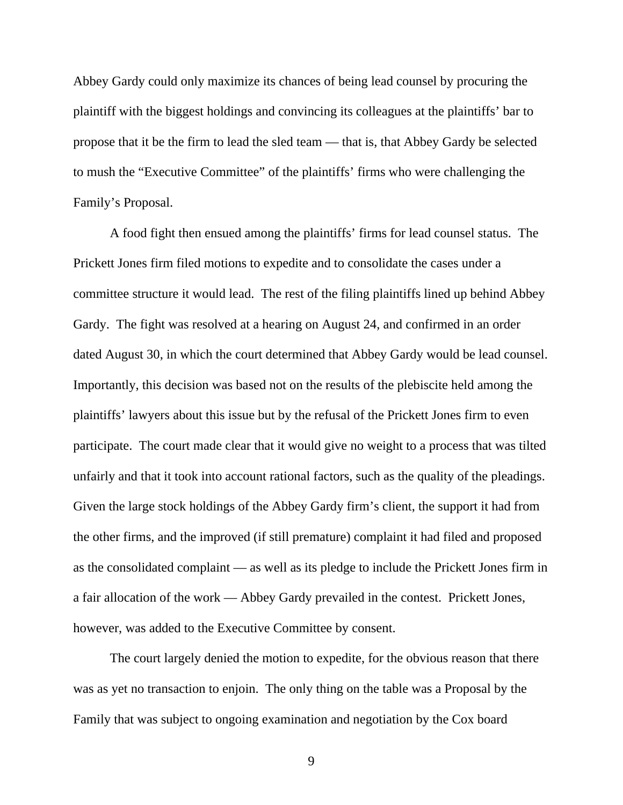Abbey Gardy could only maximize its chances of being lead counsel by procuring the plaintiff with the biggest holdings and convincing its colleagues at the plaintiffs' bar to propose that it be the firm to lead the sled team — that is, that Abbey Gardy be selected to mush the "Executive Committee" of the plaintiffs' firms who were challenging the Family's Proposal.

A food fight then ensued among the plaintiffs' firms for lead counsel status. The Prickett Jones firm filed motions to expedite and to consolidate the cases under a committee structure it would lead. The rest of the filing plaintiffs lined up behind Abbey Gardy. The fight was resolved at a hearing on August 24, and confirmed in an order dated August 30, in which the court determined that Abbey Gardy would be lead counsel. Importantly, this decision was based not on the results of the plebiscite held among the plaintiffs' lawyers about this issue but by the refusal of the Prickett Jones firm to even participate. The court made clear that it would give no weight to a process that was tilted unfairly and that it took into account rational factors, such as the quality of the pleadings. Given the large stock holdings of the Abbey Gardy firm's client, the support it had from the other firms, and the improved (if still premature) complaint it had filed and proposed as the consolidated complaint — as well as its pledge to include the Prickett Jones firm in a fair allocation of the work — Abbey Gardy prevailed in the contest. Prickett Jones, however, was added to the Executive Committee by consent.

The court largely denied the motion to expedite, for the obvious reason that there was as yet no transaction to enjoin. The only thing on the table was a Proposal by the Family that was subject to ongoing examination and negotiation by the Cox board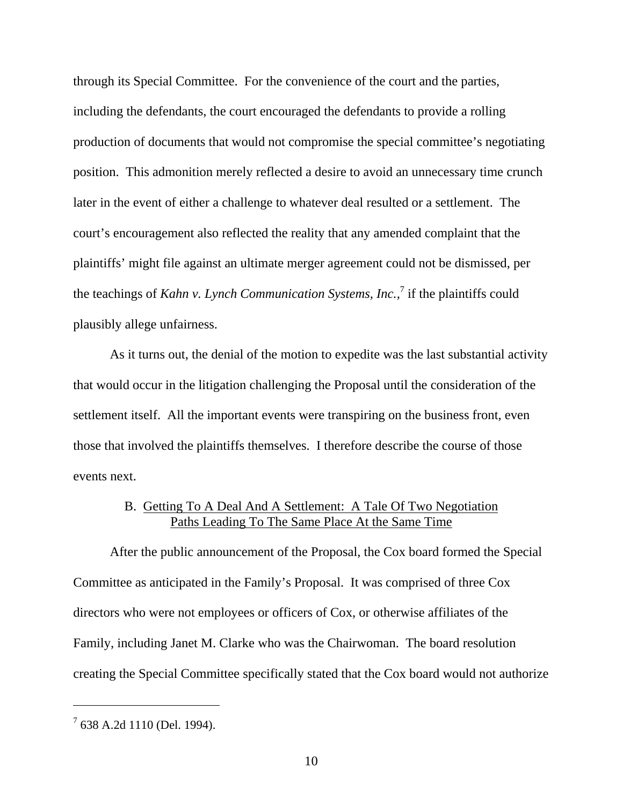through its Special Committee. For the convenience of the court and the parties, including the defendants, the court encouraged the defendants to provide a rolling production of documents that would not compromise the special committee's negotiating position. This admonition merely reflected a desire to avoid an unnecessary time crunch later in the event of either a challenge to whatever deal resulted or a settlement. The court's encouragement also reflected the reality that any amended complaint that the plaintiffs' might file against an ultimate merger agreement could not be dismissed, per the teachings of *Kahn v. Lynch Communication Systems, Inc.*,<sup>7</sup> if the plaintiffs could plausibly allege unfairness.

As it turns out, the denial of the motion to expedite was the last substantial activity that would occur in the litigation challenging the Proposal until the consideration of the settlement itself. All the important events were transpiring on the business front, even those that involved the plaintiffs themselves. I therefore describe the course of those events next.

# B. Getting To A Deal And A Settlement: A Tale Of Two Negotiation Paths Leading To The Same Place At the Same Time

After the public announcement of the Proposal, the Cox board formed the Special Committee as anticipated in the Family's Proposal. It was comprised of three Cox directors who were not employees or officers of Cox, or otherwise affiliates of the Family, including Janet M. Clarke who was the Chairwoman. The board resolution creating the Special Committee specifically stated that the Cox board would not authorize

 $7$  638 A.2d 1110 (Del. 1994).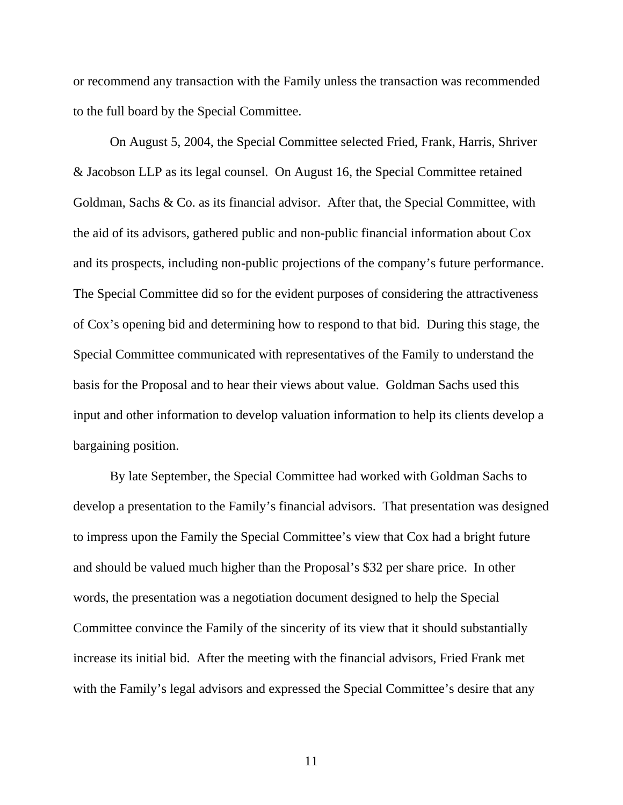or recommend any transaction with the Family unless the transaction was recommended to the full board by the Special Committee.

On August 5, 2004, the Special Committee selected Fried, Frank, Harris, Shriver & Jacobson LLP as its legal counsel. On August 16, the Special Committee retained Goldman, Sachs & Co. as its financial advisor. After that, the Special Committee, with the aid of its advisors, gathered public and non-public financial information about Cox and its prospects, including non-public projections of the company's future performance. The Special Committee did so for the evident purposes of considering the attractiveness of Cox's opening bid and determining how to respond to that bid. During this stage, the Special Committee communicated with representatives of the Family to understand the basis for the Proposal and to hear their views about value. Goldman Sachs used this input and other information to develop valuation information to help its clients develop a bargaining position.

By late September, the Special Committee had worked with Goldman Sachs to develop a presentation to the Family's financial advisors. That presentation was designed to impress upon the Family the Special Committee's view that Cox had a bright future and should be valued much higher than the Proposal's \$32 per share price. In other words, the presentation was a negotiation document designed to help the Special Committee convince the Family of the sincerity of its view that it should substantially increase its initial bid. After the meeting with the financial advisors, Fried Frank met with the Family's legal advisors and expressed the Special Committee's desire that any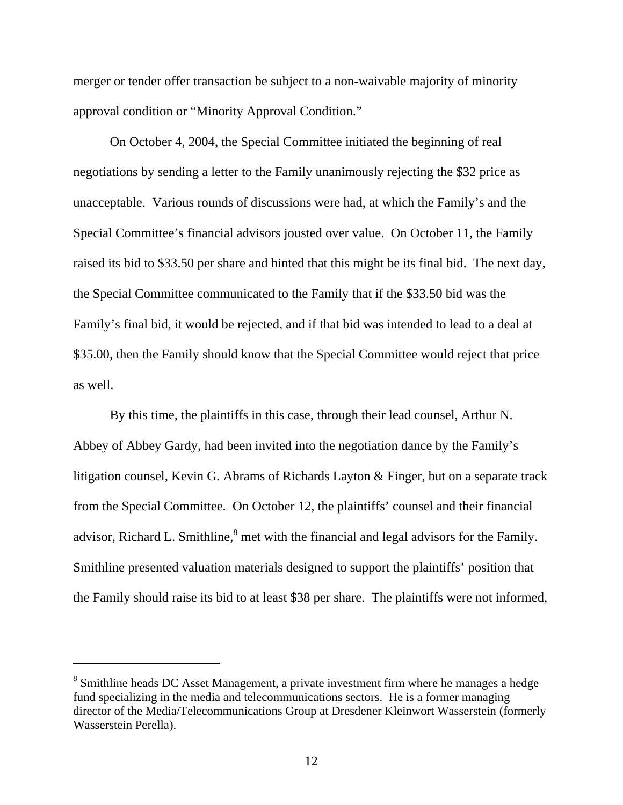merger or tender offer transaction be subject to a non-waivable majority of minority approval condition or "Minority Approval Condition."

On October 4, 2004, the Special Committee initiated the beginning of real negotiations by sending a letter to the Family unanimously rejecting the \$32 price as unacceptable. Various rounds of discussions were had, at which the Family's and the Special Committee's financial advisors jousted over value. On October 11, the Family raised its bid to \$33.50 per share and hinted that this might be its final bid. The next day, the Special Committee communicated to the Family that if the \$33.50 bid was the Family's final bid, it would be rejected, and if that bid was intended to lead to a deal at \$35.00, then the Family should know that the Special Committee would reject that price as well.

By this time, the plaintiffs in this case, through their lead counsel, Arthur N. Abbey of Abbey Gardy, had been invited into the negotiation dance by the Family's litigation counsel, Kevin G. Abrams of Richards Layton & Finger, but on a separate track from the Special Committee. On October 12, the plaintiffs' counsel and their financial advisor, Richard L. Smithline, $<sup>8</sup>$  met with the financial and legal advisors for the Family.</sup> Smithline presented valuation materials designed to support the plaintiffs' position that the Family should raise its bid to at least \$38 per share. The plaintiffs were not informed,

<sup>&</sup>lt;sup>8</sup> Smithline heads DC Asset Management, a private investment firm where he manages a hedge fund specializing in the media and telecommunications sectors. He is a former managing director of the Media/Telecommunications Group at Dresdener Kleinwort Wasserstein (formerly Wasserstein Perella).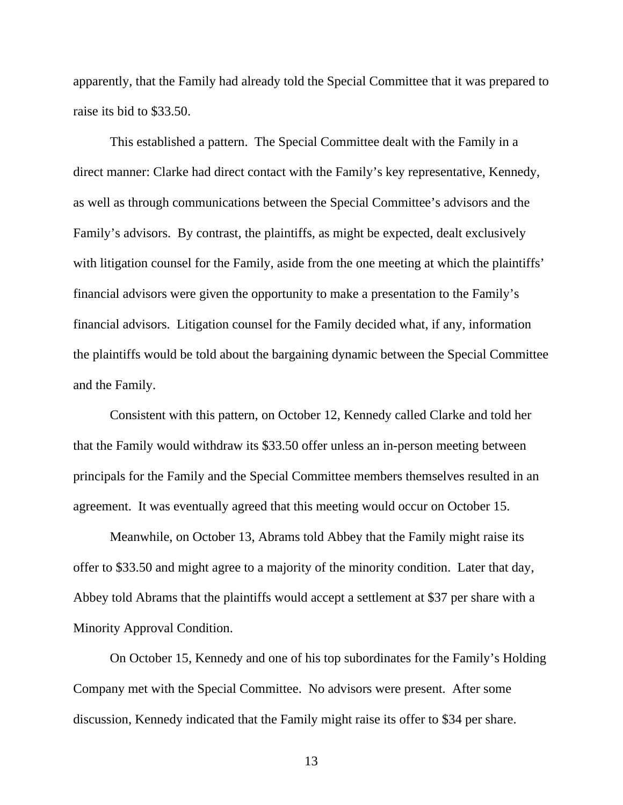apparently, that the Family had already told the Special Committee that it was prepared to raise its bid to \$33.50.

This established a pattern. The Special Committee dealt with the Family in a direct manner: Clarke had direct contact with the Family's key representative, Kennedy, as well as through communications between the Special Committee's advisors and the Family's advisors. By contrast, the plaintiffs, as might be expected, dealt exclusively with litigation counsel for the Family, aside from the one meeting at which the plaintiffs' financial advisors were given the opportunity to make a presentation to the Family's financial advisors. Litigation counsel for the Family decided what, if any, information the plaintiffs would be told about the bargaining dynamic between the Special Committee and the Family.

Consistent with this pattern, on October 12, Kennedy called Clarke and told her that the Family would withdraw its \$33.50 offer unless an in-person meeting between principals for the Family and the Special Committee members themselves resulted in an agreement. It was eventually agreed that this meeting would occur on October 15.

Meanwhile, on October 13, Abrams told Abbey that the Family might raise its offer to \$33.50 and might agree to a majority of the minority condition. Later that day, Abbey told Abrams that the plaintiffs would accept a settlement at \$37 per share with a Minority Approval Condition.

On October 15, Kennedy and one of his top subordinates for the Family's Holding Company met with the Special Committee. No advisors were present. After some discussion, Kennedy indicated that the Family might raise its offer to \$34 per share.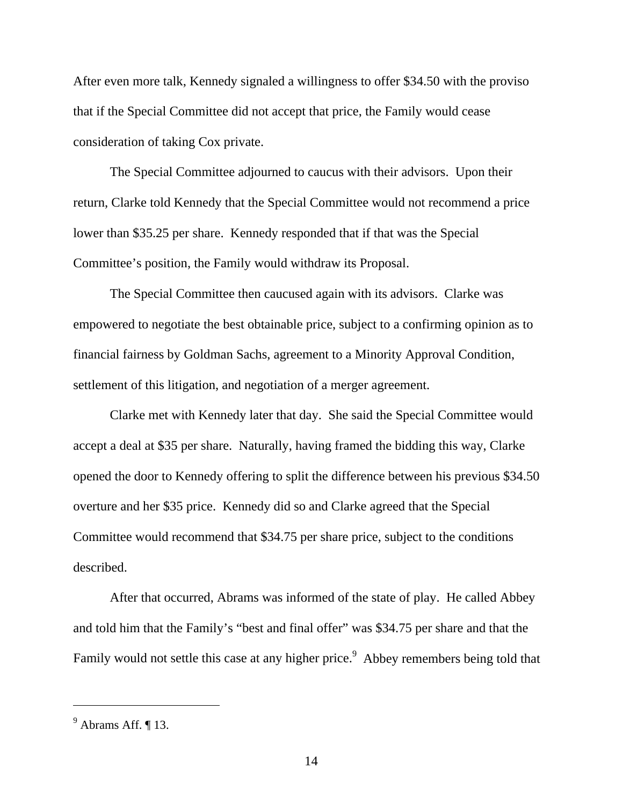After even more talk, Kennedy signaled a willingness to offer \$34.50 with the proviso that if the Special Committee did not accept that price, the Family would cease consideration of taking Cox private.

The Special Committee adjourned to caucus with their advisors. Upon their return, Clarke told Kennedy that the Special Committee would not recommend a price lower than \$35.25 per share. Kennedy responded that if that was the Special Committee's position, the Family would withdraw its Proposal.

The Special Committee then caucused again with its advisors. Clarke was empowered to negotiate the best obtainable price, subject to a confirming opinion as to financial fairness by Goldman Sachs, agreement to a Minority Approval Condition, settlement of this litigation, and negotiation of a merger agreement.

Clarke met with Kennedy later that day. She said the Special Committee would accept a deal at \$35 per share. Naturally, having framed the bidding this way, Clarke opened the door to Kennedy offering to split the difference between his previous \$34.50 overture and her \$35 price. Kennedy did so and Clarke agreed that the Special Committee would recommend that \$34.75 per share price, subject to the conditions described.

After that occurred, Abrams was informed of the state of play. He called Abbey and told him that the Family's "best and final offer" was \$34.75 per share and that the Family would not settle this case at any higher price. Abbey remembers being told that

 $9$  Abrams Aff.  $\P$  13.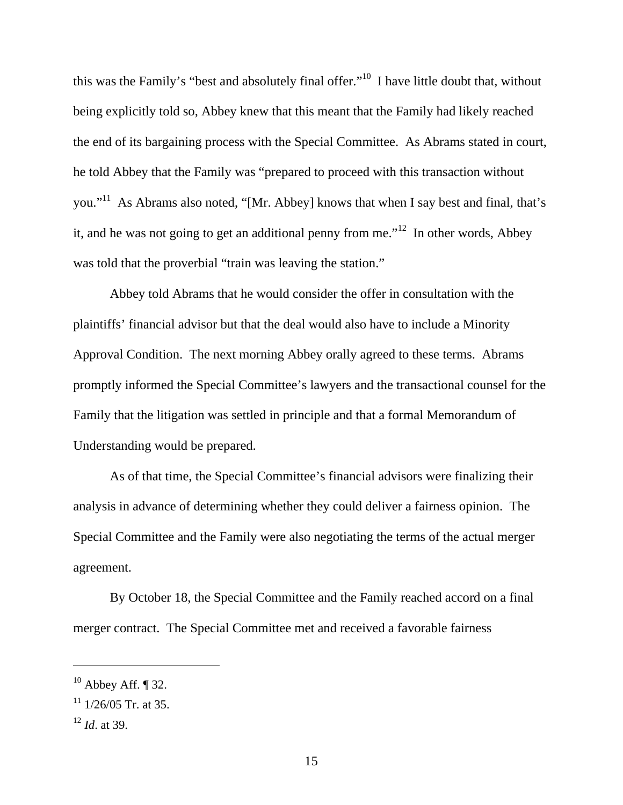this was the Family's "best and absolutely final offer."<sup>10</sup> I have little doubt that, without being explicitly told so, Abbey knew that this meant that the Family had likely reached the end of its bargaining process with the Special Committee. As Abrams stated in court, he told Abbey that the Family was "prepared to proceed with this transaction without you."11 As Abrams also noted, "[Mr. Abbey] knows that when I say best and final, that's it, and he was not going to get an additional penny from me."12 In other words, Abbey was told that the proverbial "train was leaving the station."

Abbey told Abrams that he would consider the offer in consultation with the plaintiffs' financial advisor but that the deal would also have to include a Minority Approval Condition. The next morning Abbey orally agreed to these terms. Abrams promptly informed the Special Committee's lawyers and the transactional counsel for the Family that the litigation was settled in principle and that a formal Memorandum of Understanding would be prepared.

As of that time, the Special Committee's financial advisors were finalizing their analysis in advance of determining whether they could deliver a fairness opinion. The Special Committee and the Family were also negotiating the terms of the actual merger agreement.

By October 18, the Special Committee and the Family reached accord on a final merger contract. The Special Committee met and received a favorable fairness

 $10$  Abbey Aff. ¶ 32.

 $11$  1/26/05 Tr. at 35.

<sup>12</sup> *Id*. at 39.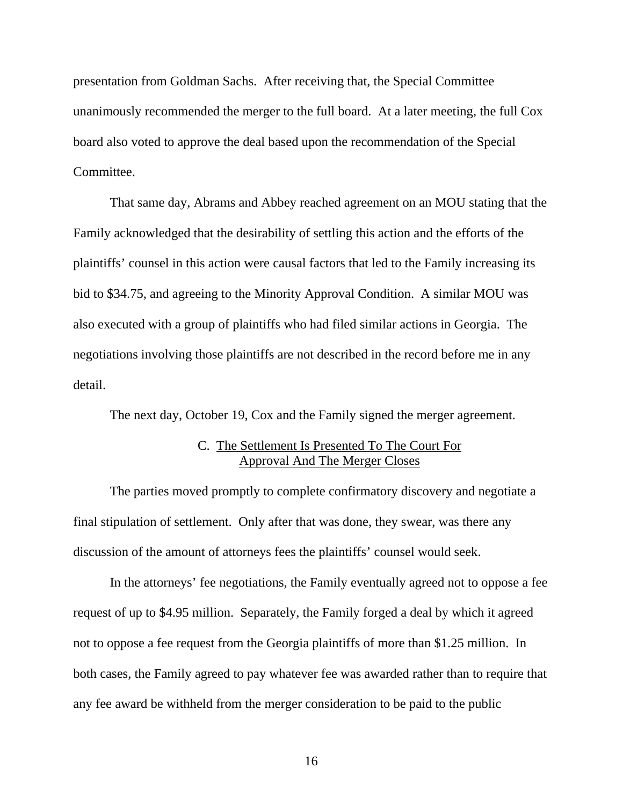presentation from Goldman Sachs. After receiving that, the Special Committee unanimously recommended the merger to the full board. At a later meeting, the full Cox board also voted to approve the deal based upon the recommendation of the Special Committee.

That same day, Abrams and Abbey reached agreement on an MOU stating that the Family acknowledged that the desirability of settling this action and the efforts of the plaintiffs' counsel in this action were causal factors that led to the Family increasing its bid to \$34.75, and agreeing to the Minority Approval Condition. A similar MOU was also executed with a group of plaintiffs who had filed similar actions in Georgia. The negotiations involving those plaintiffs are not described in the record before me in any detail.

The next day, October 19, Cox and the Family signed the merger agreement.

## C. The Settlement Is Presented To The Court For Approval And The Merger Closes

The parties moved promptly to complete confirmatory discovery and negotiate a final stipulation of settlement. Only after that was done, they swear, was there any discussion of the amount of attorneys fees the plaintiffs' counsel would seek.

In the attorneys' fee negotiations, the Family eventually agreed not to oppose a fee request of up to \$4.95 million. Separately, the Family forged a deal by which it agreed not to oppose a fee request from the Georgia plaintiffs of more than \$1.25 million. In both cases, the Family agreed to pay whatever fee was awarded rather than to require that any fee award be withheld from the merger consideration to be paid to the public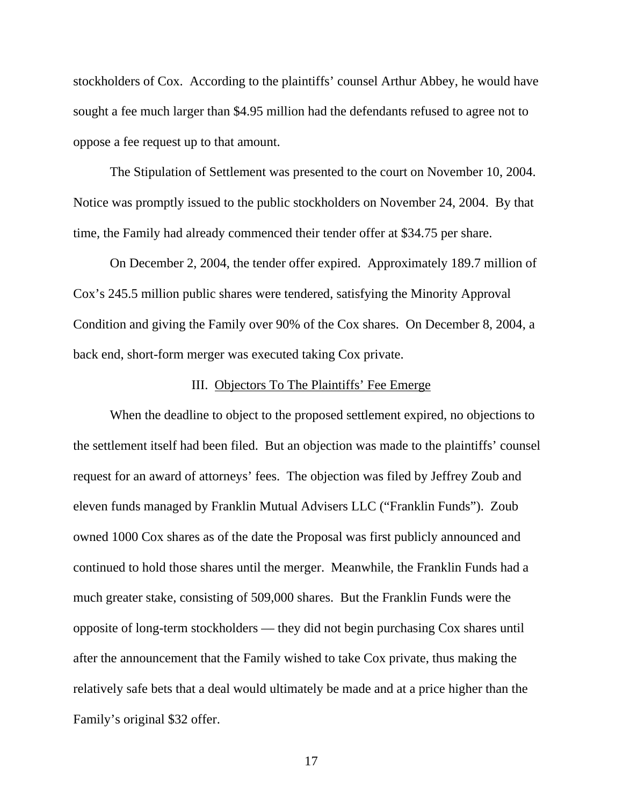stockholders of Cox. According to the plaintiffs' counsel Arthur Abbey, he would have sought a fee much larger than \$4.95 million had the defendants refused to agree not to oppose a fee request up to that amount.

The Stipulation of Settlement was presented to the court on November 10, 2004. Notice was promptly issued to the public stockholders on November 24, 2004. By that time, the Family had already commenced their tender offer at \$34.75 per share.

On December 2, 2004, the tender offer expired. Approximately 189.7 million of Cox's 245.5 million public shares were tendered, satisfying the Minority Approval Condition and giving the Family over 90% of the Cox shares. On December 8, 2004, a back end, short-form merger was executed taking Cox private.

#### III. Objectors To The Plaintiffs' Fee Emerge

When the deadline to object to the proposed settlement expired, no objections to the settlement itself had been filed. But an objection was made to the plaintiffs' counsel request for an award of attorneys' fees. The objection was filed by Jeffrey Zoub and eleven funds managed by Franklin Mutual Advisers LLC ("Franklin Funds"). Zoub owned 1000 Cox shares as of the date the Proposal was first publicly announced and continued to hold those shares until the merger. Meanwhile, the Franklin Funds had a much greater stake, consisting of 509,000 shares. But the Franklin Funds were the opposite of long-term stockholders — they did not begin purchasing Cox shares until after the announcement that the Family wished to take Cox private, thus making the relatively safe bets that a deal would ultimately be made and at a price higher than the Family's original \$32 offer.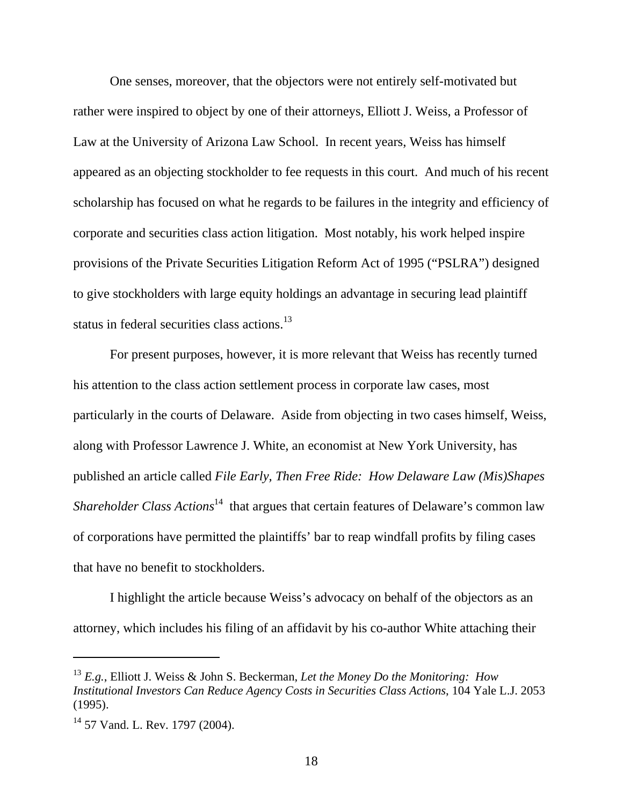One senses, moreover, that the objectors were not entirely self-motivated but rather were inspired to object by one of their attorneys, Elliott J. Weiss, a Professor of Law at the University of Arizona Law School. In recent years, Weiss has himself appeared as an objecting stockholder to fee requests in this court. And much of his recent scholarship has focused on what he regards to be failures in the integrity and efficiency of corporate and securities class action litigation. Most notably, his work helped inspire provisions of the Private Securities Litigation Reform Act of 1995 ("PSLRA") designed to give stockholders with large equity holdings an advantage in securing lead plaintiff status in federal securities class actions.<sup>13</sup>

For present purposes, however, it is more relevant that Weiss has recently turned his attention to the class action settlement process in corporate law cases, most particularly in the courts of Delaware. Aside from objecting in two cases himself, Weiss, along with Professor Lawrence J. White, an economist at New York University, has published an article called *File Early, Then Free Ride: How Delaware Law (Mis)Shapes Shareholder Class Actions*<sup>14</sup> that argues that certain features of Delaware's common law of corporations have permitted the plaintiffs' bar to reap windfall profits by filing cases that have no benefit to stockholders.

I highlight the article because Weiss's advocacy on behalf of the objectors as an attorney, which includes his filing of an affidavit by his co-author White attaching their

<sup>13</sup> *E.g.*, Elliott J. Weiss & John S. Beckerman, *Let the Money Do the Monitoring: How Institutional Investors Can Reduce Agency Costs in Securities Class Actions*, 104 Yale L.J. 2053 (1995).

 $14$  57 Vand. L. Rev. 1797 (2004).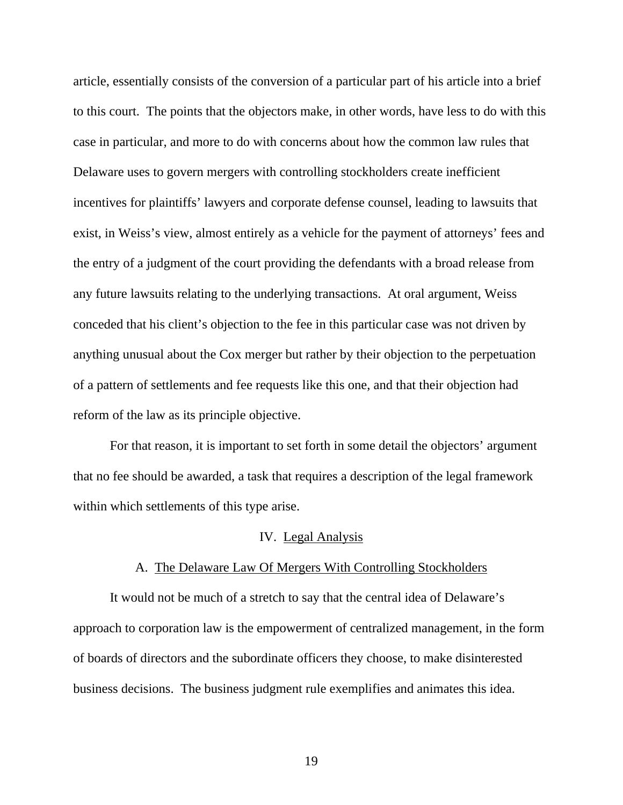article, essentially consists of the conversion of a particular part of his article into a brief to this court. The points that the objectors make, in other words, have less to do with this case in particular, and more to do with concerns about how the common law rules that Delaware uses to govern mergers with controlling stockholders create inefficient incentives for plaintiffs' lawyers and corporate defense counsel, leading to lawsuits that exist, in Weiss's view, almost entirely as a vehicle for the payment of attorneys' fees and the entry of a judgment of the court providing the defendants with a broad release from any future lawsuits relating to the underlying transactions. At oral argument, Weiss conceded that his client's objection to the fee in this particular case was not driven by anything unusual about the Cox merger but rather by their objection to the perpetuation of a pattern of settlements and fee requests like this one, and that their objection had reform of the law as its principle objective.

For that reason, it is important to set forth in some detail the objectors' argument that no fee should be awarded, a task that requires a description of the legal framework within which settlements of this type arise.

### IV. Legal Analysis

#### A. The Delaware Law Of Mergers With Controlling Stockholders

It would not be much of a stretch to say that the central idea of Delaware's approach to corporation law is the empowerment of centralized management, in the form of boards of directors and the subordinate officers they choose, to make disinterested business decisions. The business judgment rule exemplifies and animates this idea.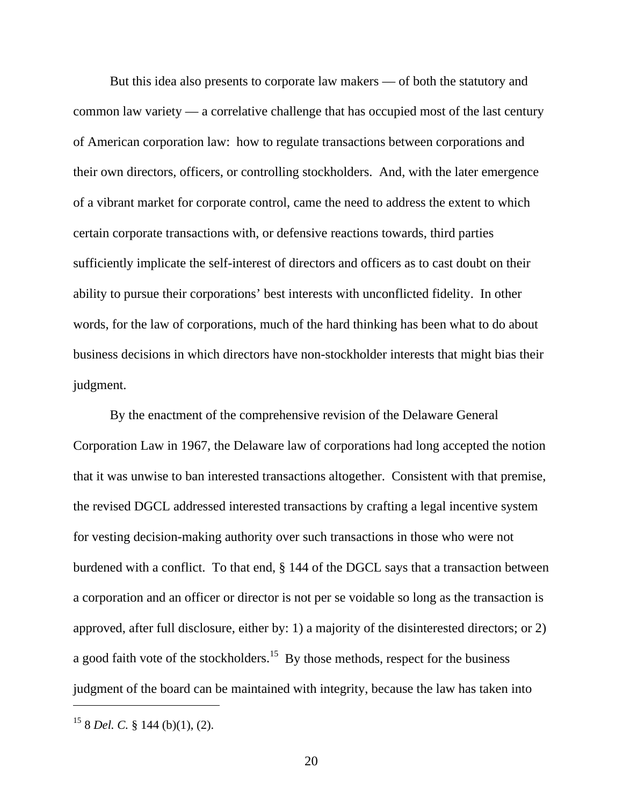But this idea also presents to corporate law makers — of both the statutory and common law variety — a correlative challenge that has occupied most of the last century of American corporation law: how to regulate transactions between corporations and their own directors, officers, or controlling stockholders. And, with the later emergence of a vibrant market for corporate control, came the need to address the extent to which certain corporate transactions with, or defensive reactions towards, third parties sufficiently implicate the self-interest of directors and officers as to cast doubt on their ability to pursue their corporations' best interests with unconflicted fidelity. In other words, for the law of corporations, much of the hard thinking has been what to do about business decisions in which directors have non-stockholder interests that might bias their judgment.

By the enactment of the comprehensive revision of the Delaware General Corporation Law in 1967, the Delaware law of corporations had long accepted the notion that it was unwise to ban interested transactions altogether. Consistent with that premise, the revised DGCL addressed interested transactions by crafting a legal incentive system for vesting decision-making authority over such transactions in those who were not burdened with a conflict. To that end, § 144 of the DGCL says that a transaction between a corporation and an officer or director is not per se voidable so long as the transaction is approved, after full disclosure, either by: 1) a majority of the disinterested directors; or 2) a good faith vote of the stockholders.<sup>15</sup> By those methods, respect for the business judgment of the board can be maintained with integrity, because the law has taken into

 $15$  8 *Del. C.* § 144 (b)(1), (2).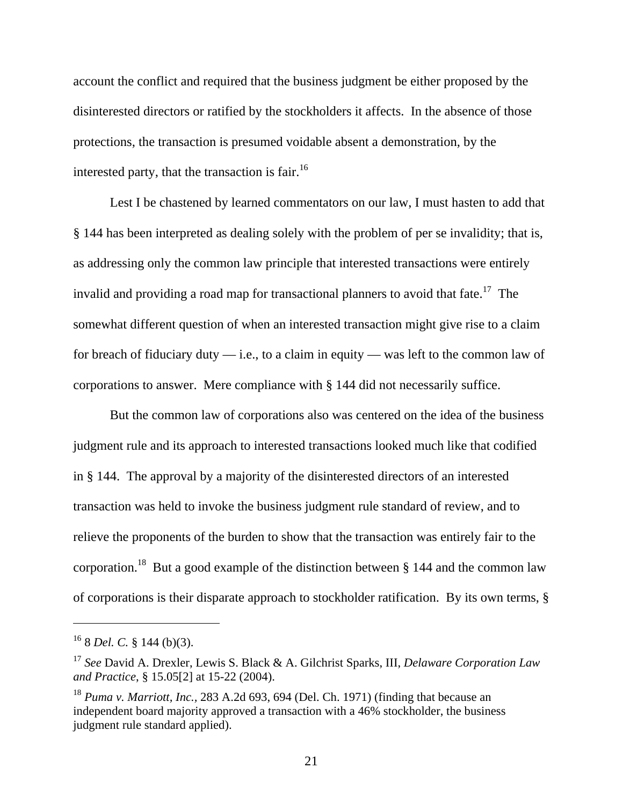account the conflict and required that the business judgment be either proposed by the disinterested directors or ratified by the stockholders it affects. In the absence of those protections, the transaction is presumed voidable absent a demonstration, by the interested party, that the transaction is fair. $16$ 

Lest I be chastened by learned commentators on our law, I must hasten to add that § 144 has been interpreted as dealing solely with the problem of per se invalidity; that is, as addressing only the common law principle that interested transactions were entirely invalid and providing a road map for transactional planners to avoid that fate.<sup>17</sup> The somewhat different question of when an interested transaction might give rise to a claim for breach of fiduciary duty  $-$  i.e., to a claim in equity  $-$  was left to the common law of corporations to answer. Mere compliance with § 144 did not necessarily suffice.

But the common law of corporations also was centered on the idea of the business judgment rule and its approach to interested transactions looked much like that codified in § 144. The approval by a majority of the disinterested directors of an interested transaction was held to invoke the business judgment rule standard of review, and to relieve the proponents of the burden to show that the transaction was entirely fair to the corporation.<sup>18</sup> But a good example of the distinction between  $\S$  144 and the common law of corporations is their disparate approach to stockholder ratification. By its own terms, §

<sup>16 8</sup> *Del. C.* § 144 (b)(3).

<sup>17</sup> *See* David A. Drexler, Lewis S. Black & A. Gilchrist Sparks, III, *Delaware Corporation Law and Practice*, § 15.05[2] at 15-22 (2004).

<sup>18</sup> *Puma v. Marriott, Inc.,* 283 A.2d 693, 694 (Del. Ch. 1971) (finding that because an independent board majority approved a transaction with a 46% stockholder, the business judgment rule standard applied).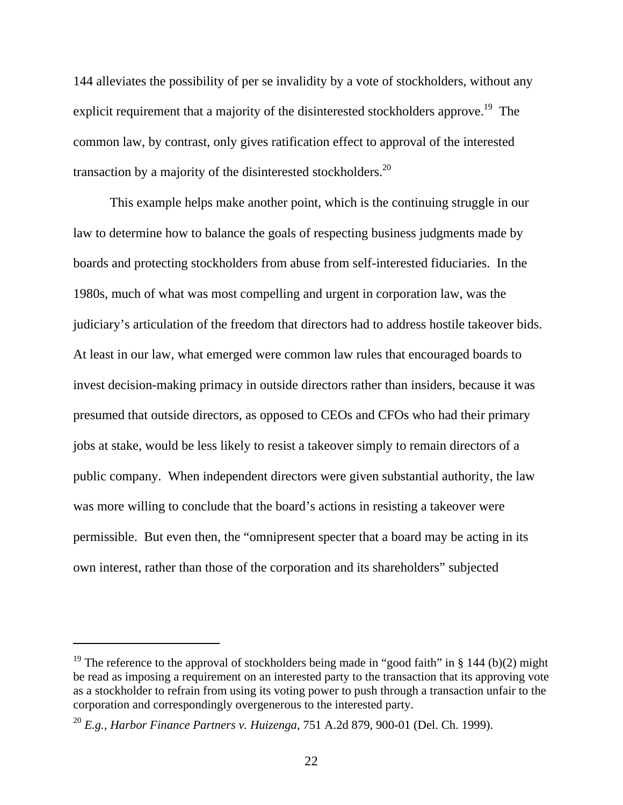144 alleviates the possibility of per se invalidity by a vote of stockholders, without any explicit requirement that a majority of the disinterested stockholders approve.<sup>19</sup> The common law, by contrast, only gives ratification effect to approval of the interested transaction by a majority of the disinterested stockholders.<sup>20</sup>

This example helps make another point, which is the continuing struggle in our law to determine how to balance the goals of respecting business judgments made by boards and protecting stockholders from abuse from self-interested fiduciaries. In the 1980s, much of what was most compelling and urgent in corporation law, was the judiciary's articulation of the freedom that directors had to address hostile takeover bids. At least in our law, what emerged were common law rules that encouraged boards to invest decision-making primacy in outside directors rather than insiders, because it was presumed that outside directors, as opposed to CEOs and CFOs who had their primary jobs at stake, would be less likely to resist a takeover simply to remain directors of a public company. When independent directors were given substantial authority, the law was more willing to conclude that the board's actions in resisting a takeover were permissible. But even then, the "omnipresent specter that a board may be acting in its own interest, rather than those of the corporation and its shareholders" subjected

<sup>&</sup>lt;sup>19</sup> The reference to the approval of stockholders being made in "good faith" in § 144 (b)(2) might be read as imposing a requirement on an interested party to the transaction that its approving vote as a stockholder to refrain from using its voting power to push through a transaction unfair to the corporation and correspondingly overgenerous to the interested party.

<sup>20</sup> *E.g., Harbor Finance Partners v. Huizenga,* 751 A.2d 879, 900-01 (Del. Ch. 1999).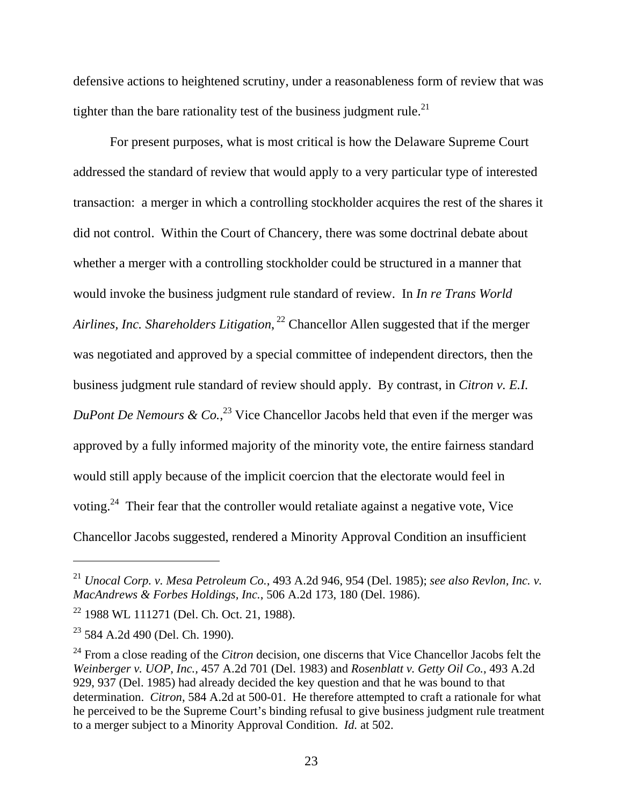defensive actions to heightened scrutiny, under a reasonableness form of review that was tighter than the bare rationality test of the business judgment rule.<sup>21</sup>

For present purposes, what is most critical is how the Delaware Supreme Court addressed the standard of review that would apply to a very particular type of interested transaction: a merger in which a controlling stockholder acquires the rest of the shares it did not control. Within the Court of Chancery, there was some doctrinal debate about whether a merger with a controlling stockholder could be structured in a manner that would invoke the business judgment rule standard of review. In *In re Trans World*  Airlines, Inc. Shareholders Litigation,<sup>22</sup> Chancellor Allen suggested that if the merger was negotiated and approved by a special committee of independent directors, then the business judgment rule standard of review should apply. By contrast, in *Citron v. E.I. DuPont De Nemours & Co.*, 23 Vice Chancellor Jacobs held that even if the merger was approved by a fully informed majority of the minority vote, the entire fairness standard would still apply because of the implicit coercion that the electorate would feel in voting.24 Their fear that the controller would retaliate against a negative vote, Vice Chancellor Jacobs suggested, rendered a Minority Approval Condition an insufficient

<sup>21</sup> *Unocal Corp. v. Mesa Petroleum Co.*, 493 A.2d 946, 954 (Del. 1985); *see also Revlon, Inc. v. MacAndrews & Forbes Holdings, Inc.*, 506 A.2d 173, 180 (Del. 1986).

<sup>22 1988</sup> WL 111271 (Del. Ch. Oct. 21, 1988).

 $23$  584 A.2d 490 (Del. Ch. 1990).

<sup>&</sup>lt;sup>24</sup> From a close reading of the *Citron* decision, one discerns that Vice Chancellor Jacobs felt the *Weinberger v. UOP, Inc.,* 457 A.2d 701 (Del. 1983) and *Rosenblatt v. Getty Oil Co.*, 493 A.2d 929, 937 (Del. 1985) had already decided the key question and that he was bound to that determination. *Citron*, 584 A.2d at 500-01. He therefore attempted to craft a rationale for what he perceived to be the Supreme Court's binding refusal to give business judgment rule treatment to a merger subject to a Minority Approval Condition. *Id.* at 502.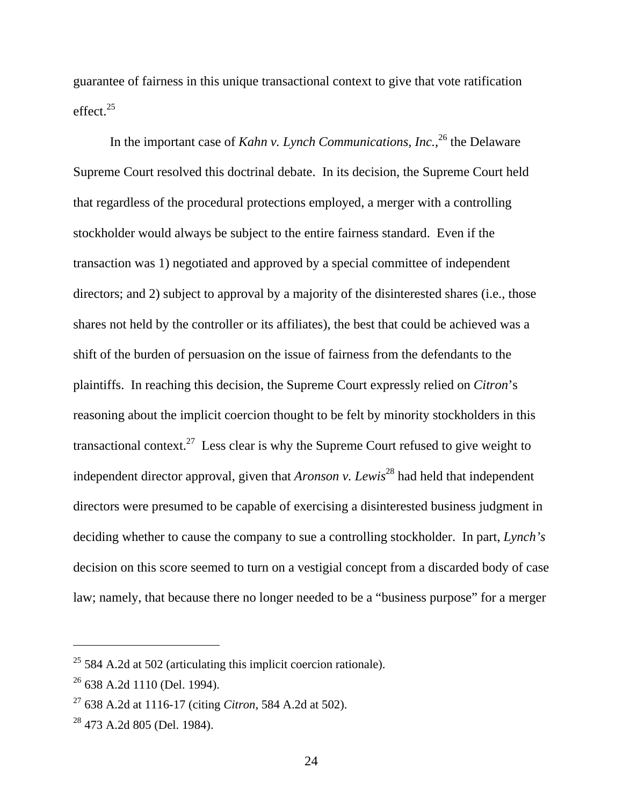guarantee of fairness in this unique transactional context to give that vote ratification effect.<sup>25</sup>

In the important case of *Kahn v. Lynch Communications, Inc.*, 26 the Delaware Supreme Court resolved this doctrinal debate. In its decision, the Supreme Court held that regardless of the procedural protections employed, a merger with a controlling stockholder would always be subject to the entire fairness standard. Even if the transaction was 1) negotiated and approved by a special committee of independent directors; and 2) subject to approval by a majority of the disinterested shares (i.e., those shares not held by the controller or its affiliates), the best that could be achieved was a shift of the burden of persuasion on the issue of fairness from the defendants to the plaintiffs. In reaching this decision, the Supreme Court expressly relied on *Citron*'s reasoning about the implicit coercion thought to be felt by minority stockholders in this transactional context.<sup>27</sup> Less clear is why the Supreme Court refused to give weight to independent director approval, given that *Aronson v. Lewis*<sup>28</sup> had held that independent directors were presumed to be capable of exercising a disinterested business judgment in deciding whether to cause the company to sue a controlling stockholder. In part, *Lynch's* decision on this score seemed to turn on a vestigial concept from a discarded body of case law; namely, that because there no longer needed to be a "business purpose" for a merger

 $25$  584 A.2d at 502 (articulating this implicit coercion rationale).

<sup>26 638</sup> A.2d 1110 (Del. 1994).

<sup>27 638</sup> A.2d at 1116-17 (citing *Citron,* 584 A.2d at 502).

<sup>28 473</sup> A.2d 805 (Del. 1984).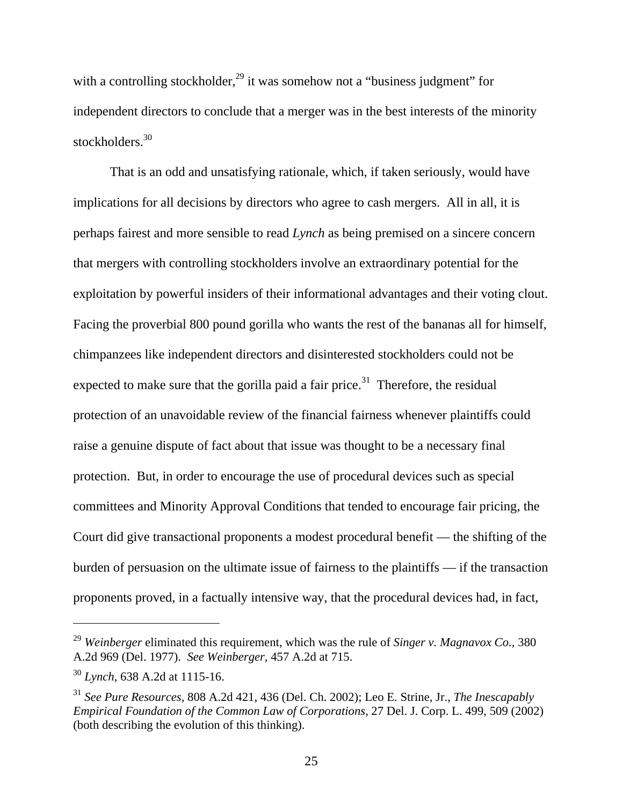with a controlling stockholder, $^{29}$  it was somehow not a "business judgment" for independent directors to conclude that a merger was in the best interests of the minority stockholders.<sup>30</sup>

That is an odd and unsatisfying rationale, which, if taken seriously, would have implications for all decisions by directors who agree to cash mergers. All in all, it is perhaps fairest and more sensible to read *Lynch* as being premised on a sincere concern that mergers with controlling stockholders involve an extraordinary potential for the exploitation by powerful insiders of their informational advantages and their voting clout. Facing the proverbial 800 pound gorilla who wants the rest of the bananas all for himself, chimpanzees like independent directors and disinterested stockholders could not be expected to make sure that the gorilla paid a fair price.<sup>31</sup> Therefore, the residual protection of an unavoidable review of the financial fairness whenever plaintiffs could raise a genuine dispute of fact about that issue was thought to be a necessary final protection. But, in order to encourage the use of procedural devices such as special committees and Minority Approval Conditions that tended to encourage fair pricing, the Court did give transactional proponents a modest procedural benefit — the shifting of the burden of persuasion on the ultimate issue of fairness to the plaintiffs — if the transaction proponents proved, in a factually intensive way, that the procedural devices had, in fact,

<sup>29</sup> *Weinberger* eliminated this requirement, which was the rule of *Singer v. Magnavox Co.,* 380 A.2d 969 (Del. 1977). *See Weinberger,* 457 A.2d at 715.

<sup>30</sup> *Lynch*, 638 A.2d at 1115-16.

<sup>31</sup> *See Pure Resources,* 808 A.2d 421, 436 (Del. Ch. 2002); Leo E. Strine, Jr., *The Inescapably Empirical Foundation of the Common Law of Corporations,* 27 Del. J. Corp. L. 499, 509 (2002) (both describing the evolution of this thinking).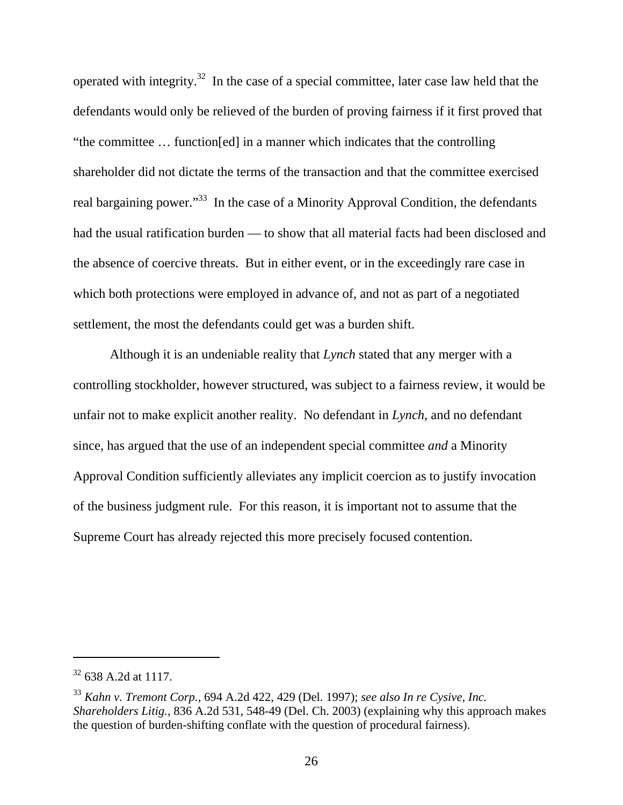operated with integrity.<sup>32</sup> In the case of a special committee, later case law held that the defendants would only be relieved of the burden of proving fairness if it first proved that "the committee … function[ed] in a manner which indicates that the controlling shareholder did not dictate the terms of the transaction and that the committee exercised real bargaining power."<sup>33</sup> In the case of a Minority Approval Condition, the defendants had the usual ratification burden — to show that all material facts had been disclosed and the absence of coercive threats. But in either event, or in the exceedingly rare case in which both protections were employed in advance of, and not as part of a negotiated settlement, the most the defendants could get was a burden shift.

Although it is an undeniable reality that *Lynch* stated that any merger with a controlling stockholder, however structured, was subject to a fairness review, it would be unfair not to make explicit another reality. No defendant in *Lynch*, and no defendant since, has argued that the use of an independent special committee *and* a Minority Approval Condition sufficiently alleviates any implicit coercion as to justify invocation of the business judgment rule. For this reason, it is important not to assume that the Supreme Court has already rejected this more precisely focused contention.

<sup>32 638</sup> A.2d at 1117.

<sup>33</sup> *Kahn v. Tremont Corp.*, 694 A.2d 422, 429 (Del. 1997); *see also In re Cysive, Inc. Shareholders Litig.*, 836 A.2d 531, 548-49 (Del. Ch. 2003) (explaining why this approach makes the question of burden-shifting conflate with the question of procedural fairness).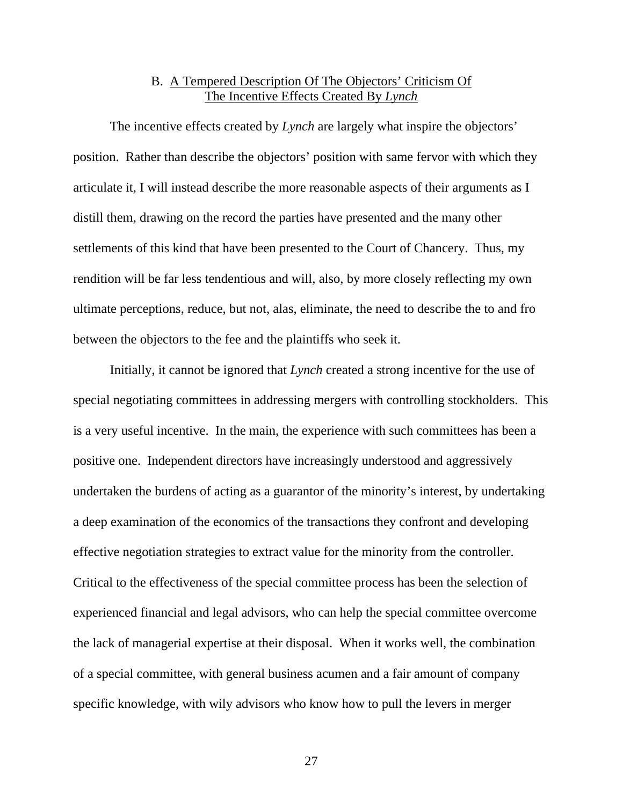# B. A Tempered Description Of The Objectors' Criticism Of The Incentive Effects Created By *Lynch*

The incentive effects created by *Lynch* are largely what inspire the objectors' position. Rather than describe the objectors' position with same fervor with which they articulate it, I will instead describe the more reasonable aspects of their arguments as I distill them, drawing on the record the parties have presented and the many other settlements of this kind that have been presented to the Court of Chancery. Thus, my rendition will be far less tendentious and will, also, by more closely reflecting my own ultimate perceptions, reduce, but not, alas, eliminate, the need to describe the to and fro between the objectors to the fee and the plaintiffs who seek it.

Initially, it cannot be ignored that *Lynch* created a strong incentive for the use of special negotiating committees in addressing mergers with controlling stockholders. This is a very useful incentive. In the main, the experience with such committees has been a positive one. Independent directors have increasingly understood and aggressively undertaken the burdens of acting as a guarantor of the minority's interest, by undertaking a deep examination of the economics of the transactions they confront and developing effective negotiation strategies to extract value for the minority from the controller. Critical to the effectiveness of the special committee process has been the selection of experienced financial and legal advisors, who can help the special committee overcome the lack of managerial expertise at their disposal. When it works well, the combination of a special committee, with general business acumen and a fair amount of company specific knowledge, with wily advisors who know how to pull the levers in merger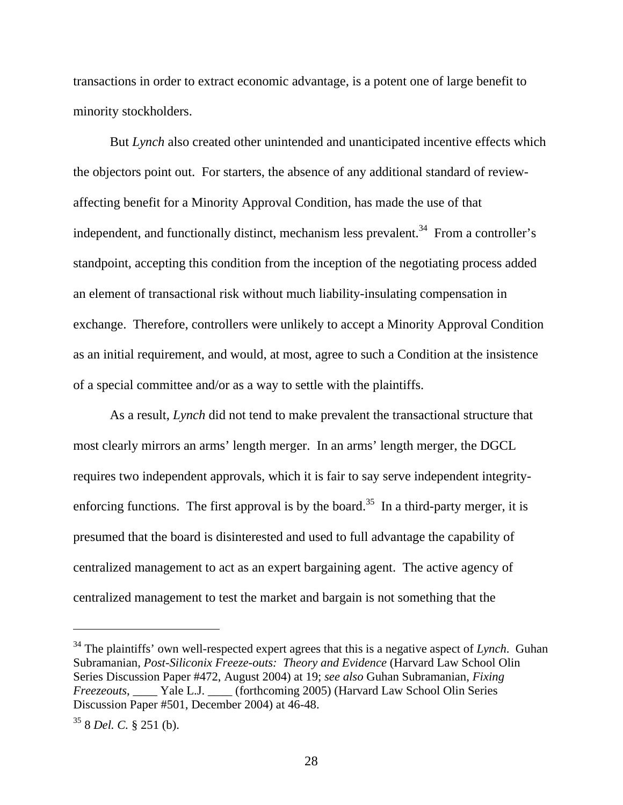transactions in order to extract economic advantage, is a potent one of large benefit to minority stockholders.

But *Lynch* also created other unintended and unanticipated incentive effects which the objectors point out. For starters, the absence of any additional standard of reviewaffecting benefit for a Minority Approval Condition, has made the use of that independent, and functionally distinct, mechanism less prevalent.<sup>34</sup> From a controller's standpoint, accepting this condition from the inception of the negotiating process added an element of transactional risk without much liability-insulating compensation in exchange. Therefore, controllers were unlikely to accept a Minority Approval Condition as an initial requirement, and would, at most, agree to such a Condition at the insistence of a special committee and/or as a way to settle with the plaintiffs.

As a result, *Lynch* did not tend to make prevalent the transactional structure that most clearly mirrors an arms' length merger. In an arms' length merger, the DGCL requires two independent approvals, which it is fair to say serve independent integrityenforcing functions. The first approval is by the board.<sup>35</sup> In a third-party merger, it is presumed that the board is disinterested and used to full advantage the capability of centralized management to act as an expert bargaining agent. The active agency of centralized management to test the market and bargain is not something that the

<sup>34</sup> The plaintiffs' own well-respected expert agrees that this is a negative aspect of *Lynch*. Guhan Subramanian, *Post-Siliconix Freeze-outs: Theory and Evidence* (Harvard Law School Olin Series Discussion Paper #472, August 2004) at 19; *see also* Guhan Subramanian, *Fixing Freezeouts*, \_\_\_\_ Yale L.J. \_\_\_\_ (forthcoming 2005) (Harvard Law School Olin Series Discussion Paper #501, December 2004) at 46-48.

 $35$  8 *Del. C.* § 251 (b).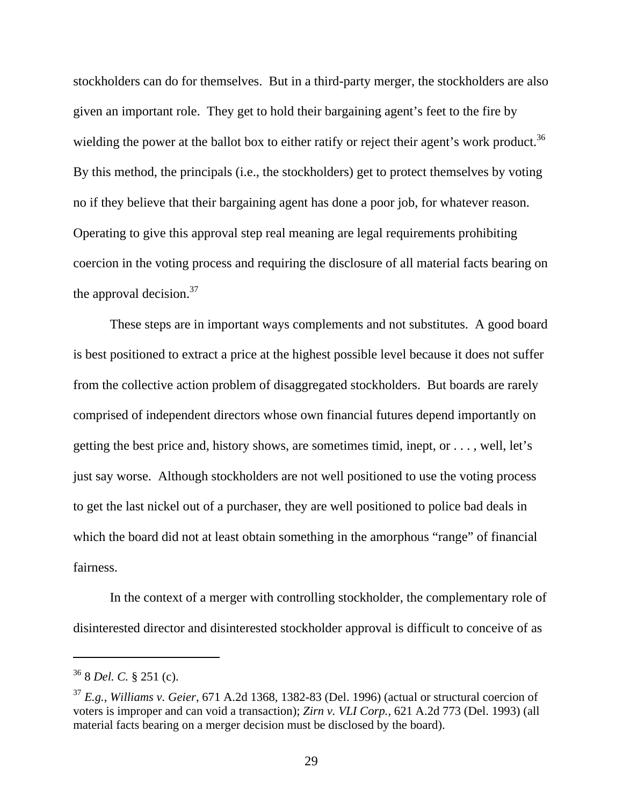stockholders can do for themselves. But in a third-party merger, the stockholders are also given an important role. They get to hold their bargaining agent's feet to the fire by wielding the power at the ballot box to either ratify or reject their agent's work product.<sup>36</sup> By this method, the principals (i.e., the stockholders) get to protect themselves by voting no if they believe that their bargaining agent has done a poor job, for whatever reason. Operating to give this approval step real meaning are legal requirements prohibiting coercion in the voting process and requiring the disclosure of all material facts bearing on the approval decision.<sup>37</sup>

These steps are in important ways complements and not substitutes. A good board is best positioned to extract a price at the highest possible level because it does not suffer from the collective action problem of disaggregated stockholders. But boards are rarely comprised of independent directors whose own financial futures depend importantly on getting the best price and, history shows, are sometimes timid, inept, or . . . , well, let's just say worse. Although stockholders are not well positioned to use the voting process to get the last nickel out of a purchaser, they are well positioned to police bad deals in which the board did not at least obtain something in the amorphous "range" of financial fairness.

In the context of a merger with controlling stockholder, the complementary role of disinterested director and disinterested stockholder approval is difficult to conceive of as

<sup>36 8</sup> *Del. C.* § 251 (c).

<sup>37</sup> *E.g.*, *Williams v. Geier*, 671 A.2d 1368, 1382-83 (Del. 1996) (actual or structural coercion of voters is improper and can void a transaction); *Zirn v. VLI Corp.,* 621 A.2d 773 (Del. 1993) (all material facts bearing on a merger decision must be disclosed by the board).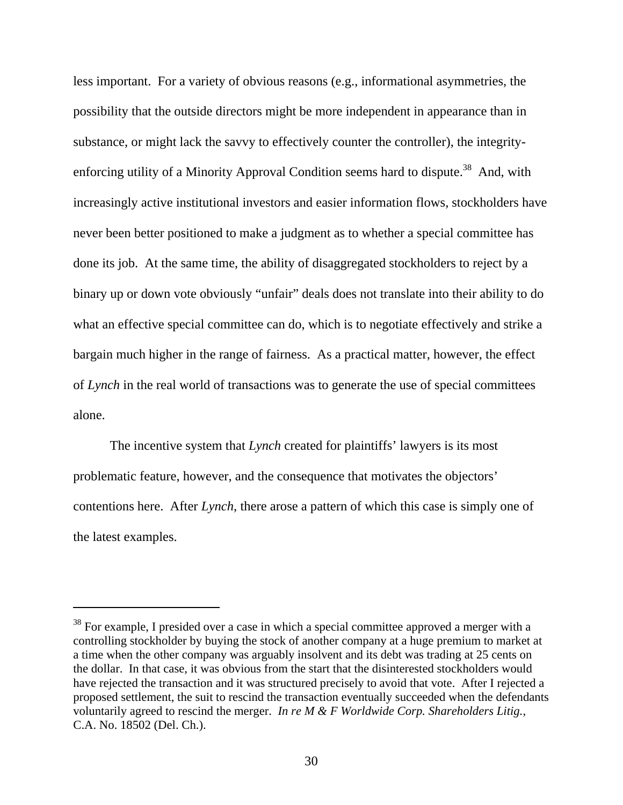less important. For a variety of obvious reasons (e.g., informational asymmetries, the possibility that the outside directors might be more independent in appearance than in substance, or might lack the savvy to effectively counter the controller), the integrityenforcing utility of a Minority Approval Condition seems hard to dispute.<sup>38</sup> And, with increasingly active institutional investors and easier information flows, stockholders have never been better positioned to make a judgment as to whether a special committee has done its job. At the same time, the ability of disaggregated stockholders to reject by a binary up or down vote obviously "unfair" deals does not translate into their ability to do what an effective special committee can do, which is to negotiate effectively and strike a bargain much higher in the range of fairness. As a practical matter, however, the effect of *Lynch* in the real world of transactions was to generate the use of special committees alone.

The incentive system that *Lynch* created for plaintiffs' lawyers is its most problematic feature, however, and the consequence that motivates the objectors' contentions here. After *Lynch*, there arose a pattern of which this case is simply one of the latest examples.

 $38$  For example, I presided over a case in which a special committee approved a merger with a controlling stockholder by buying the stock of another company at a huge premium to market at a time when the other company was arguably insolvent and its debt was trading at 25 cents on the dollar. In that case, it was obvious from the start that the disinterested stockholders would have rejected the transaction and it was structured precisely to avoid that vote. After I rejected a proposed settlement, the suit to rescind the transaction eventually succeeded when the defendants voluntarily agreed to rescind the merger. *In re M & F Worldwide Corp. Shareholders Litig.,*  C.A. No. 18502 (Del. Ch.).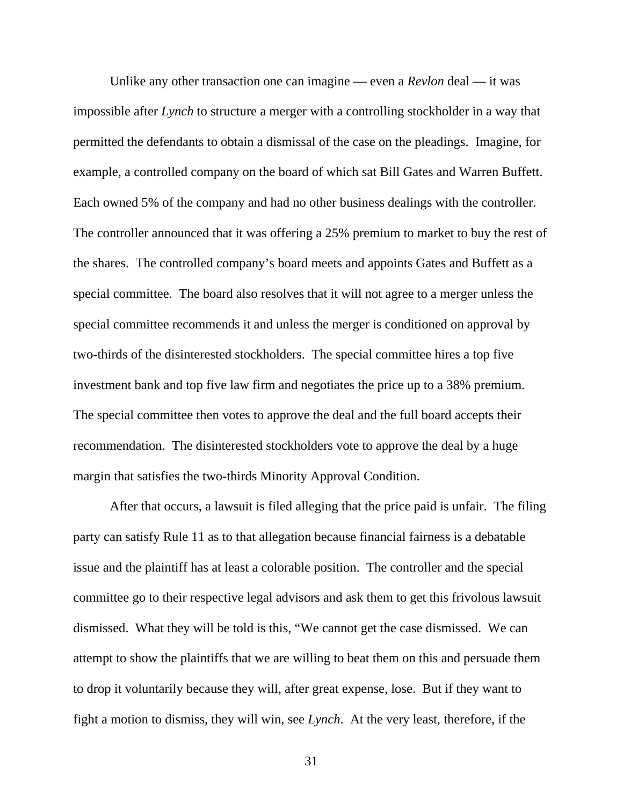Unlike any other transaction one can imagine — even a *Revlon* deal — it was impossible after *Lynch* to structure a merger with a controlling stockholder in a way that permitted the defendants to obtain a dismissal of the case on the pleadings. Imagine, for example, a controlled company on the board of which sat Bill Gates and Warren Buffett. Each owned 5% of the company and had no other business dealings with the controller. The controller announced that it was offering a 25% premium to market to buy the rest of the shares. The controlled company's board meets and appoints Gates and Buffett as a special committee. The board also resolves that it will not agree to a merger unless the special committee recommends it and unless the merger is conditioned on approval by two-thirds of the disinterested stockholders. The special committee hires a top five investment bank and top five law firm and negotiates the price up to a 38% premium. The special committee then votes to approve the deal and the full board accepts their recommendation. The disinterested stockholders vote to approve the deal by a huge margin that satisfies the two-thirds Minority Approval Condition.

After that occurs, a lawsuit is filed alleging that the price paid is unfair. The filing party can satisfy Rule 11 as to that allegation because financial fairness is a debatable issue and the plaintiff has at least a colorable position. The controller and the special committee go to their respective legal advisors and ask them to get this frivolous lawsuit dismissed. What they will be told is this, "We cannot get the case dismissed. We can attempt to show the plaintiffs that we are willing to beat them on this and persuade them to drop it voluntarily because they will, after great expense, lose. But if they want to fight a motion to dismiss, they will win, see *Lynch*. At the very least, therefore, if the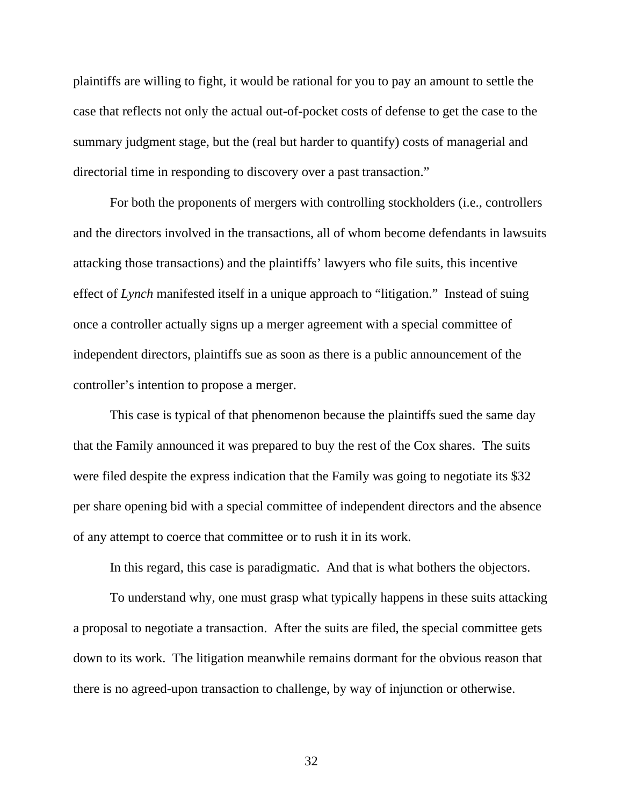plaintiffs are willing to fight, it would be rational for you to pay an amount to settle the case that reflects not only the actual out-of-pocket costs of defense to get the case to the summary judgment stage, but the (real but harder to quantify) costs of managerial and directorial time in responding to discovery over a past transaction."

For both the proponents of mergers with controlling stockholders (i.e., controllers and the directors involved in the transactions, all of whom become defendants in lawsuits attacking those transactions) and the plaintiffs' lawyers who file suits, this incentive effect of *Lynch* manifested itself in a unique approach to "litigation." Instead of suing once a controller actually signs up a merger agreement with a special committee of independent directors, plaintiffs sue as soon as there is a public announcement of the controller's intention to propose a merger.

This case is typical of that phenomenon because the plaintiffs sued the same day that the Family announced it was prepared to buy the rest of the Cox shares. The suits were filed despite the express indication that the Family was going to negotiate its \$32 per share opening bid with a special committee of independent directors and the absence of any attempt to coerce that committee or to rush it in its work.

In this regard, this case is paradigmatic. And that is what bothers the objectors.

To understand why, one must grasp what typically happens in these suits attacking a proposal to negotiate a transaction. After the suits are filed, the special committee gets down to its work. The litigation meanwhile remains dormant for the obvious reason that there is no agreed-upon transaction to challenge, by way of injunction or otherwise.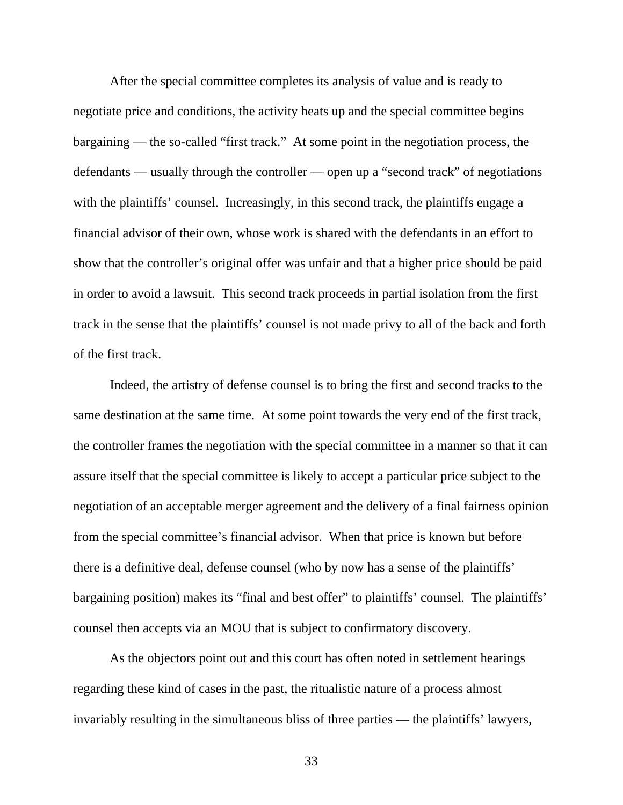After the special committee completes its analysis of value and is ready to negotiate price and conditions, the activity heats up and the special committee begins bargaining — the so-called "first track." At some point in the negotiation process, the defendants — usually through the controller — open up a "second track" of negotiations with the plaintiffs' counsel. Increasingly, in this second track, the plaintiffs engage a financial advisor of their own, whose work is shared with the defendants in an effort to show that the controller's original offer was unfair and that a higher price should be paid in order to avoid a lawsuit. This second track proceeds in partial isolation from the first track in the sense that the plaintiffs' counsel is not made privy to all of the back and forth of the first track.

Indeed, the artistry of defense counsel is to bring the first and second tracks to the same destination at the same time. At some point towards the very end of the first track, the controller frames the negotiation with the special committee in a manner so that it can assure itself that the special committee is likely to accept a particular price subject to the negotiation of an acceptable merger agreement and the delivery of a final fairness opinion from the special committee's financial advisor. When that price is known but before there is a definitive deal, defense counsel (who by now has a sense of the plaintiffs' bargaining position) makes its "final and best offer" to plaintiffs' counsel. The plaintiffs' counsel then accepts via an MOU that is subject to confirmatory discovery.

As the objectors point out and this court has often noted in settlement hearings regarding these kind of cases in the past, the ritualistic nature of a process almost invariably resulting in the simultaneous bliss of three parties — the plaintiffs' lawyers,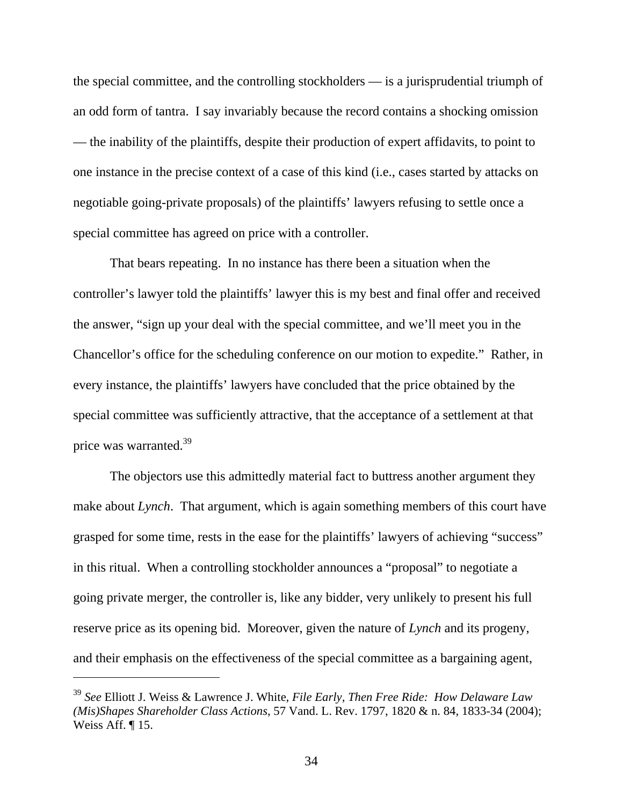the special committee, and the controlling stockholders — is a jurisprudential triumph of an odd form of tantra. I say invariably because the record contains a shocking omission — the inability of the plaintiffs, despite their production of expert affidavits, to point to one instance in the precise context of a case of this kind (i.e., cases started by attacks on negotiable going-private proposals) of the plaintiffs' lawyers refusing to settle once a special committee has agreed on price with a controller.

That bears repeating. In no instance has there been a situation when the controller's lawyer told the plaintiffs' lawyer this is my best and final offer and received the answer, "sign up your deal with the special committee, and we'll meet you in the Chancellor's office for the scheduling conference on our motion to expedite." Rather, in every instance, the plaintiffs' lawyers have concluded that the price obtained by the special committee was sufficiently attractive, that the acceptance of a settlement at that price was warranted.<sup>39</sup>

The objectors use this admittedly material fact to buttress another argument they make about *Lynch*. That argument, which is again something members of this court have grasped for some time, rests in the ease for the plaintiffs' lawyers of achieving "success" in this ritual. When a controlling stockholder announces a "proposal" to negotiate a going private merger, the controller is, like any bidder, very unlikely to present his full reserve price as its opening bid. Moreover, given the nature of *Lynch* and its progeny, and their emphasis on the effectiveness of the special committee as a bargaining agent,

<sup>39</sup> *See* Elliott J. Weiss & Lawrence J. White*, File Early, Then Free Ride: How Delaware Law (Mis)Shapes Shareholder Class Actions*, 57 Vand. L. Rev. 1797, 1820 & n. 84, 1833-34 (2004); Weiss Aff. ¶ 15.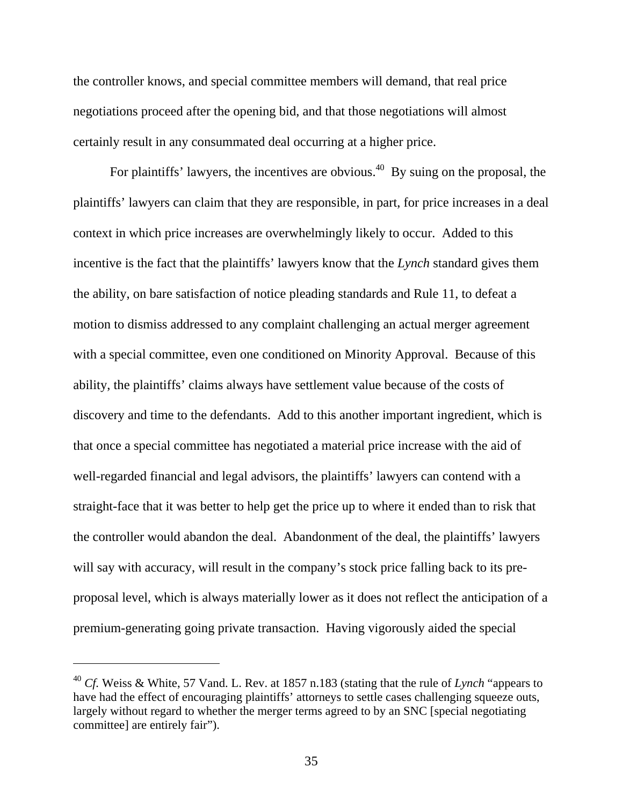the controller knows, and special committee members will demand, that real price negotiations proceed after the opening bid, and that those negotiations will almost certainly result in any consummated deal occurring at a higher price.

For plaintiffs' lawyers, the incentives are obvious.<sup>40</sup> By suing on the proposal, the plaintiffs' lawyers can claim that they are responsible, in part, for price increases in a deal context in which price increases are overwhelmingly likely to occur. Added to this incentive is the fact that the plaintiffs' lawyers know that the *Lynch* standard gives them the ability, on bare satisfaction of notice pleading standards and Rule 11, to defeat a motion to dismiss addressed to any complaint challenging an actual merger agreement with a special committee, even one conditioned on Minority Approval. Because of this ability, the plaintiffs' claims always have settlement value because of the costs of discovery and time to the defendants. Add to this another important ingredient, which is that once a special committee has negotiated a material price increase with the aid of well-regarded financial and legal advisors, the plaintiffs' lawyers can contend with a straight-face that it was better to help get the price up to where it ended than to risk that the controller would abandon the deal. Abandonment of the deal, the plaintiffs' lawyers will say with accuracy, will result in the company's stock price falling back to its preproposal level, which is always materially lower as it does not reflect the anticipation of a premium-generating going private transaction. Having vigorously aided the special

<sup>40</sup> *Cf.* Weiss & White, 57 Vand. L. Rev. at 1857 n.183 (stating that the rule of *Lynch* "appears to have had the effect of encouraging plaintiffs' attorneys to settle cases challenging squeeze outs, largely without regard to whether the merger terms agreed to by an SNC [special negotiating committee] are entirely fair").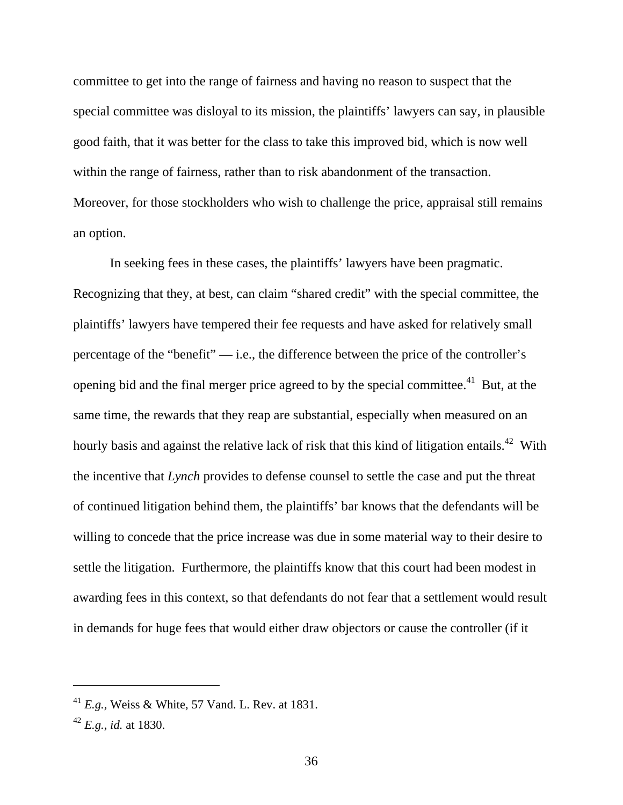committee to get into the range of fairness and having no reason to suspect that the special committee was disloyal to its mission, the plaintiffs' lawyers can say, in plausible good faith, that it was better for the class to take this improved bid, which is now well within the range of fairness, rather than to risk abandonment of the transaction. Moreover, for those stockholders who wish to challenge the price, appraisal still remains an option.

In seeking fees in these cases, the plaintiffs' lawyers have been pragmatic. Recognizing that they, at best, can claim "shared credit" with the special committee, the plaintiffs' lawyers have tempered their fee requests and have asked for relatively small percentage of the "benefit"  $\frac{d}{dt}$  i.e., the difference between the price of the controller's opening bid and the final merger price agreed to by the special committee.<sup>41</sup> But, at the same time, the rewards that they reap are substantial, especially when measured on an hourly basis and against the relative lack of risk that this kind of litigation entails.<sup>42</sup> With the incentive that *Lynch* provides to defense counsel to settle the case and put the threat of continued litigation behind them, the plaintiffs' bar knows that the defendants will be willing to concede that the price increase was due in some material way to their desire to settle the litigation. Furthermore, the plaintiffs know that this court had been modest in awarding fees in this context, so that defendants do not fear that a settlement would result in demands for huge fees that would either draw objectors or cause the controller (if it

<sup>41</sup> *E.g.,* Weiss & White, 57 Vand. L. Rev. at 1831.

<sup>42</sup> *E.g.*, *id.* at 1830.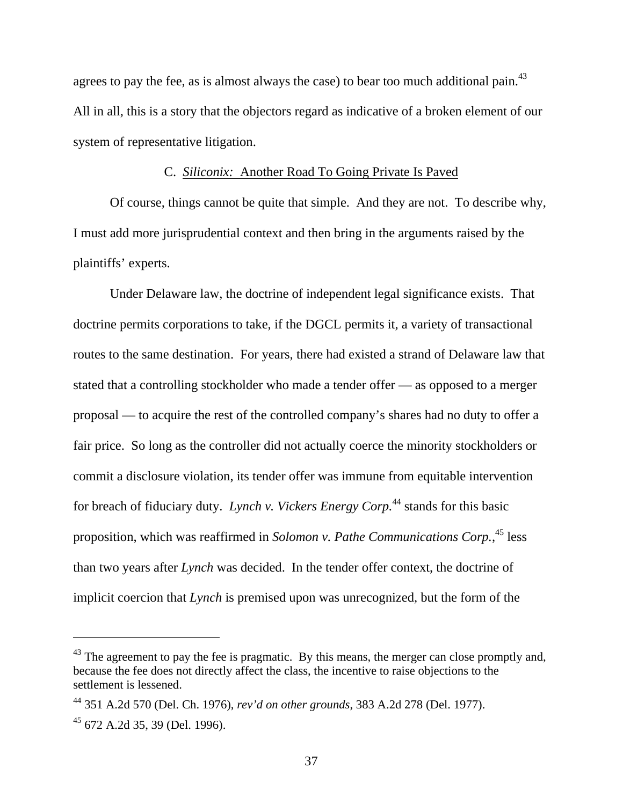agrees to pay the fee, as is almost always the case) to bear too much additional pain.<sup>43</sup> All in all, this is a story that the objectors regard as indicative of a broken element of our system of representative litigation.

## C. *Siliconix:* Another Road To Going Private Is Paved

Of course, things cannot be quite that simple. And they are not. To describe why, I must add more jurisprudential context and then bring in the arguments raised by the plaintiffs' experts.

Under Delaware law, the doctrine of independent legal significance exists. That doctrine permits corporations to take, if the DGCL permits it, a variety of transactional routes to the same destination. For years, there had existed a strand of Delaware law that stated that a controlling stockholder who made a tender offer — as opposed to a merger proposal — to acquire the rest of the controlled company's shares had no duty to offer a fair price. So long as the controller did not actually coerce the minority stockholders or commit a disclosure violation, its tender offer was immune from equitable intervention for breach of fiduciary duty. *Lynch v. Vickers Energy Corp.*44 stands for this basic proposition, which was reaffirmed in *Solomon v. Pathe Communications Corp.*, 45 less than two years after *Lynch* was decided. In the tender offer context, the doctrine of implicit coercion that *Lynch* is premised upon was unrecognized, but the form of the

 $43$  The agreement to pay the fee is pragmatic. By this means, the merger can close promptly and, because the fee does not directly affect the class, the incentive to raise objections to the settlement is lessened.

<sup>44 351</sup> A.2d 570 (Del. Ch. 1976), *rev'd on other grounds*, 383 A.2d 278 (Del. 1977).  $45$  672 A.2d 35, 39 (Del. 1996).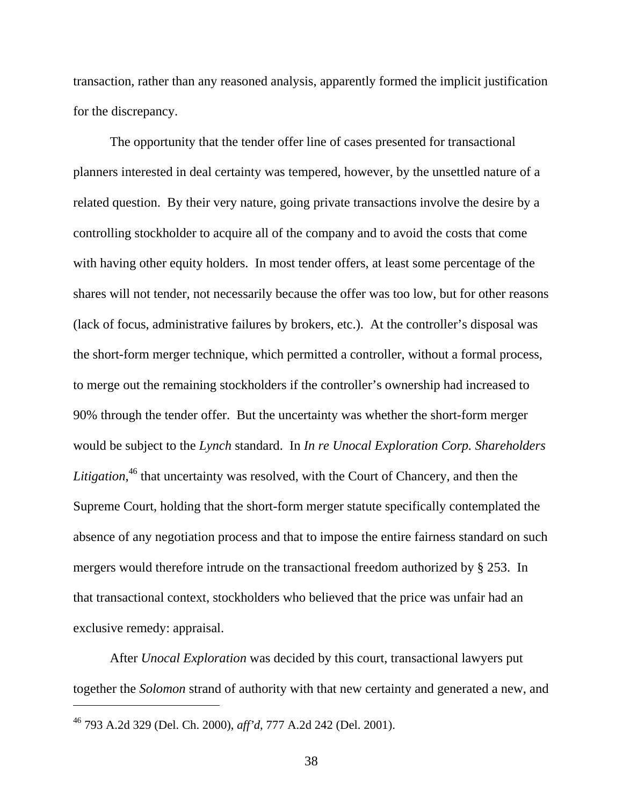transaction, rather than any reasoned analysis, apparently formed the implicit justification for the discrepancy.

The opportunity that the tender offer line of cases presented for transactional planners interested in deal certainty was tempered, however, by the unsettled nature of a related question. By their very nature, going private transactions involve the desire by a controlling stockholder to acquire all of the company and to avoid the costs that come with having other equity holders. In most tender offers, at least some percentage of the shares will not tender, not necessarily because the offer was too low, but for other reasons (lack of focus, administrative failures by brokers, etc.). At the controller's disposal was the short-form merger technique, which permitted a controller, without a formal process, to merge out the remaining stockholders if the controller's ownership had increased to 90% through the tender offer. But the uncertainty was whether the short-form merger would be subject to the *Lynch* standard. In *In re Unocal Exploration Corp. Shareholders*  Litigation,<sup>46</sup> that uncertainty was resolved, with the Court of Chancery, and then the Supreme Court, holding that the short-form merger statute specifically contemplated the absence of any negotiation process and that to impose the entire fairness standard on such mergers would therefore intrude on the transactional freedom authorized by § 253. In that transactional context, stockholders who believed that the price was unfair had an exclusive remedy: appraisal.

After *Unocal Exploration* was decided by this court, transactional lawyers put together the *Solomon* strand of authority with that new certainty and generated a new, and 

<sup>46 793</sup> A.2d 329 (Del. Ch. 2000), *aff'd*, 777 A.2d 242 (Del. 2001).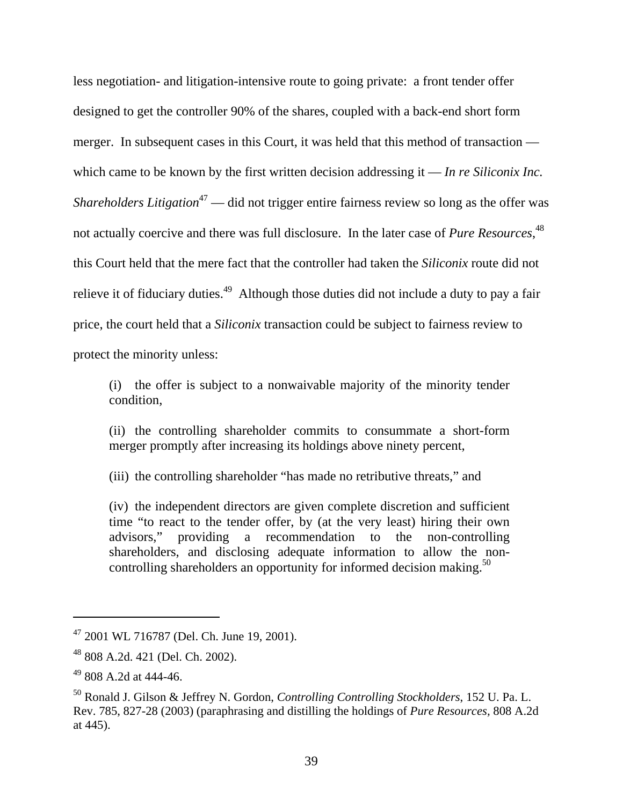less negotiation- and litigation-intensive route to going private: a front tender offer designed to get the controller 90% of the shares, coupled with a back-end short form merger. In subsequent cases in this Court, it was held that this method of transaction which came to be known by the first written decision addressing it — *In re Siliconix Inc. Shareholders Litigation*<sup>47</sup> — did not trigger entire fairness review so long as the offer was not actually coercive and there was full disclosure. In the later case of *Pure Resources*, 48 this Court held that the mere fact that the controller had taken the *Siliconix* route did not relieve it of fiduciary duties.<sup>49</sup> Although those duties did not include a duty to pay a fair price, the court held that a *Siliconix* transaction could be subject to fairness review to protect the minority unless:

(i) the offer is subject to a nonwaivable majority of the minority tender condition,

(ii) the controlling shareholder commits to consummate a short-form merger promptly after increasing its holdings above ninety percent,

(iii) the controlling shareholder "has made no retributive threats," and

(iv) the independent directors are given complete discretion and sufficient time "to react to the tender offer, by (at the very least) hiring their own advisors," providing a recommendation to the non-controlling shareholders, and disclosing adequate information to allow the noncontrolling shareholders an opportunity for informed decision making.<sup>50</sup>

<sup>47 2001</sup> WL 716787 (Del. Ch. June 19, 2001).

<sup>48 808</sup> A.2d. 421 (Del. Ch. 2002).

<sup>49 808</sup> A.2d at 444-46.

<sup>50</sup> Ronald J. Gilson & Jeffrey N. Gordon, *Controlling Controlling Stockholders*, 152 U. Pa. L. Rev. 785, 827-28 (2003) (paraphrasing and distilling the holdings of *Pure Resources,* 808 A.2d at 445).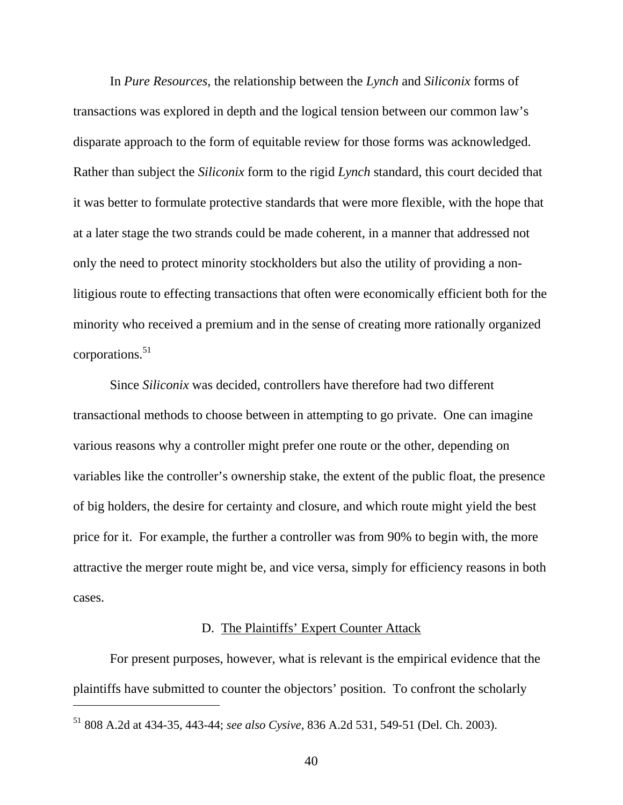In *Pure Resources*, the relationship between the *Lynch* and *Siliconix* forms of transactions was explored in depth and the logical tension between our common law's disparate approach to the form of equitable review for those forms was acknowledged. Rather than subject the *Siliconix* form to the rigid *Lynch* standard, this court decided that it was better to formulate protective standards that were more flexible, with the hope that at a later stage the two strands could be made coherent, in a manner that addressed not only the need to protect minority stockholders but also the utility of providing a nonlitigious route to effecting transactions that often were economically efficient both for the minority who received a premium and in the sense of creating more rationally organized corporations.<sup>51</sup>

Since *Siliconix* was decided, controllers have therefore had two different transactional methods to choose between in attempting to go private. One can imagine various reasons why a controller might prefer one route or the other, depending on variables like the controller's ownership stake, the extent of the public float, the presence of big holders, the desire for certainty and closure, and which route might yield the best price for it. For example, the further a controller was from 90% to begin with, the more attractive the merger route might be, and vice versa, simply for efficiency reasons in both cases.

## D. The Plaintiffs' Expert Counter Attack

For present purposes, however, what is relevant is the empirical evidence that the plaintiffs have submitted to counter the objectors' position. To confront the scholarly

<sup>51 808</sup> A.2d at 434-35, 443-44; *see also Cysive*, 836 A.2d 531, 549-51 (Del. Ch. 2003).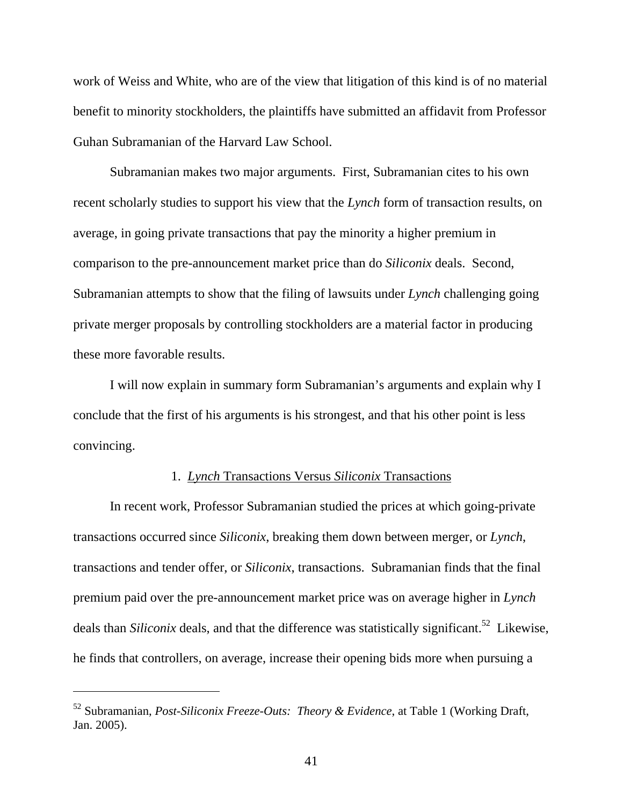work of Weiss and White, who are of the view that litigation of this kind is of no material benefit to minority stockholders, the plaintiffs have submitted an affidavit from Professor Guhan Subramanian of the Harvard Law School.

Subramanian makes two major arguments. First, Subramanian cites to his own recent scholarly studies to support his view that the *Lynch* form of transaction results, on average, in going private transactions that pay the minority a higher premium in comparison to the pre-announcement market price than do *Siliconix* deals. Second, Subramanian attempts to show that the filing of lawsuits under *Lynch* challenging going private merger proposals by controlling stockholders are a material factor in producing these more favorable results.

I will now explain in summary form Subramanian's arguments and explain why I conclude that the first of his arguments is his strongest, and that his other point is less convincing.

### 1. *Lynch* Transactions Versus *Siliconix* Transactions

In recent work, Professor Subramanian studied the prices at which going-private transactions occurred since *Siliconix*, breaking them down between merger, or *Lynch*, transactions and tender offer, or *Siliconix*, transactions. Subramanian finds that the final premium paid over the pre-announcement market price was on average higher in *Lynch* deals than *Siliconix* deals, and that the difference was statistically significant.<sup>52</sup> Likewise, he finds that controllers, on average, increase their opening bids more when pursuing a

<sup>52</sup> Subramanian, *Post-Siliconix Freeze-Outs: Theory & Evidence*, at Table 1 (Working Draft, Jan. 2005).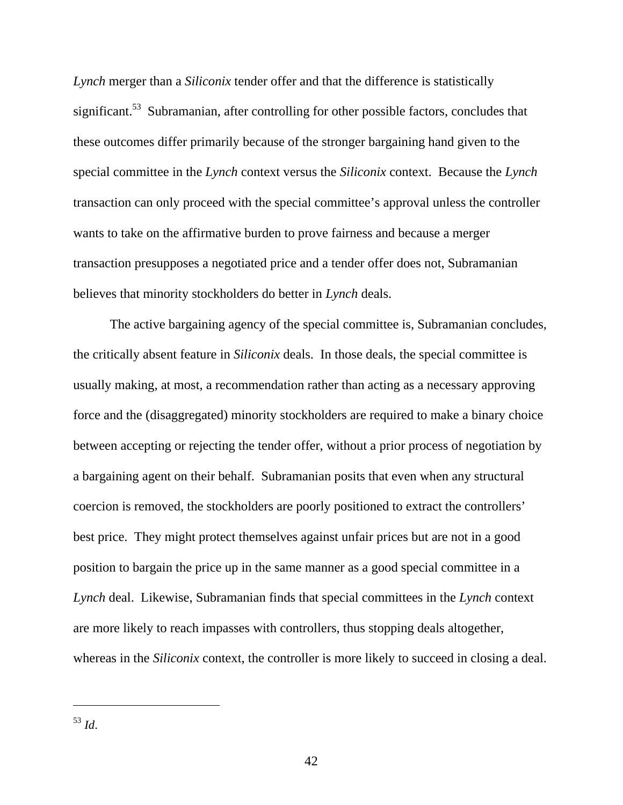*Lynch* merger than a *Siliconix* tender offer and that the difference is statistically significant.<sup>53</sup> Subramanian, after controlling for other possible factors, concludes that these outcomes differ primarily because of the stronger bargaining hand given to the special committee in the *Lynch* context versus the *Siliconix* context. Because the *Lynch* transaction can only proceed with the special committee's approval unless the controller wants to take on the affirmative burden to prove fairness and because a merger transaction presupposes a negotiated price and a tender offer does not, Subramanian believes that minority stockholders do better in *Lynch* deals.

The active bargaining agency of the special committee is, Subramanian concludes, the critically absent feature in *Siliconix* deals. In those deals, the special committee is usually making, at most, a recommendation rather than acting as a necessary approving force and the (disaggregated) minority stockholders are required to make a binary choice between accepting or rejecting the tender offer, without a prior process of negotiation by a bargaining agent on their behalf. Subramanian posits that even when any structural coercion is removed, the stockholders are poorly positioned to extract the controllers' best price. They might protect themselves against unfair prices but are not in a good position to bargain the price up in the same manner as a good special committee in a *Lynch* deal. Likewise, Subramanian finds that special committees in the *Lynch* context are more likely to reach impasses with controllers, thus stopping deals altogether, whereas in the *Siliconix* context, the controller is more likely to succeed in closing a deal.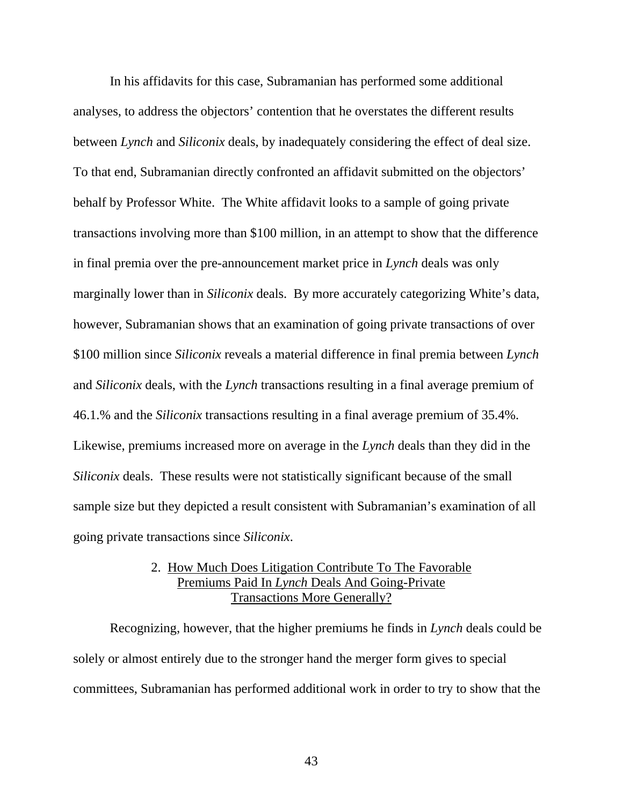In his affidavits for this case, Subramanian has performed some additional analyses, to address the objectors' contention that he overstates the different results between *Lynch* and *Siliconix* deals, by inadequately considering the effect of deal size. To that end, Subramanian directly confronted an affidavit submitted on the objectors' behalf by Professor White. The White affidavit looks to a sample of going private transactions involving more than \$100 million, in an attempt to show that the difference in final premia over the pre-announcement market price in *Lynch* deals was only marginally lower than in *Siliconix* deals. By more accurately categorizing White's data, however, Subramanian shows that an examination of going private transactions of over \$100 million since *Siliconix* reveals a material difference in final premia between *Lynch* and *Siliconix* deals, with the *Lynch* transactions resulting in a final average premium of 46.1.% and the *Siliconix* transactions resulting in a final average premium of 35.4%. Likewise, premiums increased more on average in the *Lynch* deals than they did in the *Siliconix* deals. These results were not statistically significant because of the small sample size but they depicted a result consistent with Subramanian's examination of all going private transactions since *Siliconix*.

# 2. How Much Does Litigation Contribute To The Favorable Premiums Paid In *Lynch* Deals And Going-Private Transactions More Generally?

Recognizing, however, that the higher premiums he finds in *Lynch* deals could be solely or almost entirely due to the stronger hand the merger form gives to special committees, Subramanian has performed additional work in order to try to show that the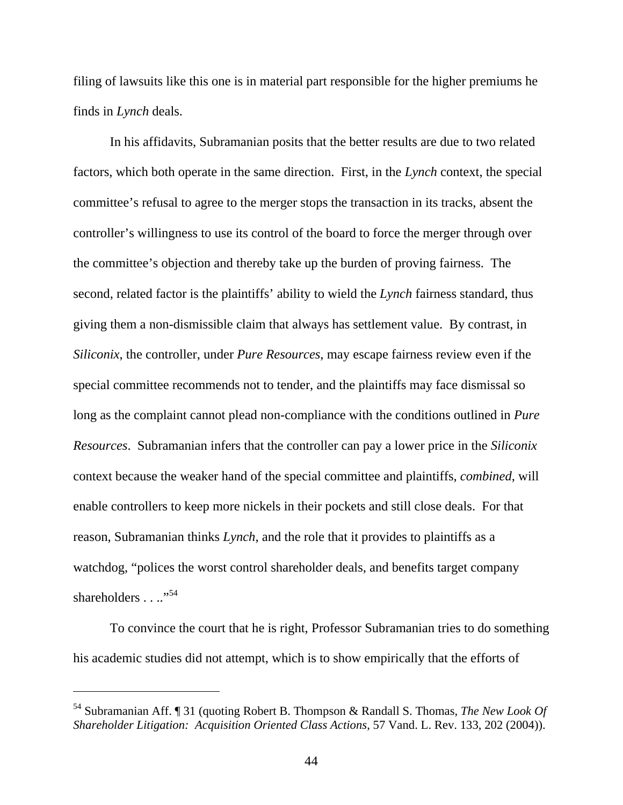filing of lawsuits like this one is in material part responsible for the higher premiums he finds in *Lynch* deals.

In his affidavits, Subramanian posits that the better results are due to two related factors, which both operate in the same direction. First, in the *Lynch* context, the special committee's refusal to agree to the merger stops the transaction in its tracks, absent the controller's willingness to use its control of the board to force the merger through over the committee's objection and thereby take up the burden of proving fairness. The second, related factor is the plaintiffs' ability to wield the *Lynch* fairness standard, thus giving them a non-dismissible claim that always has settlement value. By contrast, in *Siliconix*, the controller, under *Pure Resources*, may escape fairness review even if the special committee recommends not to tender, and the plaintiffs may face dismissal so long as the complaint cannot plead non-compliance with the conditions outlined in *Pure Resources*. Subramanian infers that the controller can pay a lower price in the *Siliconix* context because the weaker hand of the special committee and plaintiffs, *combined*, will enable controllers to keep more nickels in their pockets and still close deals. For that reason, Subramanian thinks *Lynch*, and the role that it provides to plaintiffs as a watchdog, "polices the worst control shareholder deals, and benefits target company shareholders . . ..<sup>54</sup>

To convince the court that he is right, Professor Subramanian tries to do something his academic studies did not attempt, which is to show empirically that the efforts of

<sup>54</sup> Subramanian Aff. ¶ 31 (quoting Robert B. Thompson & Randall S. Thomas, *The New Look Of Shareholder Litigation: Acquisition Oriented Class Actions*, 57 Vand. L. Rev. 133, 202 (2004)).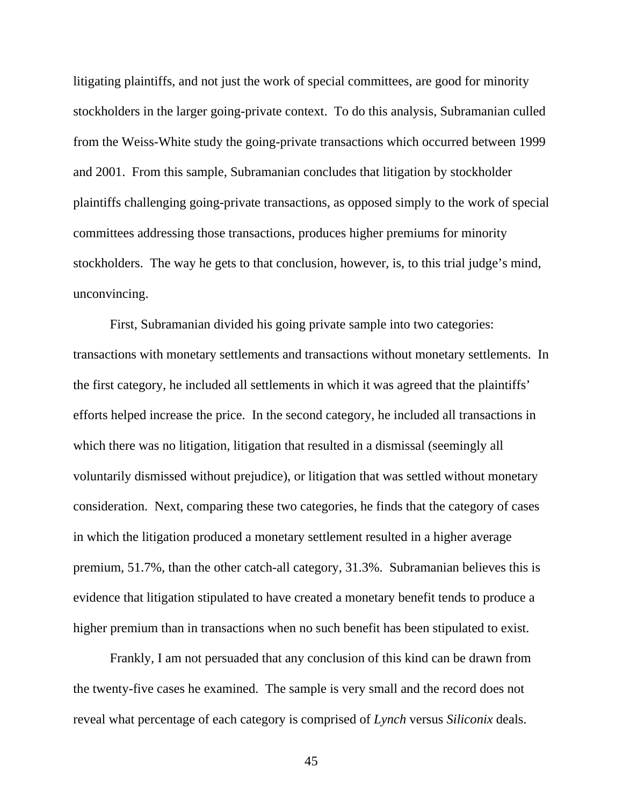litigating plaintiffs, and not just the work of special committees, are good for minority stockholders in the larger going-private context. To do this analysis, Subramanian culled from the Weiss-White study the going-private transactions which occurred between 1999 and 2001. From this sample, Subramanian concludes that litigation by stockholder plaintiffs challenging going-private transactions, as opposed simply to the work of special committees addressing those transactions, produces higher premiums for minority stockholders. The way he gets to that conclusion, however, is, to this trial judge's mind, unconvincing.

First, Subramanian divided his going private sample into two categories: transactions with monetary settlements and transactions without monetary settlements. In the first category, he included all settlements in which it was agreed that the plaintiffs' efforts helped increase the price. In the second category, he included all transactions in which there was no litigation, litigation that resulted in a dismissal (seemingly all voluntarily dismissed without prejudice), or litigation that was settled without monetary consideration. Next, comparing these two categories, he finds that the category of cases in which the litigation produced a monetary settlement resulted in a higher average premium, 51.7%, than the other catch-all category, 31.3%. Subramanian believes this is evidence that litigation stipulated to have created a monetary benefit tends to produce a higher premium than in transactions when no such benefit has been stipulated to exist.

Frankly, I am not persuaded that any conclusion of this kind can be drawn from the twenty-five cases he examined. The sample is very small and the record does not reveal what percentage of each category is comprised of *Lynch* versus *Siliconix* deals.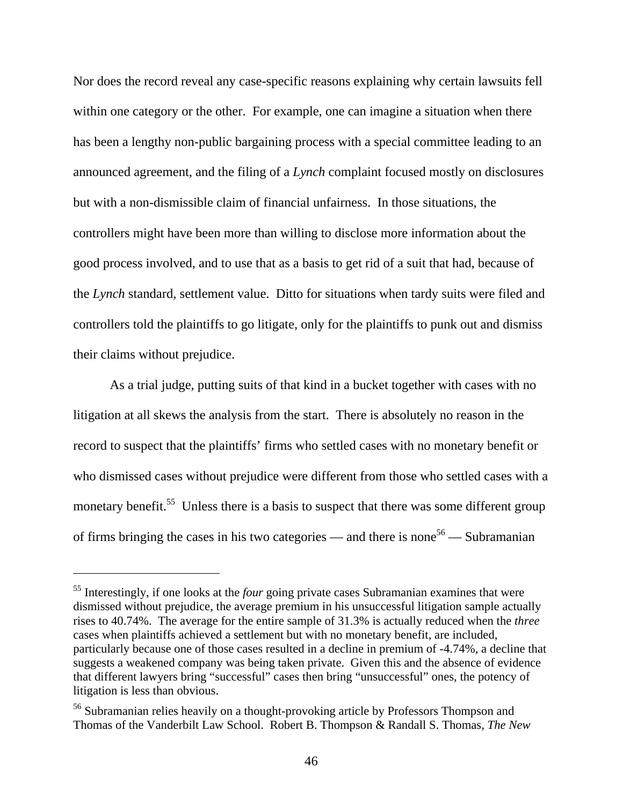Nor does the record reveal any case-specific reasons explaining why certain lawsuits fell within one category or the other. For example, one can imagine a situation when there has been a lengthy non-public bargaining process with a special committee leading to an announced agreement, and the filing of a *Lynch* complaint focused mostly on disclosures but with a non-dismissible claim of financial unfairness. In those situations, the controllers might have been more than willing to disclose more information about the good process involved, and to use that as a basis to get rid of a suit that had, because of the *Lynch* standard, settlement value. Ditto for situations when tardy suits were filed and controllers told the plaintiffs to go litigate, only for the plaintiffs to punk out and dismiss their claims without prejudice.

As a trial judge, putting suits of that kind in a bucket together with cases with no litigation at all skews the analysis from the start. There is absolutely no reason in the record to suspect that the plaintiffs' firms who settled cases with no monetary benefit or who dismissed cases without prejudice were different from those who settled cases with a monetary benefit.<sup>55</sup> Unless there is a basis to suspect that there was some different group of firms bringing the cases in his two categories — and there is none<sup>56</sup> — Subramanian

<sup>55</sup> Interestingly, if one looks at the *four* going private cases Subramanian examines that were dismissed without prejudice, the average premium in his unsuccessful litigation sample actually rises to 40.74%. The average for the entire sample of 31.3% is actually reduced when the *three* cases when plaintiffs achieved a settlement but with no monetary benefit, are included, particularly because one of those cases resulted in a decline in premium of -4.74%, a decline that suggests a weakened company was being taken private. Given this and the absence of evidence that different lawyers bring "successful" cases then bring "unsuccessful" ones, the potency of litigation is less than obvious.

<sup>&</sup>lt;sup>56</sup> Subramanian relies heavily on a thought-provoking article by Professors Thompson and Thomas of the Vanderbilt Law School. Robert B. Thompson & Randall S. Thomas, *The New*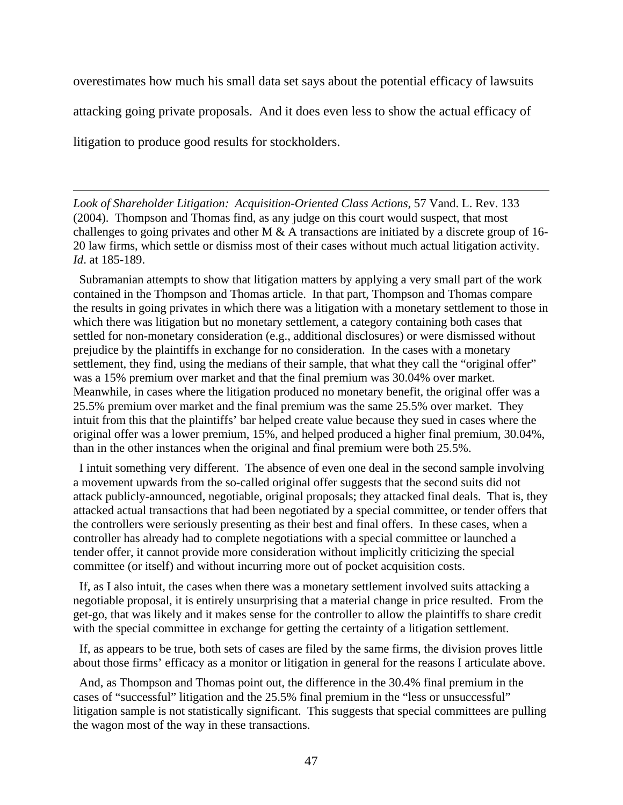overestimates how much his small data set says about the potential efficacy of lawsuits

attacking going private proposals. And it does even less to show the actual efficacy of

litigation to produce good results for stockholders.

 $\overline{a}$ 

*Look of Shareholder Litigation: Acquisition-Oriented Class Actions*, 57 Vand. L. Rev. 133 (2004). Thompson and Thomas find, as any judge on this court would suspect, that most challenges to going privates and other M  $\&$  A transactions are initiated by a discrete group of 16-20 law firms, which settle or dismiss most of their cases without much actual litigation activity. *Id*. at 185-189.

 Subramanian attempts to show that litigation matters by applying a very small part of the work contained in the Thompson and Thomas article. In that part, Thompson and Thomas compare the results in going privates in which there was a litigation with a monetary settlement to those in which there was litigation but no monetary settlement, a category containing both cases that settled for non-monetary consideration (e.g., additional disclosures) or were dismissed without prejudice by the plaintiffs in exchange for no consideration. In the cases with a monetary settlement, they find, using the medians of their sample, that what they call the "original offer" was a 15% premium over market and that the final premium was 30.04% over market. Meanwhile, in cases where the litigation produced no monetary benefit, the original offer was a 25.5% premium over market and the final premium was the same 25.5% over market. They intuit from this that the plaintiffs' bar helped create value because they sued in cases where the original offer was a lower premium, 15%, and helped produced a higher final premium, 30.04%, than in the other instances when the original and final premium were both 25.5%.

 I intuit something very different. The absence of even one deal in the second sample involving a movement upwards from the so-called original offer suggests that the second suits did not attack publicly-announced, negotiable, original proposals; they attacked final deals. That is, they attacked actual transactions that had been negotiated by a special committee, or tender offers that the controllers were seriously presenting as their best and final offers. In these cases, when a controller has already had to complete negotiations with a special committee or launched a tender offer, it cannot provide more consideration without implicitly criticizing the special committee (or itself) and without incurring more out of pocket acquisition costs.

 If, as I also intuit, the cases when there was a monetary settlement involved suits attacking a negotiable proposal, it is entirely unsurprising that a material change in price resulted. From the get-go, that was likely and it makes sense for the controller to allow the plaintiffs to share credit with the special committee in exchange for getting the certainty of a litigation settlement.

 If, as appears to be true, both sets of cases are filed by the same firms, the division proves little about those firms' efficacy as a monitor or litigation in general for the reasons I articulate above.

 And, as Thompson and Thomas point out, the difference in the 30.4% final premium in the cases of "successful" litigation and the 25.5% final premium in the "less or unsuccessful" litigation sample is not statistically significant. This suggests that special committees are pulling the wagon most of the way in these transactions.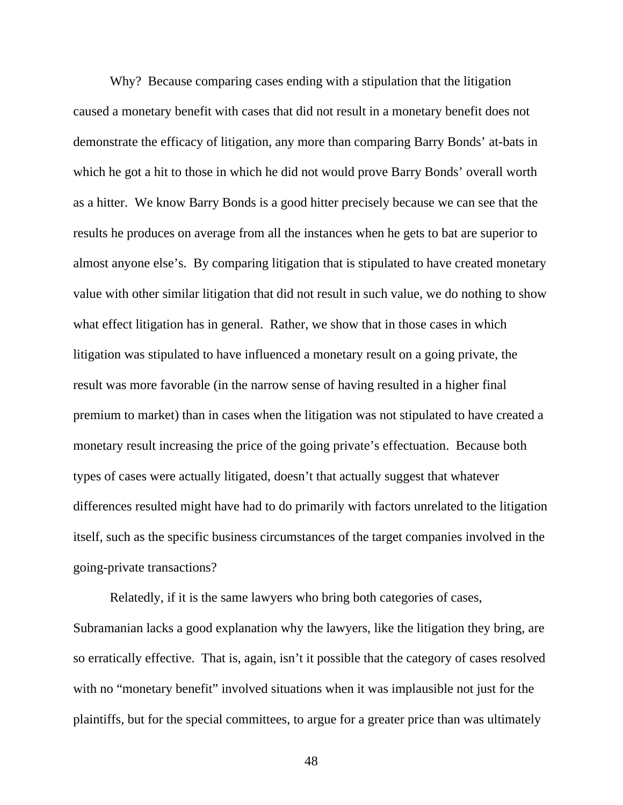Why? Because comparing cases ending with a stipulation that the litigation caused a monetary benefit with cases that did not result in a monetary benefit does not demonstrate the efficacy of litigation, any more than comparing Barry Bonds' at-bats in which he got a hit to those in which he did not would prove Barry Bonds' overall worth as a hitter. We know Barry Bonds is a good hitter precisely because we can see that the results he produces on average from all the instances when he gets to bat are superior to almost anyone else's. By comparing litigation that is stipulated to have created monetary value with other similar litigation that did not result in such value, we do nothing to show what effect litigation has in general. Rather, we show that in those cases in which litigation was stipulated to have influenced a monetary result on a going private, the result was more favorable (in the narrow sense of having resulted in a higher final premium to market) than in cases when the litigation was not stipulated to have created a monetary result increasing the price of the going private's effectuation. Because both types of cases were actually litigated, doesn't that actually suggest that whatever differences resulted might have had to do primarily with factors unrelated to the litigation itself, such as the specific business circumstances of the target companies involved in the going-private transactions?

Relatedly, if it is the same lawyers who bring both categories of cases, Subramanian lacks a good explanation why the lawyers, like the litigation they bring, are so erratically effective. That is, again, isn't it possible that the category of cases resolved with no "monetary benefit" involved situations when it was implausible not just for the plaintiffs, but for the special committees, to argue for a greater price than was ultimately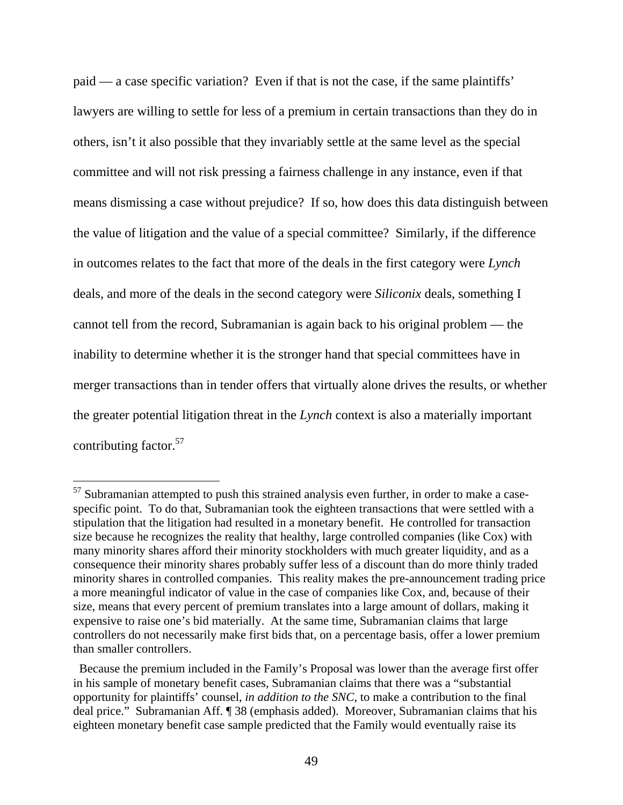paid — a case specific variation? Even if that is not the case, if the same plaintiffs' lawyers are willing to settle for less of a premium in certain transactions than they do in others, isn't it also possible that they invariably settle at the same level as the special committee and will not risk pressing a fairness challenge in any instance, even if that means dismissing a case without prejudice? If so, how does this data distinguish between the value of litigation and the value of a special committee? Similarly, if the difference in outcomes relates to the fact that more of the deals in the first category were *Lynch* deals, and more of the deals in the second category were *Siliconix* deals, something I cannot tell from the record, Subramanian is again back to his original problem — the inability to determine whether it is the stronger hand that special committees have in merger transactions than in tender offers that virtually alone drives the results, or whether the greater potential litigation threat in the *Lynch* context is also a materially important contributing factor.57

 $<sup>57</sup>$  Subramanian attempted to push this strained analysis even further, in order to make a case-</sup> specific point. To do that, Subramanian took the eighteen transactions that were settled with a stipulation that the litigation had resulted in a monetary benefit. He controlled for transaction size because he recognizes the reality that healthy, large controlled companies (like Cox) with many minority shares afford their minority stockholders with much greater liquidity, and as a consequence their minority shares probably suffer less of a discount than do more thinly traded minority shares in controlled companies. This reality makes the pre-announcement trading price a more meaningful indicator of value in the case of companies like Cox, and, because of their size, means that every percent of premium translates into a large amount of dollars, making it expensive to raise one's bid materially. At the same time, Subramanian claims that large controllers do not necessarily make first bids that, on a percentage basis, offer a lower premium than smaller controllers.

Because the premium included in the Family's Proposal was lower than the average first offer in his sample of monetary benefit cases, Subramanian claims that there was a "substantial opportunity for plaintiffs' counsel, *in addition to the SNC*, to make a contribution to the final deal price." Subramanian Aff. ¶ 38 (emphasis added). Moreover, Subramanian claims that his eighteen monetary benefit case sample predicted that the Family would eventually raise its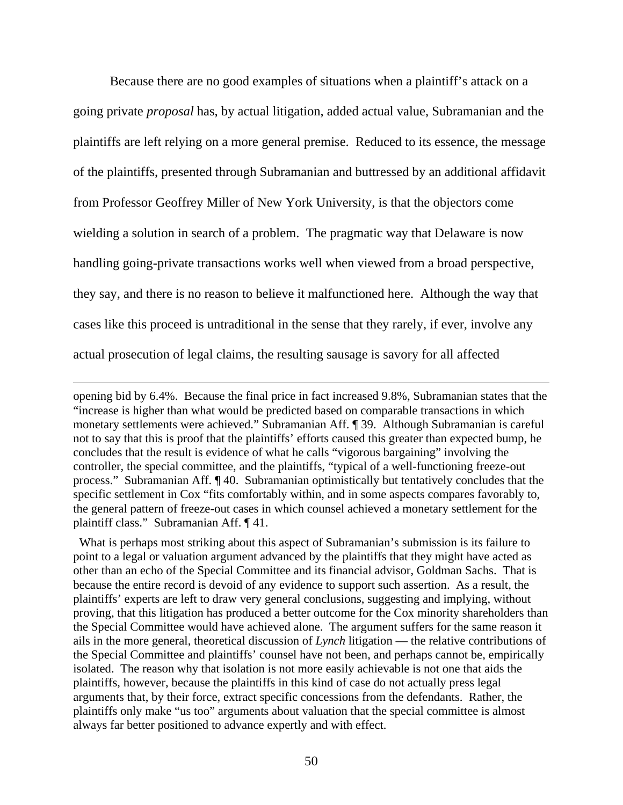Because there are no good examples of situations when a plaintiff's attack on a going private *proposal* has, by actual litigation, added actual value, Subramanian and the plaintiffs are left relying on a more general premise. Reduced to its essence, the message of the plaintiffs, presented through Subramanian and buttressed by an additional affidavit from Professor Geoffrey Miller of New York University, is that the objectors come wielding a solution in search of a problem. The pragmatic way that Delaware is now handling going-private transactions works well when viewed from a broad perspective, they say, and there is no reason to believe it malfunctioned here. Although the way that cases like this proceed is untraditional in the sense that they rarely, if ever, involve any actual prosecution of legal claims, the resulting sausage is savory for all affected

 $\overline{a}$ 

 What is perhaps most striking about this aspect of Subramanian's submission is its failure to point to a legal or valuation argument advanced by the plaintiffs that they might have acted as other than an echo of the Special Committee and its financial advisor, Goldman Sachs. That is because the entire record is devoid of any evidence to support such assertion. As a result, the plaintiffs' experts are left to draw very general conclusions, suggesting and implying, without proving, that this litigation has produced a better outcome for the Cox minority shareholders than the Special Committee would have achieved alone. The argument suffers for the same reason it ails in the more general, theoretical discussion of *Lynch* litigation — the relative contributions of the Special Committee and plaintiffs' counsel have not been, and perhaps cannot be, empirically isolated. The reason why that isolation is not more easily achievable is not one that aids the plaintiffs, however, because the plaintiffs in this kind of case do not actually press legal arguments that, by their force, extract specific concessions from the defendants. Rather, the plaintiffs only make "us too" arguments about valuation that the special committee is almost always far better positioned to advance expertly and with effect.

opening bid by 6.4%. Because the final price in fact increased 9.8%, Subramanian states that the "increase is higher than what would be predicted based on comparable transactions in which monetary settlements were achieved." Subramanian Aff. ¶ 39. Although Subramanian is careful not to say that this is proof that the plaintiffs' efforts caused this greater than expected bump, he concludes that the result is evidence of what he calls "vigorous bargaining" involving the controller, the special committee, and the plaintiffs, "typical of a well-functioning freeze-out process." Subramanian Aff. ¶ 40. Subramanian optimistically but tentatively concludes that the specific settlement in Cox "fits comfortably within, and in some aspects compares favorably to, the general pattern of freeze-out cases in which counsel achieved a monetary settlement for the plaintiff class." Subramanian Aff. ¶ 41.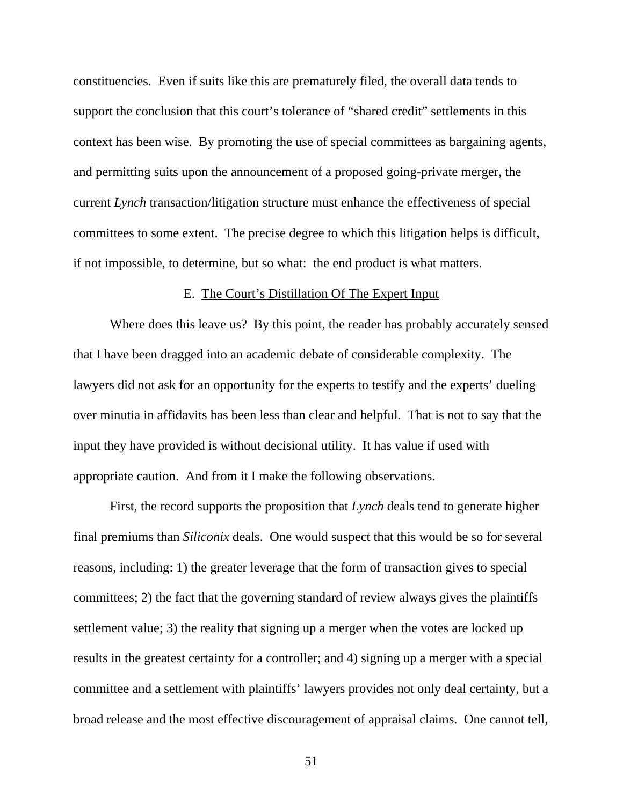constituencies. Even if suits like this are prematurely filed, the overall data tends to support the conclusion that this court's tolerance of "shared credit" settlements in this context has been wise. By promoting the use of special committees as bargaining agents, and permitting suits upon the announcement of a proposed going-private merger, the current *Lynch* transaction/litigation structure must enhance the effectiveness of special committees to some extent. The precise degree to which this litigation helps is difficult, if not impossible, to determine, but so what: the end product is what matters.

#### E. The Court's Distillation Of The Expert Input

Where does this leave us? By this point, the reader has probably accurately sensed that I have been dragged into an academic debate of considerable complexity. The lawyers did not ask for an opportunity for the experts to testify and the experts' dueling over minutia in affidavits has been less than clear and helpful. That is not to say that the input they have provided is without decisional utility. It has value if used with appropriate caution. And from it I make the following observations.

First, the record supports the proposition that *Lynch* deals tend to generate higher final premiums than *Siliconix* deals. One would suspect that this would be so for several reasons, including: 1) the greater leverage that the form of transaction gives to special committees; 2) the fact that the governing standard of review always gives the plaintiffs settlement value; 3) the reality that signing up a merger when the votes are locked up results in the greatest certainty for a controller; and 4) signing up a merger with a special committee and a settlement with plaintiffs' lawyers provides not only deal certainty, but a broad release and the most effective discouragement of appraisal claims. One cannot tell,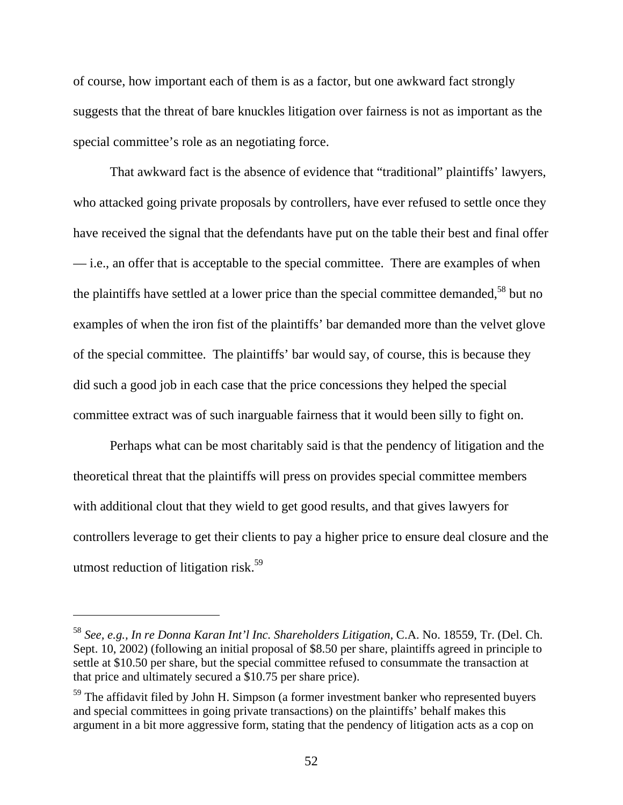of course, how important each of them is as a factor, but one awkward fact strongly suggests that the threat of bare knuckles litigation over fairness is not as important as the special committee's role as an negotiating force.

That awkward fact is the absence of evidence that "traditional" plaintiffs' lawyers, who attacked going private proposals by controllers, have ever refused to settle once they have received the signal that the defendants have put on the table their best and final offer — i.e., an offer that is acceptable to the special committee. There are examples of when the plaintiffs have settled at a lower price than the special committee demanded,<sup>58</sup> but no examples of when the iron fist of the plaintiffs' bar demanded more than the velvet glove of the special committee. The plaintiffs' bar would say, of course, this is because they did such a good job in each case that the price concessions they helped the special committee extract was of such inarguable fairness that it would been silly to fight on.

Perhaps what can be most charitably said is that the pendency of litigation and the theoretical threat that the plaintiffs will press on provides special committee members with additional clout that they wield to get good results, and that gives lawyers for controllers leverage to get their clients to pay a higher price to ensure deal closure and the utmost reduction of litigation risk.<sup>59</sup>

<sup>58</sup> *See, e.g., In re Donna Karan Int'l Inc. Shareholders Litigation*, C.A. No. 18559, Tr. (Del. Ch. Sept. 10, 2002) (following an initial proposal of \$8.50 per share, plaintiffs agreed in principle to settle at \$10.50 per share, but the special committee refused to consummate the transaction at that price and ultimately secured a \$10.75 per share price).

 $<sup>59</sup>$  The affidavit filed by John H. Simpson (a former investment banker who represented buyers</sup> and special committees in going private transactions) on the plaintiffs' behalf makes this argument in a bit more aggressive form, stating that the pendency of litigation acts as a cop on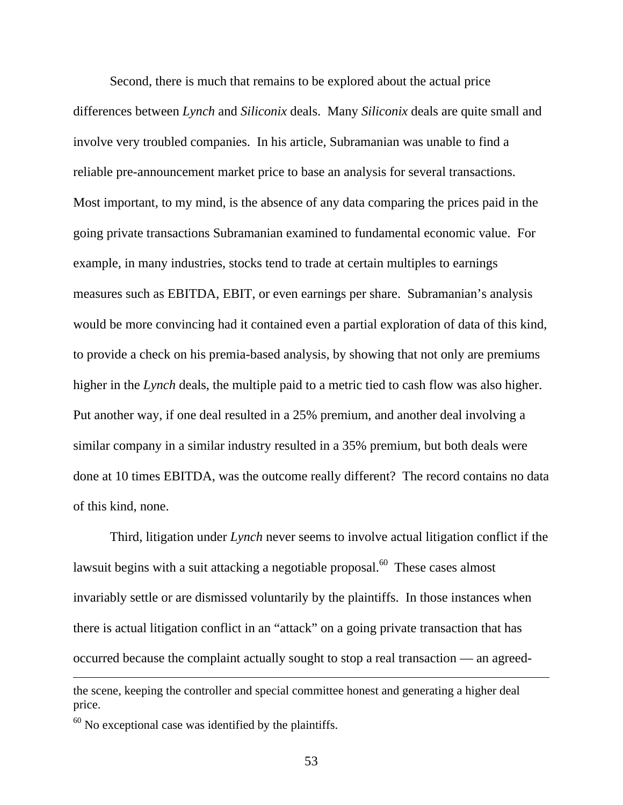Second, there is much that remains to be explored about the actual price differences between *Lynch* and *Siliconix* deals. Many *Siliconix* deals are quite small and involve very troubled companies. In his article, Subramanian was unable to find a reliable pre-announcement market price to base an analysis for several transactions. Most important, to my mind, is the absence of any data comparing the prices paid in the going private transactions Subramanian examined to fundamental economic value. For example, in many industries, stocks tend to trade at certain multiples to earnings measures such as EBITDA, EBIT, or even earnings per share. Subramanian's analysis would be more convincing had it contained even a partial exploration of data of this kind, to provide a check on his premia-based analysis, by showing that not only are premiums higher in the *Lynch* deals, the multiple paid to a metric tied to cash flow was also higher. Put another way, if one deal resulted in a 25% premium, and another deal involving a similar company in a similar industry resulted in a 35% premium, but both deals were done at 10 times EBITDA, was the outcome really different? The record contains no data of this kind, none.

Third, litigation under *Lynch* never seems to involve actual litigation conflict if the lawsuit begins with a suit attacking a negotiable proposal.<sup>60</sup> These cases almost invariably settle or are dismissed voluntarily by the plaintiffs. In those instances when there is actual litigation conflict in an "attack" on a going private transaction that has occurred because the complaint actually sought to stop a real transaction — an agreed-

the scene, keeping the controller and special committee honest and generating a higher deal price.

 $60$  No exceptional case was identified by the plaintiffs.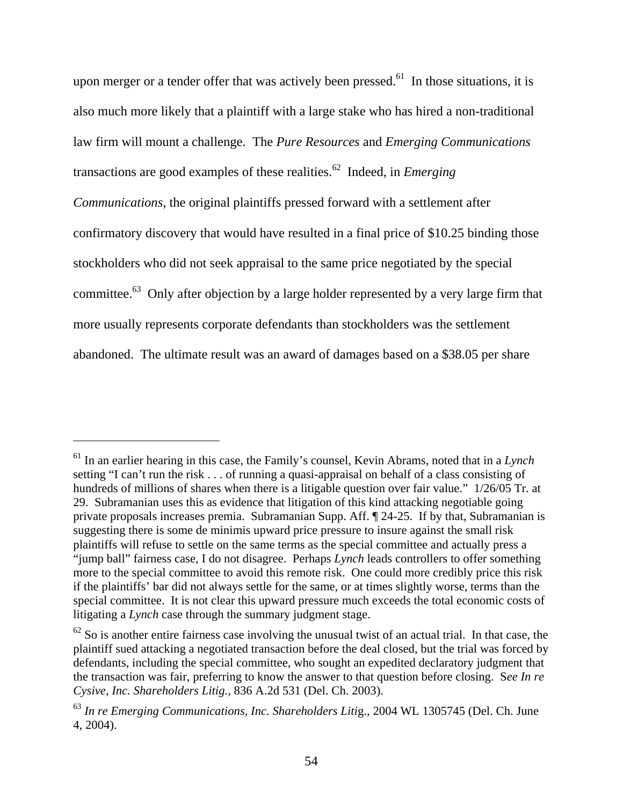upon merger or a tender offer that was actively been pressed.<sup>61</sup> In those situations, it is also much more likely that a plaintiff with a large stake who has hired a non-traditional law firm will mount a challenge. The *Pure Resources* and *Emerging Communications* transactions are good examples of these realities.62 Indeed, in *Emerging Communications*, the original plaintiffs pressed forward with a settlement after confirmatory discovery that would have resulted in a final price of \$10.25 binding those stockholders who did not seek appraisal to the same price negotiated by the special committee.<sup>63</sup> Only after objection by a large holder represented by a very large firm that more usually represents corporate defendants than stockholders was the settlement abandoned. The ultimate result was an award of damages based on a \$38.05 per share

<sup>61</sup> In an earlier hearing in this case, the Family's counsel, Kevin Abrams, noted that in a *Lynch* setting "I can't run the risk . . . of running a quasi-appraisal on behalf of a class consisting of hundreds of millions of shares when there is a litigable question over fair value." 1/26/05 Tr. at 29. Subramanian uses this as evidence that litigation of this kind attacking negotiable going private proposals increases premia. Subramanian Supp. Aff. ¶ 24-25. If by that, Subramanian is suggesting there is some de minimis upward price pressure to insure against the small risk plaintiffs will refuse to settle on the same terms as the special committee and actually press a "jump ball" fairness case, I do not disagree. Perhaps *Lynch* leads controllers to offer something more to the special committee to avoid this remote risk. One could more credibly price this risk if the plaintiffs' bar did not always settle for the same, or at times slightly worse, terms than the special committee. It is not clear this upward pressure much exceeds the total economic costs of litigating a *Lynch* case through the summary judgment stage.

 $62$  So is another entire fairness case involving the unusual twist of an actual trial. In that case, the plaintiff sued attacking a negotiated transaction before the deal closed, but the trial was forced by defendants, including the special committee, who sought an expedited declaratory judgment that the transaction was fair, preferring to know the answer to that question before closing. S*ee In re Cysive, Inc. Shareholders Litig.*, 836 A.2d 531 (Del. Ch. 2003).

<sup>&</sup>lt;sup>63</sup> In re Emerging Communications, Inc. Shareholders Litig., 2004 WL 1305745 (Del. Ch. June 4, 2004).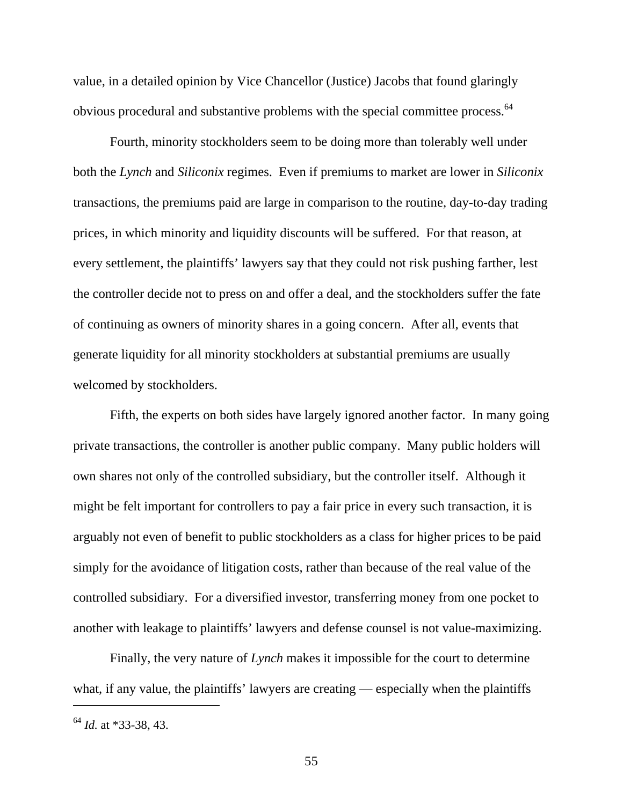value, in a detailed opinion by Vice Chancellor (Justice) Jacobs that found glaringly obvious procedural and substantive problems with the special committee process.<sup>64</sup>

Fourth, minority stockholders seem to be doing more than tolerably well under both the *Lynch* and *Siliconix* regimes. Even if premiums to market are lower in *Siliconix* transactions, the premiums paid are large in comparison to the routine, day-to-day trading prices, in which minority and liquidity discounts will be suffered. For that reason, at every settlement, the plaintiffs' lawyers say that they could not risk pushing farther, lest the controller decide not to press on and offer a deal, and the stockholders suffer the fate of continuing as owners of minority shares in a going concern. After all, events that generate liquidity for all minority stockholders at substantial premiums are usually welcomed by stockholders.

Fifth, the experts on both sides have largely ignored another factor. In many going private transactions, the controller is another public company. Many public holders will own shares not only of the controlled subsidiary, but the controller itself. Although it might be felt important for controllers to pay a fair price in every such transaction, it is arguably not even of benefit to public stockholders as a class for higher prices to be paid simply for the avoidance of litigation costs, rather than because of the real value of the controlled subsidiary. For a diversified investor, transferring money from one pocket to another with leakage to plaintiffs' lawyers and defense counsel is not value-maximizing.

Finally, the very nature of *Lynch* makes it impossible for the court to determine what, if any value, the plaintiffs' lawyers are creating — especially when the plaintiffs

<sup>64</sup> *Id.* at \*33-38, 43.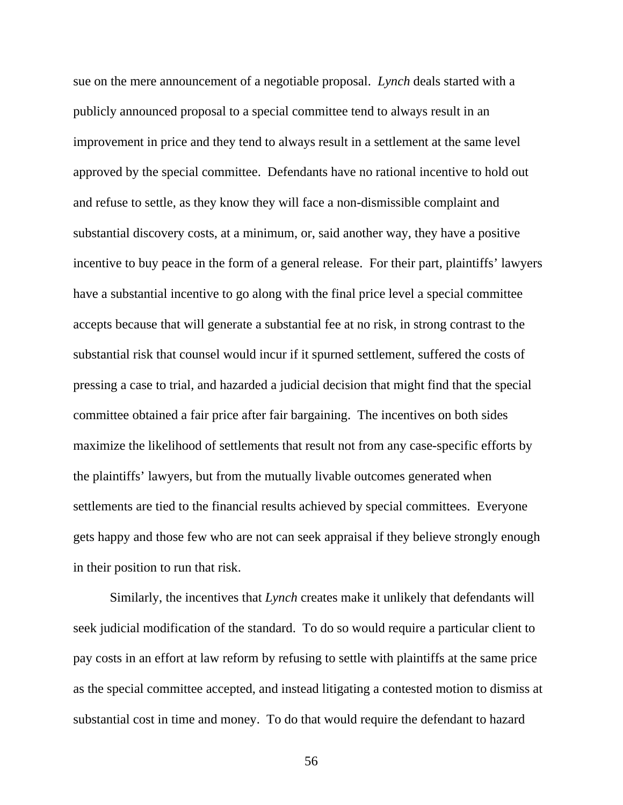sue on the mere announcement of a negotiable proposal. *Lynch* deals started with a publicly announced proposal to a special committee tend to always result in an improvement in price and they tend to always result in a settlement at the same level approved by the special committee. Defendants have no rational incentive to hold out and refuse to settle, as they know they will face a non-dismissible complaint and substantial discovery costs, at a minimum, or, said another way, they have a positive incentive to buy peace in the form of a general release. For their part, plaintiffs' lawyers have a substantial incentive to go along with the final price level a special committee accepts because that will generate a substantial fee at no risk, in strong contrast to the substantial risk that counsel would incur if it spurned settlement, suffered the costs of pressing a case to trial, and hazarded a judicial decision that might find that the special committee obtained a fair price after fair bargaining. The incentives on both sides maximize the likelihood of settlements that result not from any case-specific efforts by the plaintiffs' lawyers, but from the mutually livable outcomes generated when settlements are tied to the financial results achieved by special committees. Everyone gets happy and those few who are not can seek appraisal if they believe strongly enough in their position to run that risk.

Similarly, the incentives that *Lynch* creates make it unlikely that defendants will seek judicial modification of the standard. To do so would require a particular client to pay costs in an effort at law reform by refusing to settle with plaintiffs at the same price as the special committee accepted, and instead litigating a contested motion to dismiss at substantial cost in time and money. To do that would require the defendant to hazard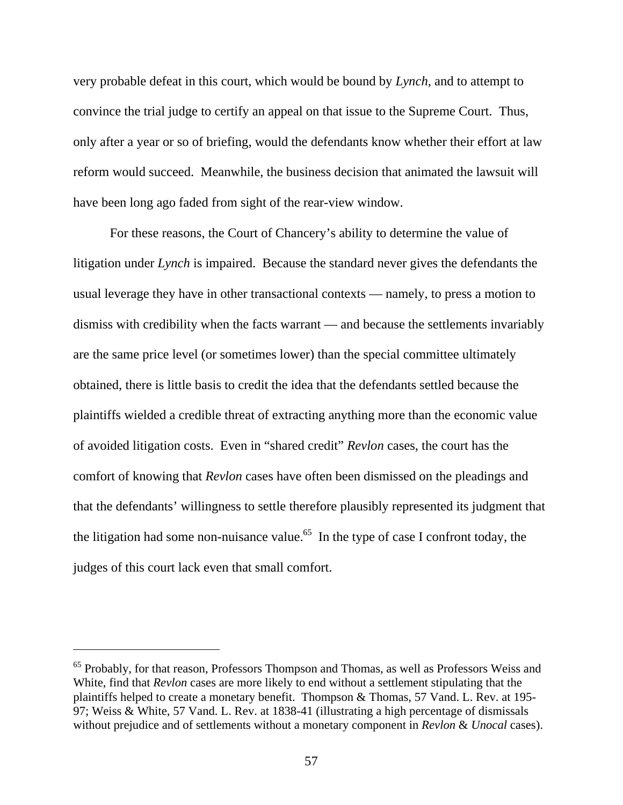very probable defeat in this court, which would be bound by *Lynch*, and to attempt to convince the trial judge to certify an appeal on that issue to the Supreme Court. Thus, only after a year or so of briefing, would the defendants know whether their effort at law reform would succeed. Meanwhile, the business decision that animated the lawsuit will have been long ago faded from sight of the rear-view window.

For these reasons, the Court of Chancery's ability to determine the value of litigation under *Lynch* is impaired. Because the standard never gives the defendants the usual leverage they have in other transactional contexts — namely, to press a motion to dismiss with credibility when the facts warrant — and because the settlements invariably are the same price level (or sometimes lower) than the special committee ultimately obtained, there is little basis to credit the idea that the defendants settled because the plaintiffs wielded a credible threat of extracting anything more than the economic value of avoided litigation costs. Even in "shared credit" *Revlon* cases, the court has the comfort of knowing that *Revlon* cases have often been dismissed on the pleadings and that the defendants' willingness to settle therefore plausibly represented its judgment that the litigation had some non-nuisance value.<sup>65</sup> In the type of case I confront today, the judges of this court lack even that small comfort.

<sup>&</sup>lt;sup>65</sup> Probably, for that reason, Professors Thompson and Thomas, as well as Professors Weiss and White, find that *Revlon* cases are more likely to end without a settlement stipulating that the plaintiffs helped to create a monetary benefit. Thompson & Thomas, 57 Vand. L. Rev. at 195- 97; Weiss & White, 57 Vand. L. Rev. at 1838-41 (illustrating a high percentage of dismissals without prejudice and of settlements without a monetary component in *Revlon* & *Unocal* cases).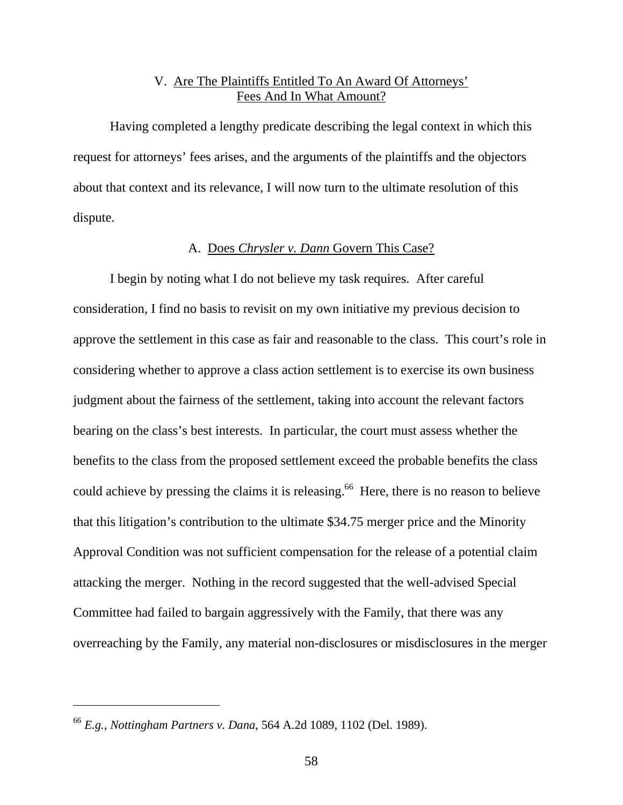# V. Are The Plaintiffs Entitled To An Award Of Attorneys' Fees And In What Amount?

Having completed a lengthy predicate describing the legal context in which this request for attorneys' fees arises, and the arguments of the plaintiffs and the objectors about that context and its relevance, I will now turn to the ultimate resolution of this dispute.

## A. Does *Chrysler v. Dann* Govern This Case?

I begin by noting what I do not believe my task requires. After careful consideration, I find no basis to revisit on my own initiative my previous decision to approve the settlement in this case as fair and reasonable to the class. This court's role in considering whether to approve a class action settlement is to exercise its own business judgment about the fairness of the settlement, taking into account the relevant factors bearing on the class's best interests. In particular, the court must assess whether the benefits to the class from the proposed settlement exceed the probable benefits the class could achieve by pressing the claims it is releasing.<sup>66</sup> Here, there is no reason to believe that this litigation's contribution to the ultimate \$34.75 merger price and the Minority Approval Condition was not sufficient compensation for the release of a potential claim attacking the merger. Nothing in the record suggested that the well-advised Special Committee had failed to bargain aggressively with the Family, that there was any overreaching by the Family, any material non-disclosures or misdisclosures in the merger

<sup>66</sup> *E.g., Nottingham Partners v. Dana*, 564 A.2d 1089, 1102 (Del. 1989).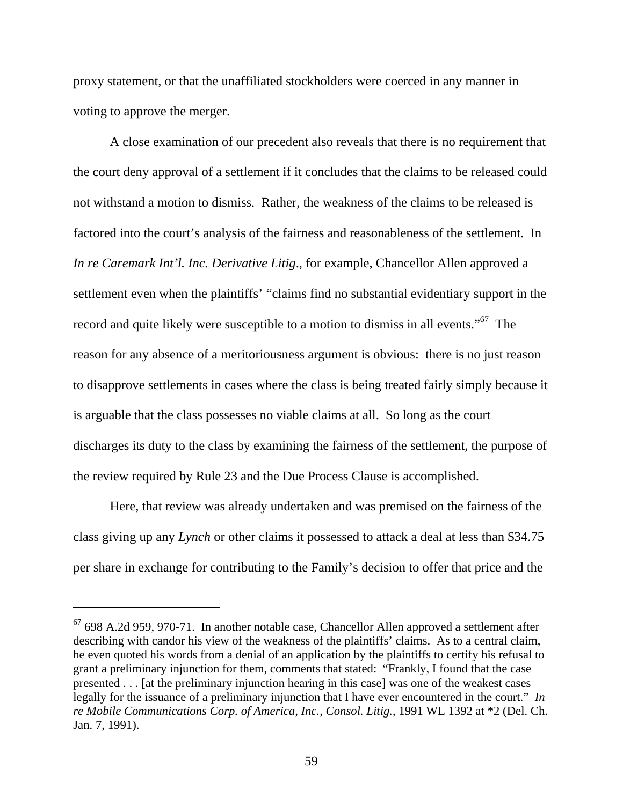proxy statement, or that the unaffiliated stockholders were coerced in any manner in voting to approve the merger.

A close examination of our precedent also reveals that there is no requirement that the court deny approval of a settlement if it concludes that the claims to be released could not withstand a motion to dismiss. Rather, the weakness of the claims to be released is factored into the court's analysis of the fairness and reasonableness of the settlement. In *In re Caremark Int'l. Inc. Derivative Litig*., for example, Chancellor Allen approved a settlement even when the plaintiffs' "claims find no substantial evidentiary support in the record and quite likely were susceptible to a motion to dismiss in all events."<sup>67</sup> The reason for any absence of a meritoriousness argument is obvious: there is no just reason to disapprove settlements in cases where the class is being treated fairly simply because it is arguable that the class possesses no viable claims at all. So long as the court discharges its duty to the class by examining the fairness of the settlement, the purpose of the review required by Rule 23 and the Due Process Clause is accomplished.

Here, that review was already undertaken and was premised on the fairness of the class giving up any *Lynch* or other claims it possessed to attack a deal at less than \$34.75 per share in exchange for contributing to the Family's decision to offer that price and the

 $67$  698 A.2d 959, 970-71. In another notable case, Chancellor Allen approved a settlement after describing with candor his view of the weakness of the plaintiffs' claims. As to a central claim, he even quoted his words from a denial of an application by the plaintiffs to certify his refusal to grant a preliminary injunction for them, comments that stated: "Frankly, I found that the case presented . . . [at the preliminary injunction hearing in this case] was one of the weakest cases legally for the issuance of a preliminary injunction that I have ever encountered in the court." *In re Mobile Communications Corp. of America, Inc., Consol. Litig.*, 1991 WL 1392 at \*2 (Del. Ch. Jan. 7, 1991).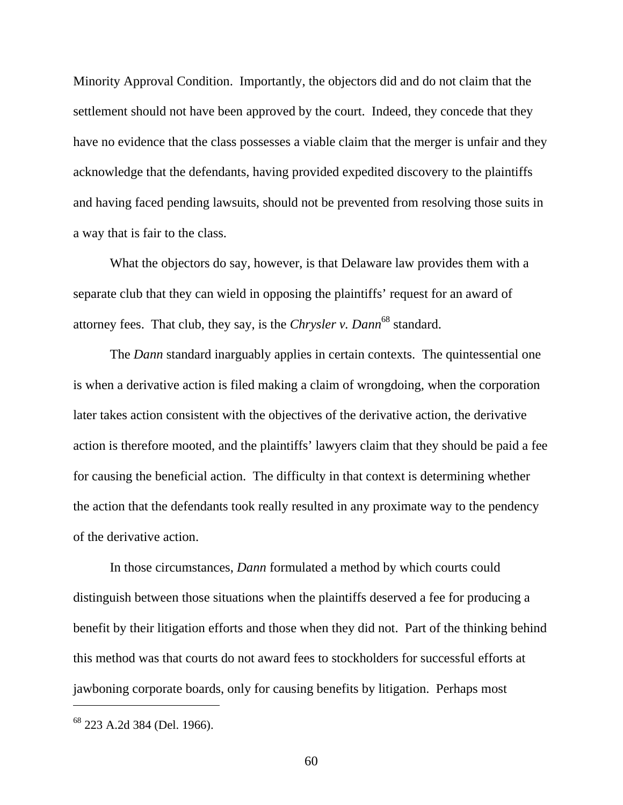Minority Approval Condition. Importantly, the objectors did and do not claim that the settlement should not have been approved by the court. Indeed, they concede that they have no evidence that the class possesses a viable claim that the merger is unfair and they acknowledge that the defendants, having provided expedited discovery to the plaintiffs and having faced pending lawsuits, should not be prevented from resolving those suits in a way that is fair to the class.

What the objectors do say, however, is that Delaware law provides them with a separate club that they can wield in opposing the plaintiffs' request for an award of attorney fees. That club, they say, is the *Chrysler v. Dann*<sup>68</sup> standard.

The *Dann* standard inarguably applies in certain contexts. The quintessential one is when a derivative action is filed making a claim of wrongdoing, when the corporation later takes action consistent with the objectives of the derivative action, the derivative action is therefore mooted, and the plaintiffs' lawyers claim that they should be paid a fee for causing the beneficial action. The difficulty in that context is determining whether the action that the defendants took really resulted in any proximate way to the pendency of the derivative action.

In those circumstances, *Dann* formulated a method by which courts could distinguish between those situations when the plaintiffs deserved a fee for producing a benefit by their litigation efforts and those when they did not. Part of the thinking behind this method was that courts do not award fees to stockholders for successful efforts at jawboning corporate boards, only for causing benefits by litigation. Perhaps most

<sup>68 223</sup> A.2d 384 (Del. 1966).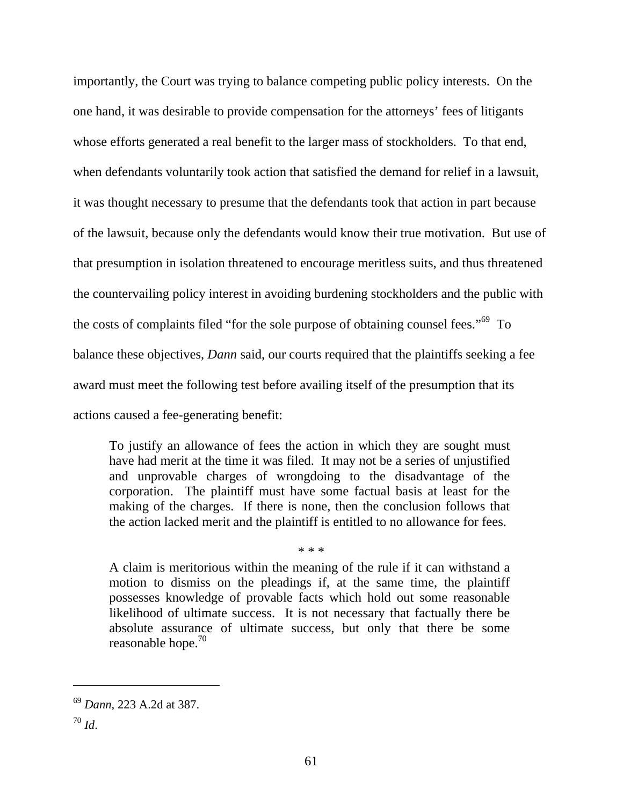importantly, the Court was trying to balance competing public policy interests. On the one hand, it was desirable to provide compensation for the attorneys' fees of litigants whose efforts generated a real benefit to the larger mass of stockholders. To that end, when defendants voluntarily took action that satisfied the demand for relief in a lawsuit, it was thought necessary to presume that the defendants took that action in part because of the lawsuit, because only the defendants would know their true motivation. But use of that presumption in isolation threatened to encourage meritless suits, and thus threatened the countervailing policy interest in avoiding burdening stockholders and the public with the costs of complaints filed "for the sole purpose of obtaining counsel fees."69 To balance these objectives, *Dann* said, our courts required that the plaintiffs seeking a fee award must meet the following test before availing itself of the presumption that its actions caused a fee-generating benefit:

To justify an allowance of fees the action in which they are sought must have had merit at the time it was filed. It may not be a series of unjustified and unprovable charges of wrongdoing to the disadvantage of the corporation. The plaintiff must have some factual basis at least for the making of the charges. If there is none, then the conclusion follows that the action lacked merit and the plaintiff is entitled to no allowance for fees.

A claim is meritorious within the meaning of the rule if it can withstand a motion to dismiss on the pleadings if, at the same time, the plaintiff possesses knowledge of provable facts which hold out some reasonable likelihood of ultimate success. It is not necessary that factually there be absolute assurance of ultimate success, but only that there be some reasonable hope.<sup>70</sup>

\* \* \*

<sup>69</sup> *Dann*, 223 A.2d at 387.

<sup>70</sup> *Id*.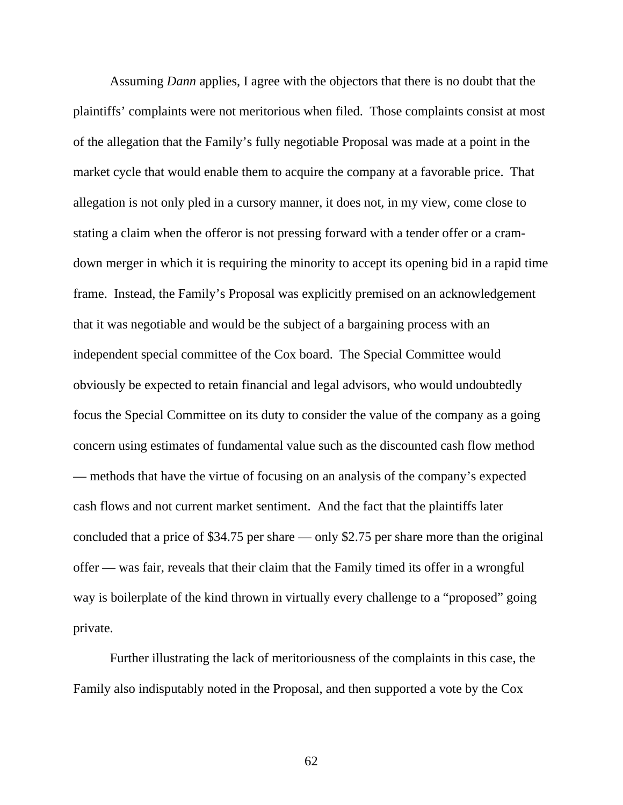Assuming *Dann* applies, I agree with the objectors that there is no doubt that the plaintiffs' complaints were not meritorious when filed. Those complaints consist at most of the allegation that the Family's fully negotiable Proposal was made at a point in the market cycle that would enable them to acquire the company at a favorable price. That allegation is not only pled in a cursory manner, it does not, in my view, come close to stating a claim when the offeror is not pressing forward with a tender offer or a cramdown merger in which it is requiring the minority to accept its opening bid in a rapid time frame. Instead, the Family's Proposal was explicitly premised on an acknowledgement that it was negotiable and would be the subject of a bargaining process with an independent special committee of the Cox board. The Special Committee would obviously be expected to retain financial and legal advisors, who would undoubtedly focus the Special Committee on its duty to consider the value of the company as a going concern using estimates of fundamental value such as the discounted cash flow method — methods that have the virtue of focusing on an analysis of the company's expected cash flows and not current market sentiment. And the fact that the plaintiffs later concluded that a price of \$34.75 per share — only \$2.75 per share more than the original offer — was fair, reveals that their claim that the Family timed its offer in a wrongful way is boilerplate of the kind thrown in virtually every challenge to a "proposed" going private.

Further illustrating the lack of meritoriousness of the complaints in this case, the Family also indisputably noted in the Proposal, and then supported a vote by the Cox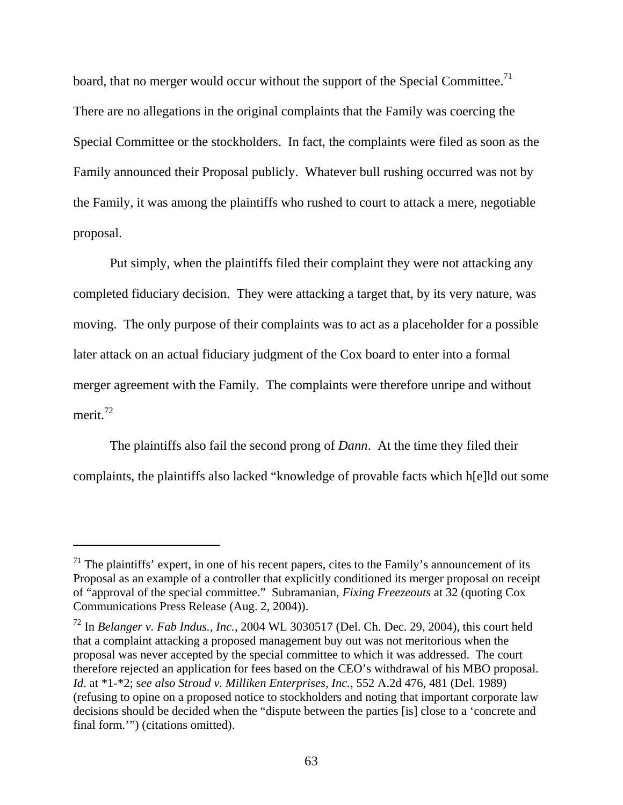board, that no merger would occur without the support of the Special Committee.<sup>71</sup> There are no allegations in the original complaints that the Family was coercing the Special Committee or the stockholders. In fact, the complaints were filed as soon as the Family announced their Proposal publicly. Whatever bull rushing occurred was not by the Family, it was among the plaintiffs who rushed to court to attack a mere, negotiable proposal.

Put simply, when the plaintiffs filed their complaint they were not attacking any completed fiduciary decision. They were attacking a target that, by its very nature, was moving. The only purpose of their complaints was to act as a placeholder for a possible later attack on an actual fiduciary judgment of the Cox board to enter into a formal merger agreement with the Family. The complaints were therefore unripe and without merit.<sup>72</sup>

The plaintiffs also fail the second prong of *Dann*. At the time they filed their complaints, the plaintiffs also lacked "knowledge of provable facts which h[e]ld out some

 $71$  The plaintiffs' expert, in one of his recent papers, cites to the Family's announcement of its Proposal as an example of a controller that explicitly conditioned its merger proposal on receipt of "approval of the special committee." Subramanian, *Fixing Freezeouts* at 32 (quoting Cox Communications Press Release (Aug. 2, 2004)).

<sup>72</sup> In *Belanger v. Fab Indus., Inc.*, 2004 WL 3030517 (Del. Ch. Dec. 29, 2004), this court held that a complaint attacking a proposed management buy out was not meritorious when the proposal was never accepted by the special committee to which it was addressed. The court therefore rejected an application for fees based on the CEO's withdrawal of his MBO proposal. *Id*. at \*1-\*2; s*ee also Stroud v. Milliken Enterprises, Inc.*, 552 A.2d 476, 481 (Del. 1989) (refusing to opine on a proposed notice to stockholders and noting that important corporate law decisions should be decided when the "dispute between the parties [is] close to a 'concrete and final form.'") (citations omitted).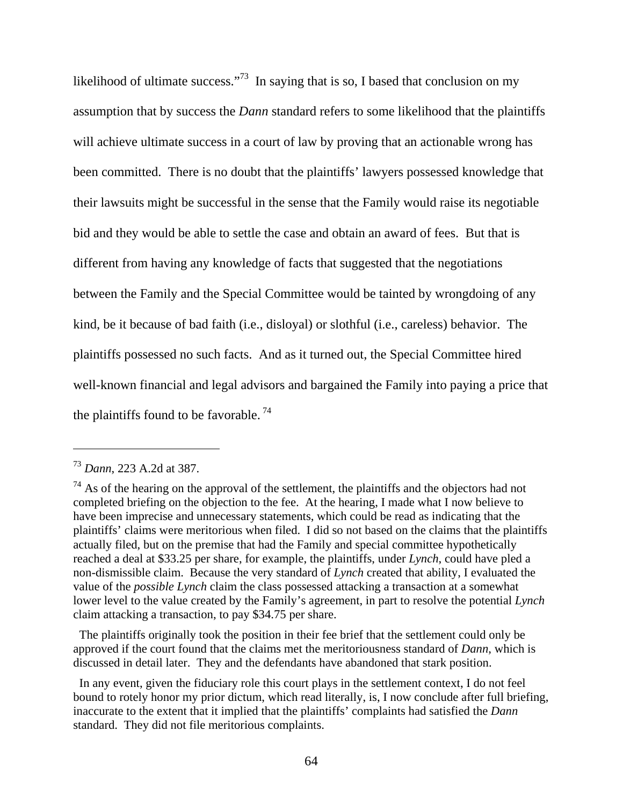likelihood of ultimate success."<sup>73</sup> In saying that is so, I based that conclusion on my assumption that by success the *Dann* standard refers to some likelihood that the plaintiffs will achieve ultimate success in a court of law by proving that an actionable wrong has been committed. There is no doubt that the plaintiffs' lawyers possessed knowledge that their lawsuits might be successful in the sense that the Family would raise its negotiable bid and they would be able to settle the case and obtain an award of fees. But that is different from having any knowledge of facts that suggested that the negotiations between the Family and the Special Committee would be tainted by wrongdoing of any kind, be it because of bad faith (i.e., disloyal) or slothful (i.e., careless) behavior. The plaintiffs possessed no such facts. And as it turned out, the Special Committee hired well-known financial and legal advisors and bargained the Family into paying a price that the plaintiffs found to be favorable.<sup>74</sup>

 $\overline{a}$ 

 The plaintiffs originally took the position in their fee brief that the settlement could only be approved if the court found that the claims met the meritoriousness standard of *Dann*, which is discussed in detail later. They and the defendants have abandoned that stark position.

 In any event, given the fiduciary role this court plays in the settlement context, I do not feel bound to rotely honor my prior dictum, which read literally, is, I now conclude after full briefing, inaccurate to the extent that it implied that the plaintiffs' complaints had satisfied the *Dann* standard. They did not file meritorious complaints.

<sup>73</sup> *Dann*, 223 A.2d at 387.

 $74$  As of the hearing on the approval of the settlement, the plaintiffs and the objectors had not completed briefing on the objection to the fee. At the hearing, I made what I now believe to have been imprecise and unnecessary statements, which could be read as indicating that the plaintiffs' claims were meritorious when filed. I did so not based on the claims that the plaintiffs actually filed, but on the premise that had the Family and special committee hypothetically reached a deal at \$33.25 per share, for example, the plaintiffs, under *Lynch*, could have pled a non-dismissible claim. Because the very standard of *Lynch* created that ability, I evaluated the value of the *possible Lynch* claim the class possessed attacking a transaction at a somewhat lower level to the value created by the Family's agreement, in part to resolve the potential *Lynch* claim attacking a transaction, to pay \$34.75 per share.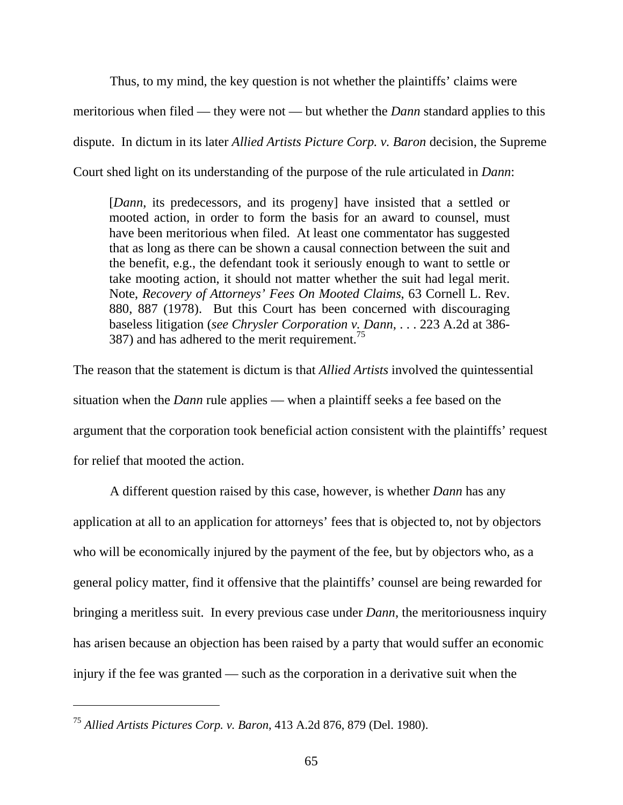Thus, to my mind, the key question is not whether the plaintiffs' claims were

meritorious when filed — they were not — but whether the *Dann* standard applies to this

dispute. In dictum in its later *Allied Artists Picture Corp. v. Baron* decision, the Supreme

Court shed light on its understanding of the purpose of the rule articulated in *Dann*:

[*Dann*, its predecessors, and its progeny] have insisted that a settled or mooted action, in order to form the basis for an award to counsel, must have been meritorious when filed. At least one commentator has suggested that as long as there can be shown a causal connection between the suit and the benefit, e.g., the defendant took it seriously enough to want to settle or take mooting action, it should not matter whether the suit had legal merit. Note, *Recovery of Attorneys' Fees On Mooted Claims*, 63 Cornell L. Rev. 880, 887 (1978). But this Court has been concerned with discouraging baseless litigation (*see Chrysler Corporation v. Dann*, . . . 223 A.2d at 386- 387) and has adhered to the merit requirement.<sup>75</sup>

The reason that the statement is dictum is that *Allied Artists* involved the quintessential situation when the *Dann* rule applies — when a plaintiff seeks a fee based on the argument that the corporation took beneficial action consistent with the plaintiffs' request for relief that mooted the action.

A different question raised by this case, however, is whether *Dann* has any application at all to an application for attorneys' fees that is objected to, not by objectors who will be economically injured by the payment of the fee, but by objectors who, as a general policy matter, find it offensive that the plaintiffs' counsel are being rewarded for bringing a meritless suit. In every previous case under *Dann*, the meritoriousness inquiry has arisen because an objection has been raised by a party that would suffer an economic injury if the fee was granted — such as the corporation in a derivative suit when the

<sup>75</sup> *Allied Artists Pictures Corp. v. Baron*, 413 A.2d 876, 879 (Del. 1980).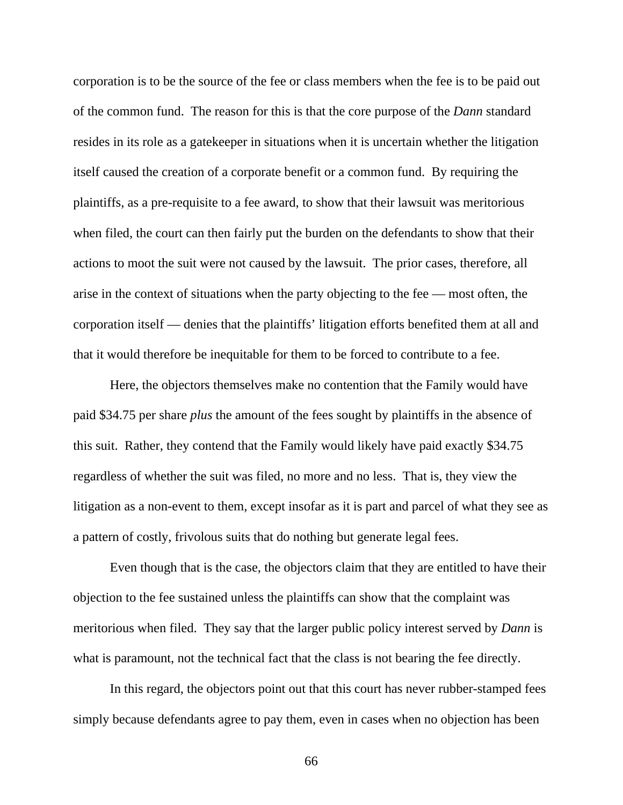corporation is to be the source of the fee or class members when the fee is to be paid out of the common fund. The reason for this is that the core purpose of the *Dann* standard resides in its role as a gatekeeper in situations when it is uncertain whether the litigation itself caused the creation of a corporate benefit or a common fund. By requiring the plaintiffs, as a pre-requisite to a fee award, to show that their lawsuit was meritorious when filed, the court can then fairly put the burden on the defendants to show that their actions to moot the suit were not caused by the lawsuit. The prior cases, therefore, all arise in the context of situations when the party objecting to the fee — most often, the corporation itself — denies that the plaintiffs' litigation efforts benefited them at all and that it would therefore be inequitable for them to be forced to contribute to a fee.

Here, the objectors themselves make no contention that the Family would have paid \$34.75 per share *plus* the amount of the fees sought by plaintiffs in the absence of this suit. Rather, they contend that the Family would likely have paid exactly \$34.75 regardless of whether the suit was filed, no more and no less. That is, they view the litigation as a non-event to them, except insofar as it is part and parcel of what they see as a pattern of costly, frivolous suits that do nothing but generate legal fees.

Even though that is the case, the objectors claim that they are entitled to have their objection to the fee sustained unless the plaintiffs can show that the complaint was meritorious when filed. They say that the larger public policy interest served by *Dann* is what is paramount, not the technical fact that the class is not bearing the fee directly.

In this regard, the objectors point out that this court has never rubber-stamped fees simply because defendants agree to pay them, even in cases when no objection has been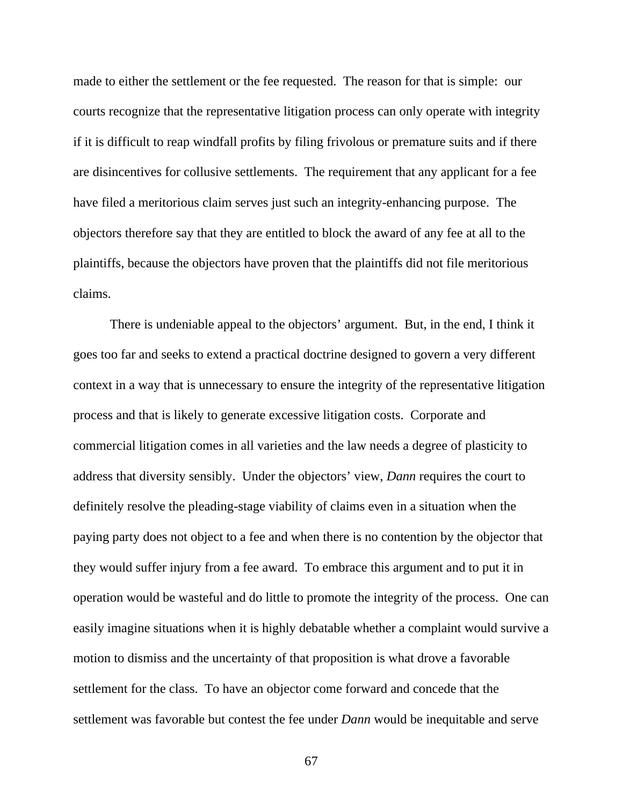made to either the settlement or the fee requested. The reason for that is simple: our courts recognize that the representative litigation process can only operate with integrity if it is difficult to reap windfall profits by filing frivolous or premature suits and if there are disincentives for collusive settlements. The requirement that any applicant for a fee have filed a meritorious claim serves just such an integrity-enhancing purpose. The objectors therefore say that they are entitled to block the award of any fee at all to the plaintiffs, because the objectors have proven that the plaintiffs did not file meritorious claims.

There is undeniable appeal to the objectors' argument. But, in the end, I think it goes too far and seeks to extend a practical doctrine designed to govern a very different context in a way that is unnecessary to ensure the integrity of the representative litigation process and that is likely to generate excessive litigation costs. Corporate and commercial litigation comes in all varieties and the law needs a degree of plasticity to address that diversity sensibly. Under the objectors' view, *Dann* requires the court to definitely resolve the pleading-stage viability of claims even in a situation when the paying party does not object to a fee and when there is no contention by the objector that they would suffer injury from a fee award. To embrace this argument and to put it in operation would be wasteful and do little to promote the integrity of the process. One can easily imagine situations when it is highly debatable whether a complaint would survive a motion to dismiss and the uncertainty of that proposition is what drove a favorable settlement for the class. To have an objector come forward and concede that the settlement was favorable but contest the fee under *Dann* would be inequitable and serve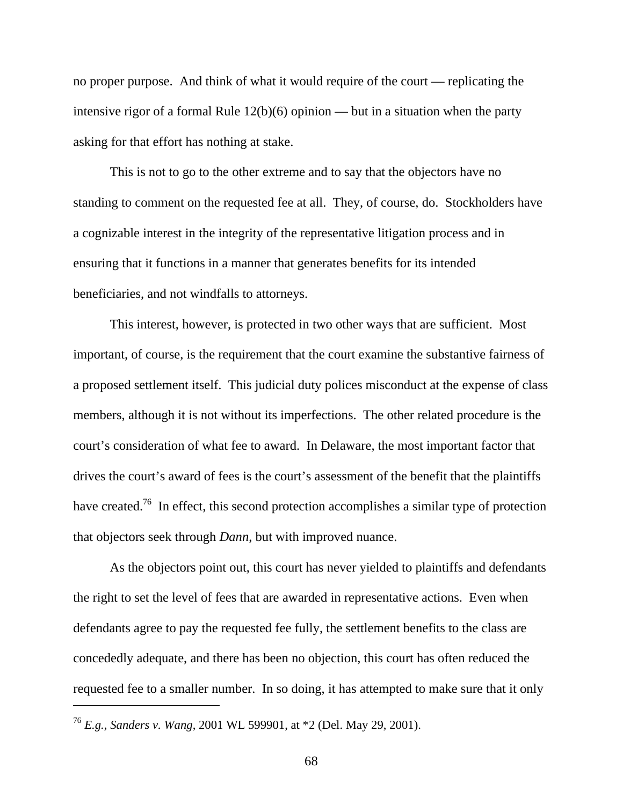no proper purpose. And think of what it would require of the court — replicating the intensive rigor of a formal Rule  $12(b)(6)$  opinion — but in a situation when the party asking for that effort has nothing at stake.

This is not to go to the other extreme and to say that the objectors have no standing to comment on the requested fee at all. They, of course, do. Stockholders have a cognizable interest in the integrity of the representative litigation process and in ensuring that it functions in a manner that generates benefits for its intended beneficiaries, and not windfalls to attorneys.

This interest, however, is protected in two other ways that are sufficient. Most important, of course, is the requirement that the court examine the substantive fairness of a proposed settlement itself. This judicial duty polices misconduct at the expense of class members, although it is not without its imperfections. The other related procedure is the court's consideration of what fee to award. In Delaware, the most important factor that drives the court's award of fees is the court's assessment of the benefit that the plaintiffs have created.<sup>76</sup> In effect, this second protection accomplishes a similar type of protection that objectors seek through *Dann*, but with improved nuance.

As the objectors point out, this court has never yielded to plaintiffs and defendants the right to set the level of fees that are awarded in representative actions. Even when defendants agree to pay the requested fee fully, the settlement benefits to the class are concededly adequate, and there has been no objection, this court has often reduced the requested fee to a smaller number. In so doing, it has attempted to make sure that it only

<sup>76</sup> *E.g., Sanders v. Wang*, 2001 WL 599901, at \*2 (Del. May 29, 2001).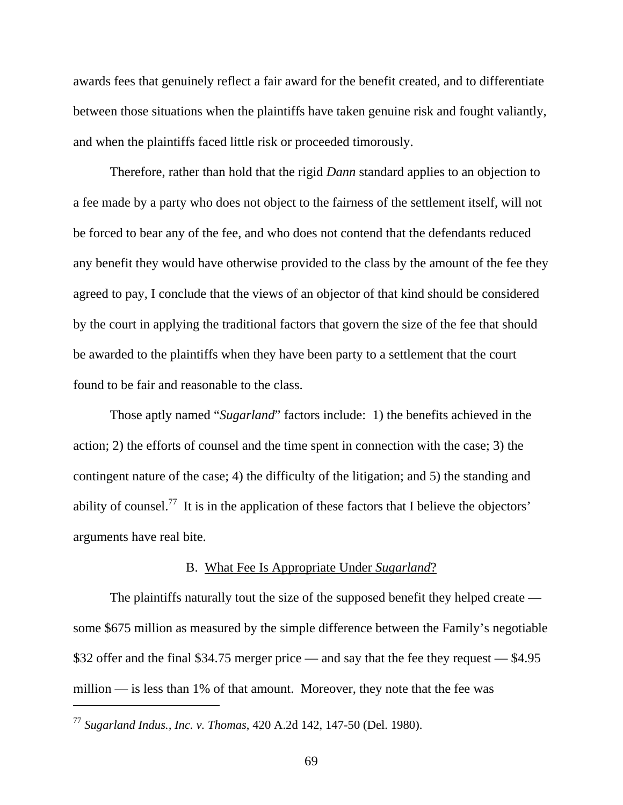awards fees that genuinely reflect a fair award for the benefit created, and to differentiate between those situations when the plaintiffs have taken genuine risk and fought valiantly, and when the plaintiffs faced little risk or proceeded timorously.

Therefore, rather than hold that the rigid *Dann* standard applies to an objection to a fee made by a party who does not object to the fairness of the settlement itself, will not be forced to bear any of the fee, and who does not contend that the defendants reduced any benefit they would have otherwise provided to the class by the amount of the fee they agreed to pay, I conclude that the views of an objector of that kind should be considered by the court in applying the traditional factors that govern the size of the fee that should be awarded to the plaintiffs when they have been party to a settlement that the court found to be fair and reasonable to the class.

Those aptly named "*Sugarland*" factors include: 1) the benefits achieved in the action; 2) the efforts of counsel and the time spent in connection with the case; 3) the contingent nature of the case; 4) the difficulty of the litigation; and 5) the standing and ability of counsel.<sup>77</sup> It is in the application of these factors that I believe the objectors' arguments have real bite.

## B. What Fee Is Appropriate Under *Sugarland*?

The plaintiffs naturally tout the size of the supposed benefit they helped create some \$675 million as measured by the simple difference between the Family's negotiable \$32 offer and the final \$34.75 merger price — and say that the fee they request — \$4.95 million — is less than 1% of that amount. Moreover, they note that the fee was

<sup>77</sup> *Sugarland Indus., Inc. v. Thomas*, 420 A.2d 142, 147-50 (Del. 1980).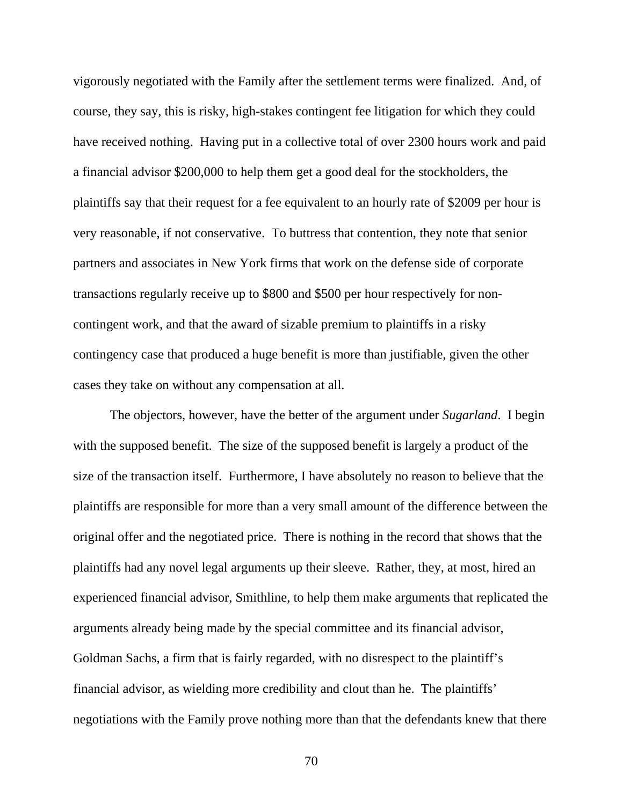vigorously negotiated with the Family after the settlement terms were finalized. And, of course, they say, this is risky, high-stakes contingent fee litigation for which they could have received nothing. Having put in a collective total of over 2300 hours work and paid a financial advisor \$200,000 to help them get a good deal for the stockholders, the plaintiffs say that their request for a fee equivalent to an hourly rate of \$2009 per hour is very reasonable, if not conservative. To buttress that contention, they note that senior partners and associates in New York firms that work on the defense side of corporate transactions regularly receive up to \$800 and \$500 per hour respectively for noncontingent work, and that the award of sizable premium to plaintiffs in a risky contingency case that produced a huge benefit is more than justifiable, given the other cases they take on without any compensation at all.

The objectors, however, have the better of the argument under *Sugarland*. I begin with the supposed benefit. The size of the supposed benefit is largely a product of the size of the transaction itself. Furthermore, I have absolutely no reason to believe that the plaintiffs are responsible for more than a very small amount of the difference between the original offer and the negotiated price. There is nothing in the record that shows that the plaintiffs had any novel legal arguments up their sleeve. Rather, they, at most, hired an experienced financial advisor, Smithline, to help them make arguments that replicated the arguments already being made by the special committee and its financial advisor, Goldman Sachs, a firm that is fairly regarded, with no disrespect to the plaintiff's financial advisor, as wielding more credibility and clout than he. The plaintiffs' negotiations with the Family prove nothing more than that the defendants knew that there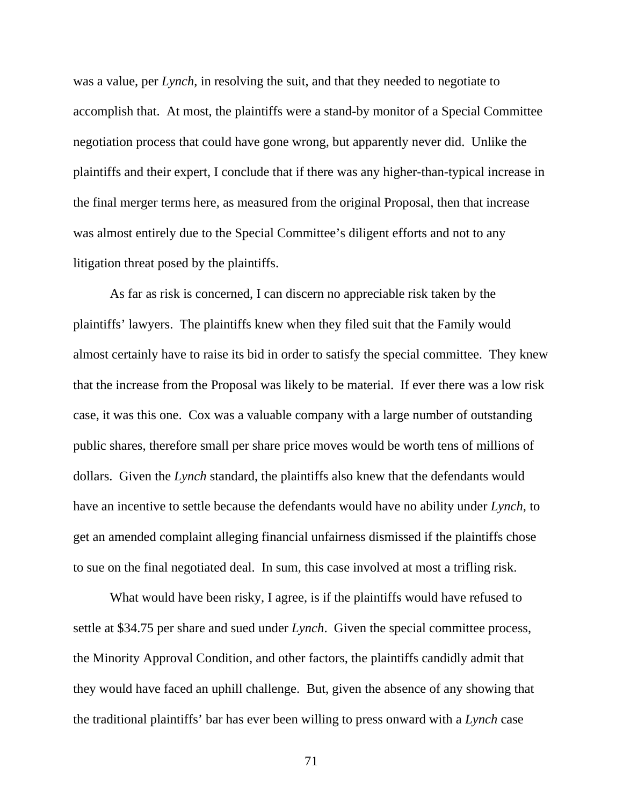was a value, per *Lynch*, in resolving the suit, and that they needed to negotiate to accomplish that. At most, the plaintiffs were a stand-by monitor of a Special Committee negotiation process that could have gone wrong, but apparently never did. Unlike the plaintiffs and their expert, I conclude that if there was any higher-than-typical increase in the final merger terms here, as measured from the original Proposal, then that increase was almost entirely due to the Special Committee's diligent efforts and not to any litigation threat posed by the plaintiffs.

As far as risk is concerned, I can discern no appreciable risk taken by the plaintiffs' lawyers. The plaintiffs knew when they filed suit that the Family would almost certainly have to raise its bid in order to satisfy the special committee. They knew that the increase from the Proposal was likely to be material. If ever there was a low risk case, it was this one. Cox was a valuable company with a large number of outstanding public shares, therefore small per share price moves would be worth tens of millions of dollars. Given the *Lynch* standard, the plaintiffs also knew that the defendants would have an incentive to settle because the defendants would have no ability under *Lynch*, to get an amended complaint alleging financial unfairness dismissed if the plaintiffs chose to sue on the final negotiated deal. In sum, this case involved at most a trifling risk.

What would have been risky, I agree, is if the plaintiffs would have refused to settle at \$34.75 per share and sued under *Lynch*. Given the special committee process, the Minority Approval Condition, and other factors, the plaintiffs candidly admit that they would have faced an uphill challenge. But, given the absence of any showing that the traditional plaintiffs' bar has ever been willing to press onward with a *Lynch* case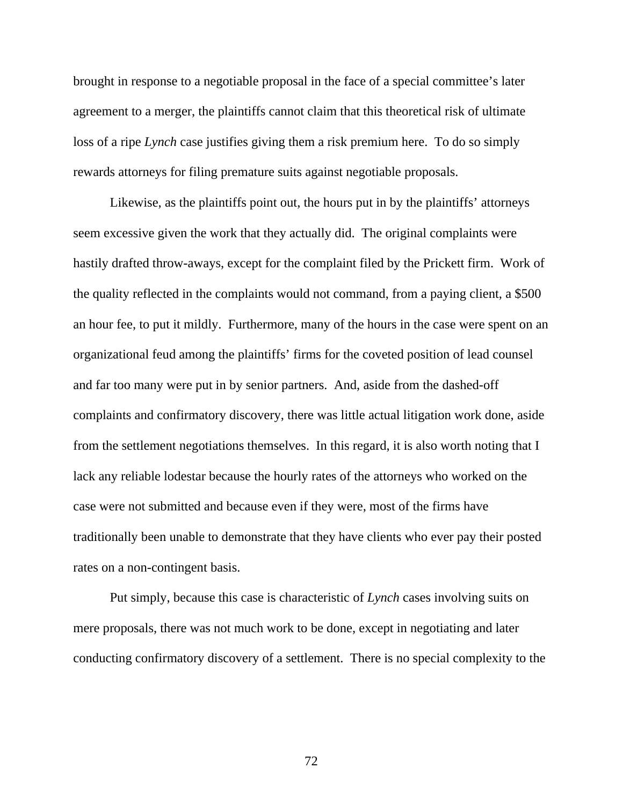brought in response to a negotiable proposal in the face of a special committee's later agreement to a merger, the plaintiffs cannot claim that this theoretical risk of ultimate loss of a ripe *Lynch* case justifies giving them a risk premium here. To do so simply rewards attorneys for filing premature suits against negotiable proposals.

Likewise, as the plaintiffs point out, the hours put in by the plaintiffs' attorneys seem excessive given the work that they actually did. The original complaints were hastily drafted throw-aways, except for the complaint filed by the Prickett firm. Work of the quality reflected in the complaints would not command, from a paying client, a \$500 an hour fee, to put it mildly. Furthermore, many of the hours in the case were spent on an organizational feud among the plaintiffs' firms for the coveted position of lead counsel and far too many were put in by senior partners. And, aside from the dashed-off complaints and confirmatory discovery, there was little actual litigation work done, aside from the settlement negotiations themselves. In this regard, it is also worth noting that I lack any reliable lodestar because the hourly rates of the attorneys who worked on the case were not submitted and because even if they were, most of the firms have traditionally been unable to demonstrate that they have clients who ever pay their posted rates on a non-contingent basis.

Put simply, because this case is characteristic of *Lynch* cases involving suits on mere proposals, there was not much work to be done, except in negotiating and later conducting confirmatory discovery of a settlement. There is no special complexity to the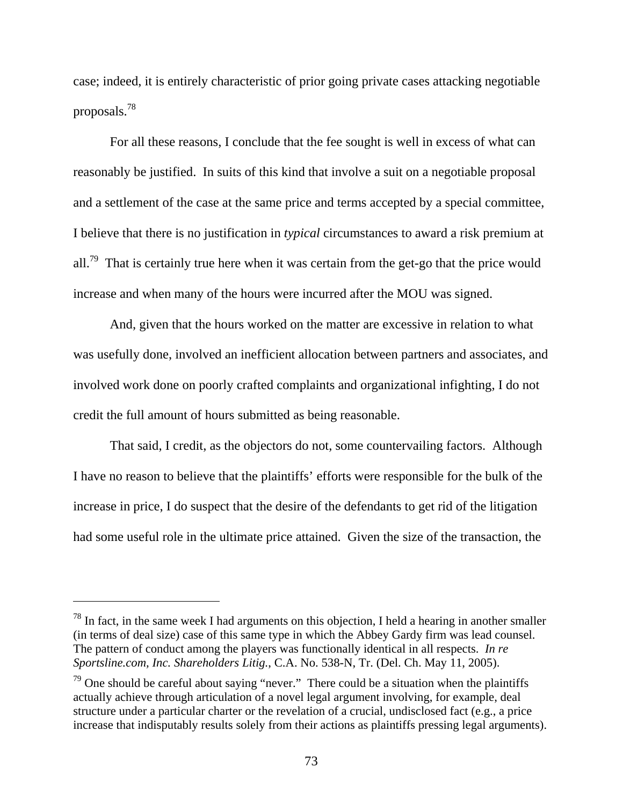case; indeed, it is entirely characteristic of prior going private cases attacking negotiable proposals.<sup>78</sup>

For all these reasons, I conclude that the fee sought is well in excess of what can reasonably be justified. In suits of this kind that involve a suit on a negotiable proposal and a settlement of the case at the same price and terms accepted by a special committee, I believe that there is no justification in *typical* circumstances to award a risk premium at all.<sup>79</sup> That is certainly true here when it was certain from the get-go that the price would increase and when many of the hours were incurred after the MOU was signed.

And, given that the hours worked on the matter are excessive in relation to what was usefully done, involved an inefficient allocation between partners and associates, and involved work done on poorly crafted complaints and organizational infighting, I do not credit the full amount of hours submitted as being reasonable.

That said, I credit, as the objectors do not, some countervailing factors. Although I have no reason to believe that the plaintiffs' efforts were responsible for the bulk of the increase in price, I do suspect that the desire of the defendants to get rid of the litigation had some useful role in the ultimate price attained. Given the size of the transaction, the

 $^{78}$  In fact, in the same week I had arguments on this objection, I held a hearing in another smaller (in terms of deal size) case of this same type in which the Abbey Gardy firm was lead counsel. The pattern of conduct among the players was functionally identical in all respects. *In re Sportsline.com, Inc. Shareholders Litig.*, C.A. No. 538-N, Tr. (Del. Ch. May 11, 2005).

 $79$  One should be careful about saying "never." There could be a situation when the plaintiffs actually achieve through articulation of a novel legal argument involving, for example, deal structure under a particular charter or the revelation of a crucial, undisclosed fact (e.g., a price increase that indisputably results solely from their actions as plaintiffs pressing legal arguments).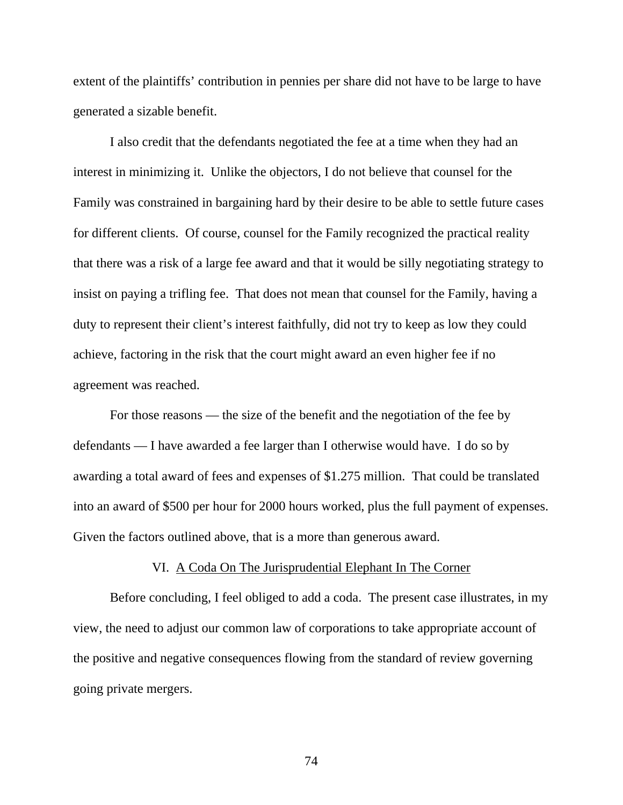extent of the plaintiffs' contribution in pennies per share did not have to be large to have generated a sizable benefit.

I also credit that the defendants negotiated the fee at a time when they had an interest in minimizing it. Unlike the objectors, I do not believe that counsel for the Family was constrained in bargaining hard by their desire to be able to settle future cases for different clients. Of course, counsel for the Family recognized the practical reality that there was a risk of a large fee award and that it would be silly negotiating strategy to insist on paying a trifling fee. That does not mean that counsel for the Family, having a duty to represent their client's interest faithfully, did not try to keep as low they could achieve, factoring in the risk that the court might award an even higher fee if no agreement was reached.

For those reasons — the size of the benefit and the negotiation of the fee by defendants — I have awarded a fee larger than I otherwise would have. I do so by awarding a total award of fees and expenses of \$1.275 million. That could be translated into an award of \$500 per hour for 2000 hours worked, plus the full payment of expenses. Given the factors outlined above, that is a more than generous award.

## VI. A Coda On The Jurisprudential Elephant In The Corner

Before concluding, I feel obliged to add a coda. The present case illustrates, in my view, the need to adjust our common law of corporations to take appropriate account of the positive and negative consequences flowing from the standard of review governing going private mergers.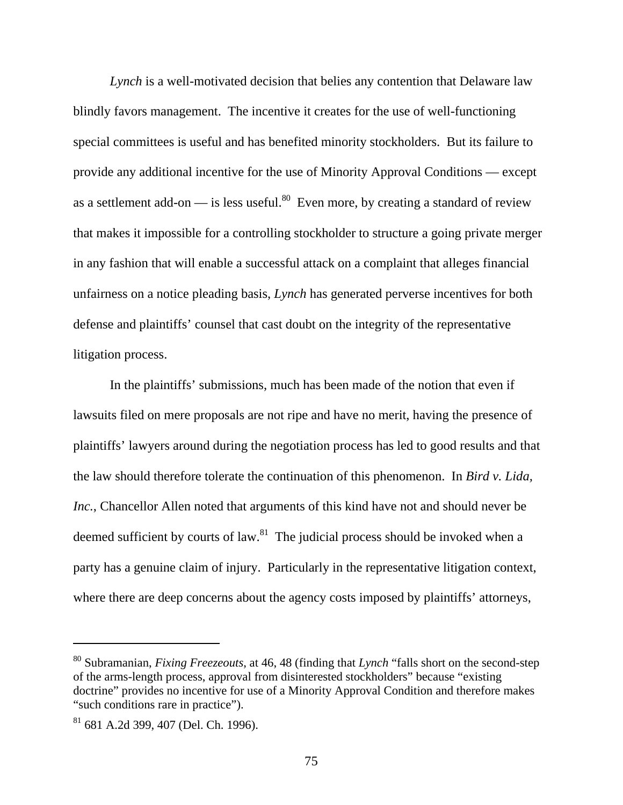*Lynch* is a well-motivated decision that belies any contention that Delaware law blindly favors management. The incentive it creates for the use of well-functioning special committees is useful and has benefited minority stockholders. But its failure to provide any additional incentive for the use of Minority Approval Conditions — except as a settlement add-on — is less useful.<sup>80</sup> Even more, by creating a standard of review that makes it impossible for a controlling stockholder to structure a going private merger in any fashion that will enable a successful attack on a complaint that alleges financial unfairness on a notice pleading basis, *Lynch* has generated perverse incentives for both defense and plaintiffs' counsel that cast doubt on the integrity of the representative litigation process.

In the plaintiffs' submissions, much has been made of the notion that even if lawsuits filed on mere proposals are not ripe and have no merit, having the presence of plaintiffs' lawyers around during the negotiation process has led to good results and that the law should therefore tolerate the continuation of this phenomenon. In *Bird v. Lida, Inc.*, Chancellor Allen noted that arguments of this kind have not and should never be deemed sufficient by courts of law. $81$  The judicial process should be invoked when a party has a genuine claim of injury. Particularly in the representative litigation context, where there are deep concerns about the agency costs imposed by plaintiffs' attorneys,

<sup>80</sup> Subramanian, *Fixing Freezeouts*, at 46, 48 (finding that *Lynch* "falls short on the second-step of the arms-length process, approval from disinterested stockholders" because "existing doctrine" provides no incentive for use of a Minority Approval Condition and therefore makes "such conditions rare in practice").

 $81$  681 A.2d 399, 407 (Del. Ch. 1996).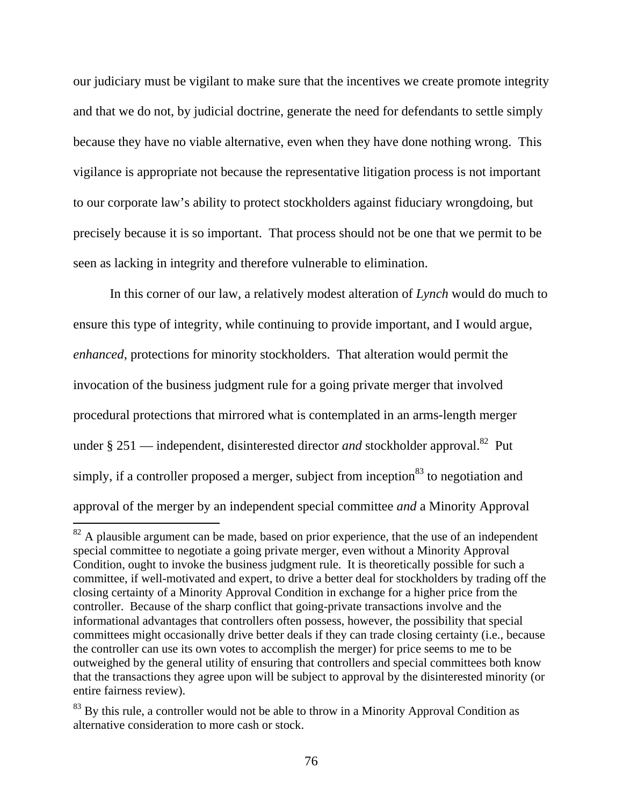our judiciary must be vigilant to make sure that the incentives we create promote integrity and that we do not, by judicial doctrine, generate the need for defendants to settle simply because they have no viable alternative, even when they have done nothing wrong. This vigilance is appropriate not because the representative litigation process is not important to our corporate law's ability to protect stockholders against fiduciary wrongdoing, but precisely because it is so important. That process should not be one that we permit to be seen as lacking in integrity and therefore vulnerable to elimination.

In this corner of our law, a relatively modest alteration of *Lynch* would do much to ensure this type of integrity, while continuing to provide important, and I would argue, *enhanced*, protections for minority stockholders. That alteration would permit the invocation of the business judgment rule for a going private merger that involved procedural protections that mirrored what is contemplated in an arms-length merger under § 251 — independent, disinterested director *and* stockholder approval.<sup>82</sup> Put simply, if a controller proposed a merger, subject from inception<sup>83</sup> to negotiation and approval of the merger by an independent special committee *and* a Minority Approval

 $82$  A plausible argument can be made, based on prior experience, that the use of an independent special committee to negotiate a going private merger, even without a Minority Approval Condition, ought to invoke the business judgment rule. It is theoretically possible for such a committee, if well-motivated and expert, to drive a better deal for stockholders by trading off the closing certainty of a Minority Approval Condition in exchange for a higher price from the controller. Because of the sharp conflict that going-private transactions involve and the informational advantages that controllers often possess, however, the possibility that special committees might occasionally drive better deals if they can trade closing certainty (i.e., because the controller can use its own votes to accomplish the merger) for price seems to me to be outweighed by the general utility of ensuring that controllers and special committees both know that the transactions they agree upon will be subject to approval by the disinterested minority (or entire fairness review).

 $83$  By this rule, a controller would not be able to throw in a Minority Approval Condition as alternative consideration to more cash or stock.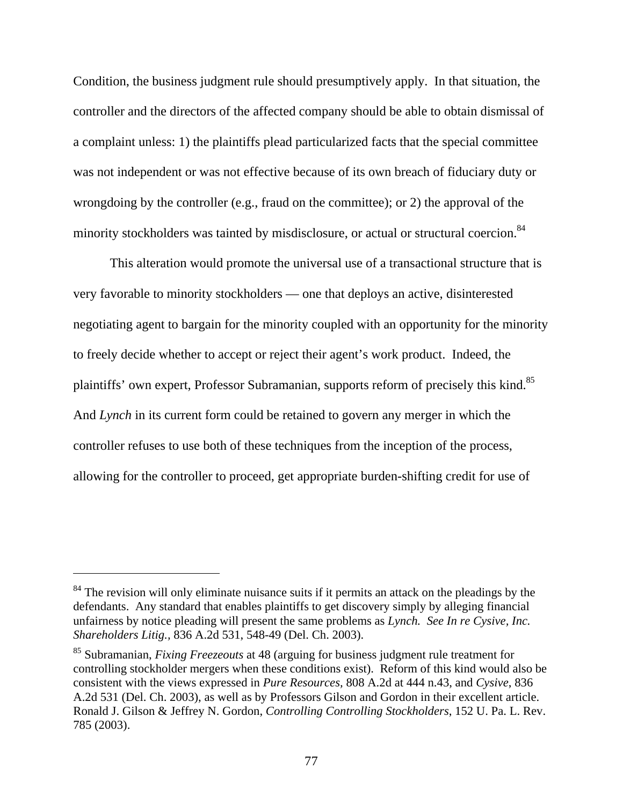Condition, the business judgment rule should presumptively apply. In that situation, the controller and the directors of the affected company should be able to obtain dismissal of a complaint unless: 1) the plaintiffs plead particularized facts that the special committee was not independent or was not effective because of its own breach of fiduciary duty or wrongdoing by the controller (e.g., fraud on the committee); or 2) the approval of the minority stockholders was tainted by misdisclosure, or actual or structural coercion.<sup>84</sup>

This alteration would promote the universal use of a transactional structure that is very favorable to minority stockholders — one that deploys an active, disinterested negotiating agent to bargain for the minority coupled with an opportunity for the minority to freely decide whether to accept or reject their agent's work product. Indeed, the plaintiffs' own expert, Professor Subramanian, supports reform of precisely this kind.<sup>85</sup> And *Lynch* in its current form could be retained to govern any merger in which the controller refuses to use both of these techniques from the inception of the process, allowing for the controller to proceed, get appropriate burden-shifting credit for use of

<sup>&</sup>lt;sup>84</sup> The revision will only eliminate nuisance suits if it permits an attack on the pleadings by the defendants. Any standard that enables plaintiffs to get discovery simply by alleging financial unfairness by notice pleading will present the same problems as *Lynch. See In re Cysive, Inc. Shareholders Litig.,* 836 A.2d 531, 548-49 (Del. Ch. 2003).

<sup>85</sup> Subramanian, *Fixing Freezeouts* at 48 (arguing for business judgment rule treatment for controlling stockholder mergers when these conditions exist). Reform of this kind would also be consistent with the views expressed in *Pure Resources,* 808 A.2d at 444 n.43, and *Cysive*, 836 A.2d 531 (Del. Ch. 2003), as well as by Professors Gilson and Gordon in their excellent article. Ronald J. Gilson & Jeffrey N. Gordon, *Controlling Controlling Stockholders*, 152 U. Pa. L. Rev. 785 (2003).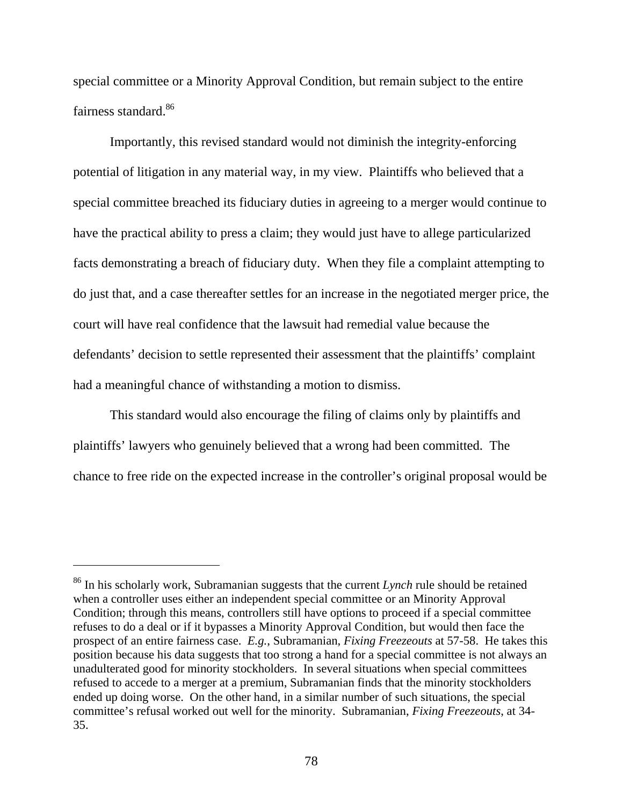special committee or a Minority Approval Condition, but remain subject to the entire fairness standard.<sup>86</sup>

Importantly, this revised standard would not diminish the integrity-enforcing potential of litigation in any material way, in my view. Plaintiffs who believed that a special committee breached its fiduciary duties in agreeing to a merger would continue to have the practical ability to press a claim; they would just have to allege particularized facts demonstrating a breach of fiduciary duty. When they file a complaint attempting to do just that, and a case thereafter settles for an increase in the negotiated merger price, the court will have real confidence that the lawsuit had remedial value because the defendants' decision to settle represented their assessment that the plaintiffs' complaint had a meaningful chance of withstanding a motion to dismiss.

This standard would also encourage the filing of claims only by plaintiffs and plaintiffs' lawyers who genuinely believed that a wrong had been committed. The chance to free ride on the expected increase in the controller's original proposal would be

<sup>86</sup> In his scholarly work, Subramanian suggests that the current *Lynch* rule should be retained when a controller uses either an independent special committee or an Minority Approval Condition; through this means, controllers still have options to proceed if a special committee refuses to do a deal or if it bypasses a Minority Approval Condition, but would then face the prospect of an entire fairness case. *E.g.*, Subramanian, *Fixing Freezeouts* at 57-58. He takes this position because his data suggests that too strong a hand for a special committee is not always an unadulterated good for minority stockholders. In several situations when special committees refused to accede to a merger at a premium, Subramanian finds that the minority stockholders ended up doing worse. On the other hand, in a similar number of such situations, the special committee's refusal worked out well for the minority. Subramanian, *Fixing Freezeouts*, at 34- 35.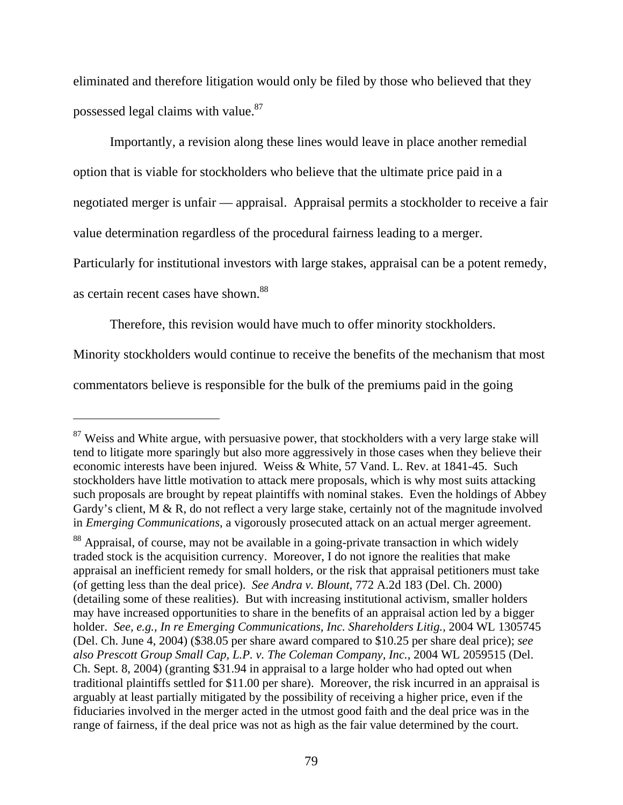eliminated and therefore litigation would only be filed by those who believed that they possessed legal claims with value.<sup>87</sup>

Importantly, a revision along these lines would leave in place another remedial option that is viable for stockholders who believe that the ultimate price paid in a negotiated merger is unfair — appraisal. Appraisal permits a stockholder to receive a fair value determination regardless of the procedural fairness leading to a merger. Particularly for institutional investors with large stakes, appraisal can be a potent remedy,

as certain recent cases have shown.88

Therefore, this revision would have much to offer minority stockholders.

Minority stockholders would continue to receive the benefits of the mechanism that most

commentators believe is responsible for the bulk of the premiums paid in the going

 $87$  Weiss and White argue, with persuasive power, that stockholders with a very large stake will tend to litigate more sparingly but also more aggressively in those cases when they believe their economic interests have been injured. Weiss & White, 57 Vand. L. Rev. at 1841-45. Such stockholders have little motivation to attack mere proposals, which is why most suits attacking such proposals are brought by repeat plaintiffs with nominal stakes. Even the holdings of Abbey Gardy's client, M & R, do not reflect a very large stake, certainly not of the magnitude involved in *Emerging Communications,* a vigorously prosecuted attack on an actual merger agreement.

<sup>&</sup>lt;sup>88</sup> Appraisal, of course, may not be available in a going-private transaction in which widely traded stock is the acquisition currency. Moreover, I do not ignore the realities that make appraisal an inefficient remedy for small holders, or the risk that appraisal petitioners must take (of getting less than the deal price). *See Andra v. Blount*, 772 A.2d 183 (Del. Ch. 2000) (detailing some of these realities). But with increasing institutional activism, smaller holders may have increased opportunities to share in the benefits of an appraisal action led by a bigger holder. *See, e.g., In re Emerging Communications, Inc. Shareholders Litig.,* 2004 WL 1305745 (Del. Ch. June 4, 2004) (\$38.05 per share award compared to \$10.25 per share deal price); *see also Prescott Group Small Cap, L.P. v. The Coleman Company, Inc.,* 2004 WL 2059515 (Del. Ch. Sept. 8, 2004) (granting \$31.94 in appraisal to a large holder who had opted out when traditional plaintiffs settled for \$11.00 per share). Moreover, the risk incurred in an appraisal is arguably at least partially mitigated by the possibility of receiving a higher price, even if the fiduciaries involved in the merger acted in the utmost good faith and the deal price was in the range of fairness, if the deal price was not as high as the fair value determined by the court.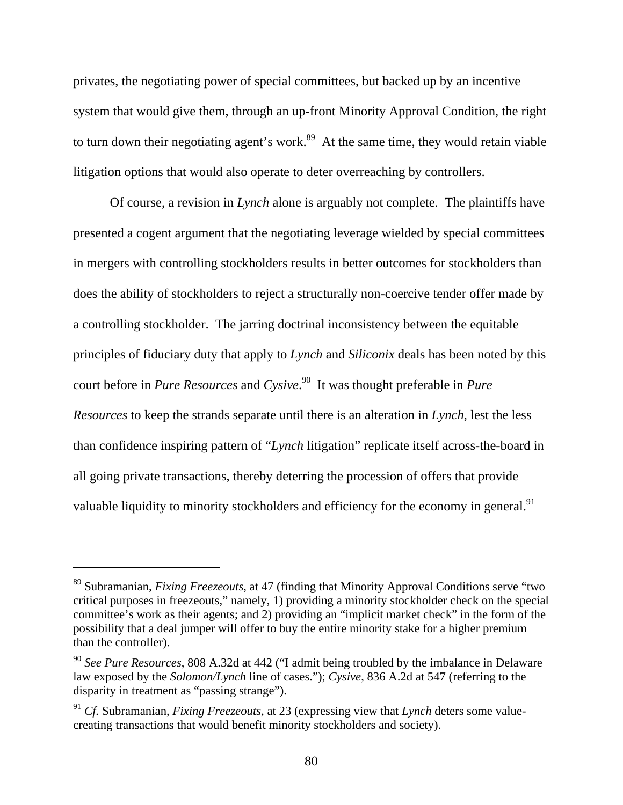privates, the negotiating power of special committees, but backed up by an incentive system that would give them, through an up-front Minority Approval Condition, the right to turn down their negotiating agent's work.<sup>89</sup> At the same time, they would retain viable litigation options that would also operate to deter overreaching by controllers.

Of course, a revision in *Lynch* alone is arguably not complete. The plaintiffs have presented a cogent argument that the negotiating leverage wielded by special committees in mergers with controlling stockholders results in better outcomes for stockholders than does the ability of stockholders to reject a structurally non-coercive tender offer made by a controlling stockholder. The jarring doctrinal inconsistency between the equitable principles of fiduciary duty that apply to *Lynch* and *Siliconix* deals has been noted by this court before in *Pure Resources* and *Cysive*. 90 It was thought preferable in *Pure Resources* to keep the strands separate until there is an alteration in *Lynch*, lest the less than confidence inspiring pattern of "*Lynch* litigation" replicate itself across-the-board in all going private transactions, thereby deterring the procession of offers that provide valuable liquidity to minority stockholders and efficiency for the economy in general.<sup>91</sup>

<sup>89</sup> Subramanian, *Fixing Freezeouts*, at 47 (finding that Minority Approval Conditions serve "two critical purposes in freezeouts," namely, 1) providing a minority stockholder check on the special committee's work as their agents; and 2) providing an "implicit market check" in the form of the possibility that a deal jumper will offer to buy the entire minority stake for a higher premium than the controller).

<sup>90</sup> *See Pure Resources*, 808 A.32d at 442 ("I admit being troubled by the imbalance in Delaware law exposed by the *Solomon/Lynch* line of cases."); *Cysive*, 836 A.2d at 547 (referring to the disparity in treatment as "passing strange").

<sup>91</sup> *Cf.* Subramanian, *Fixing Freezeouts*, at 23 (expressing view that *Lynch* deters some valuecreating transactions that would benefit minority stockholders and society).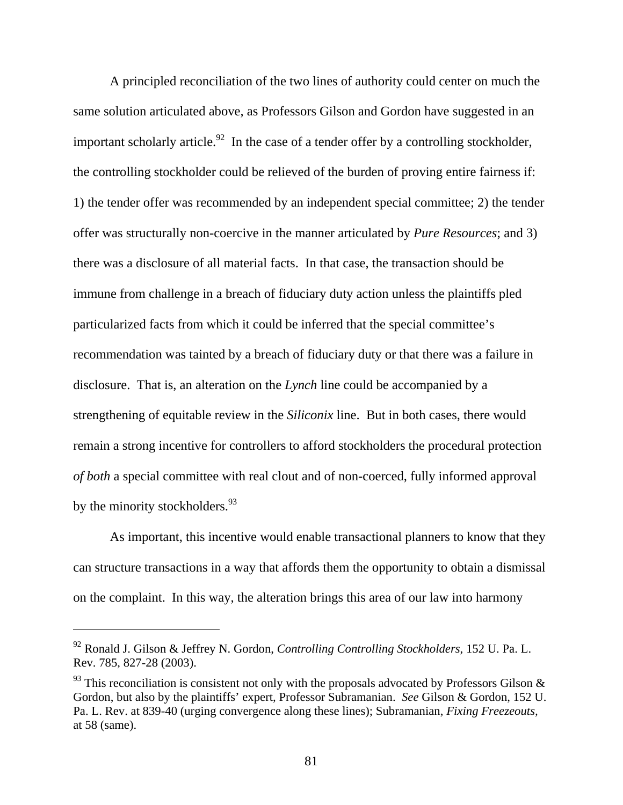A principled reconciliation of the two lines of authority could center on much the same solution articulated above, as Professors Gilson and Gordon have suggested in an important scholarly article.<sup>92</sup> In the case of a tender offer by a controlling stockholder, the controlling stockholder could be relieved of the burden of proving entire fairness if: 1) the tender offer was recommended by an independent special committee; 2) the tender offer was structurally non-coercive in the manner articulated by *Pure Resources*; and 3) there was a disclosure of all material facts. In that case, the transaction should be immune from challenge in a breach of fiduciary duty action unless the plaintiffs pled particularized facts from which it could be inferred that the special committee's recommendation was tainted by a breach of fiduciary duty or that there was a failure in disclosure. That is, an alteration on the *Lynch* line could be accompanied by a strengthening of equitable review in the *Siliconix* line. But in both cases, there would remain a strong incentive for controllers to afford stockholders the procedural protection *of both* a special committee with real clout and of non-coerced, fully informed approval by the minority stockholders.<sup>93</sup>

As important, this incentive would enable transactional planners to know that they can structure transactions in a way that affords them the opportunity to obtain a dismissal on the complaint. In this way, the alteration brings this area of our law into harmony

<sup>92</sup> Ronald J. Gilson & Jeffrey N. Gordon, *Controlling Controlling Stockholders*, 152 U. Pa. L. Rev. 785, 827-28 (2003).

 $93$  This reconciliation is consistent not only with the proposals advocated by Professors Gilson  $\&$ Gordon, but also by the plaintiffs' expert, Professor Subramanian. *See* Gilson & Gordon, 152 U. Pa. L. Rev. at 839-40 (urging convergence along these lines); Subramanian, *Fixing Freezeouts,*  at 58 (same).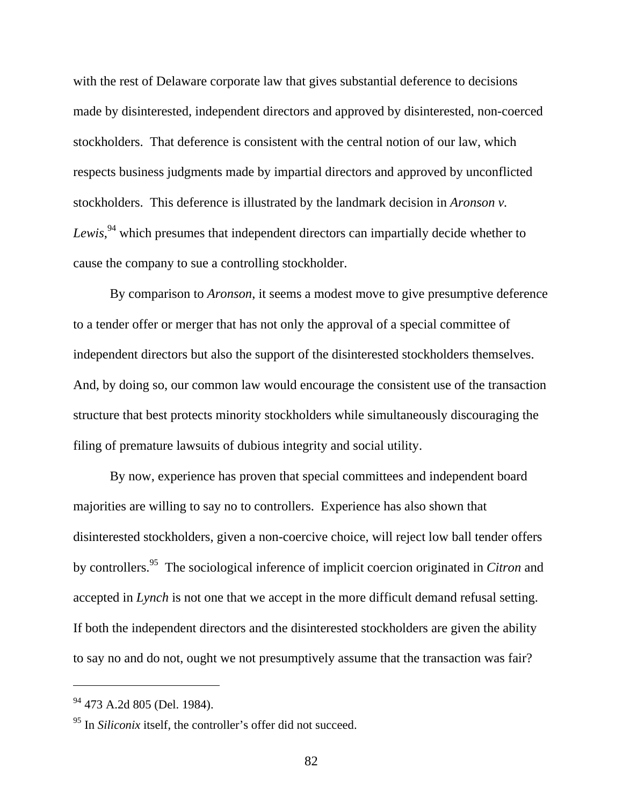with the rest of Delaware corporate law that gives substantial deference to decisions made by disinterested, independent directors and approved by disinterested, non-coerced stockholders. That deference is consistent with the central notion of our law, which respects business judgments made by impartial directors and approved by unconflicted stockholders. This deference is illustrated by the landmark decision in *Aronson v.*  Lewis,<sup>94</sup> which presumes that independent directors can impartially decide whether to cause the company to sue a controlling stockholder.

By comparison to *Aronson*, it seems a modest move to give presumptive deference to a tender offer or merger that has not only the approval of a special committee of independent directors but also the support of the disinterested stockholders themselves. And, by doing so, our common law would encourage the consistent use of the transaction structure that best protects minority stockholders while simultaneously discouraging the filing of premature lawsuits of dubious integrity and social utility.

 By now, experience has proven that special committees and independent board majorities are willing to say no to controllers. Experience has also shown that disinterested stockholders, given a non-coercive choice, will reject low ball tender offers by controllers.95 The sociological inference of implicit coercion originated in *Citron* and accepted in *Lynch* is not one that we accept in the more difficult demand refusal setting. If both the independent directors and the disinterested stockholders are given the ability to say no and do not, ought we not presumptively assume that the transaction was fair?

 $94$  473 A.2d 805 (Del. 1984).

<sup>&</sup>lt;sup>95</sup> In *Siliconix* itself, the controller's offer did not succeed.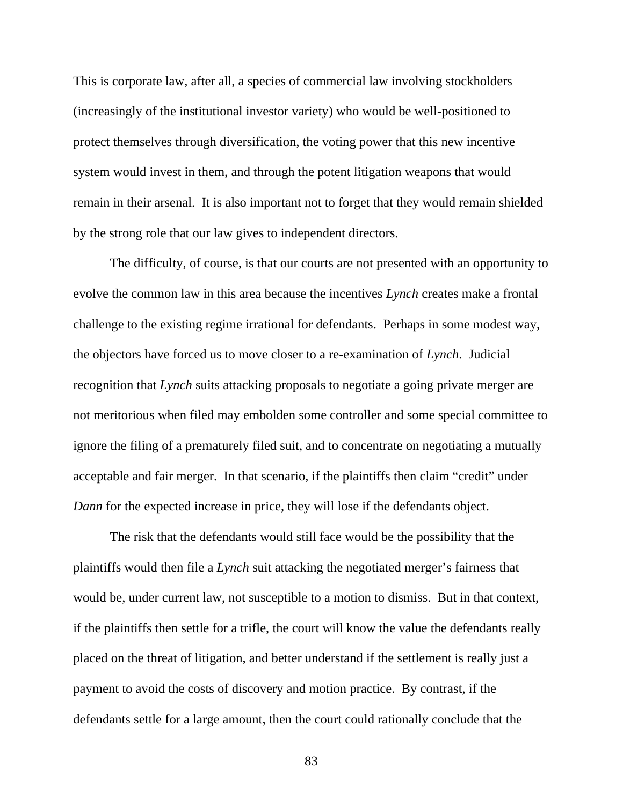This is corporate law, after all, a species of commercial law involving stockholders (increasingly of the institutional investor variety) who would be well-positioned to protect themselves through diversification, the voting power that this new incentive system would invest in them, and through the potent litigation weapons that would remain in their arsenal. It is also important not to forget that they would remain shielded by the strong role that our law gives to independent directors.

 The difficulty, of course, is that our courts are not presented with an opportunity to evolve the common law in this area because the incentives *Lynch* creates make a frontal challenge to the existing regime irrational for defendants. Perhaps in some modest way, the objectors have forced us to move closer to a re-examination of *Lynch*. Judicial recognition that *Lynch* suits attacking proposals to negotiate a going private merger are not meritorious when filed may embolden some controller and some special committee to ignore the filing of a prematurely filed suit, and to concentrate on negotiating a mutually acceptable and fair merger. In that scenario, if the plaintiffs then claim "credit" under *Dann* for the expected increase in price, they will lose if the defendants object.

The risk that the defendants would still face would be the possibility that the plaintiffs would then file a *Lynch* suit attacking the negotiated merger's fairness that would be, under current law, not susceptible to a motion to dismiss. But in that context, if the plaintiffs then settle for a trifle, the court will know the value the defendants really placed on the threat of litigation, and better understand if the settlement is really just a payment to avoid the costs of discovery and motion practice. By contrast, if the defendants settle for a large amount, then the court could rationally conclude that the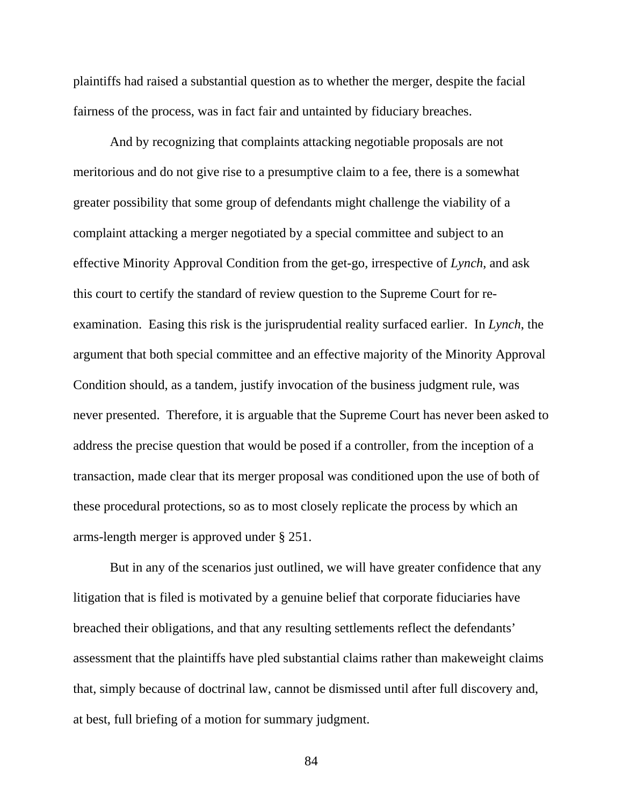plaintiffs had raised a substantial question as to whether the merger, despite the facial fairness of the process, was in fact fair and untainted by fiduciary breaches.

 And by recognizing that complaints attacking negotiable proposals are not meritorious and do not give rise to a presumptive claim to a fee, there is a somewhat greater possibility that some group of defendants might challenge the viability of a complaint attacking a merger negotiated by a special committee and subject to an effective Minority Approval Condition from the get-go, irrespective of *Lynch*, and ask this court to certify the standard of review question to the Supreme Court for reexamination. Easing this risk is the jurisprudential reality surfaced earlier. In *Lynch*, the argument that both special committee and an effective majority of the Minority Approval Condition should, as a tandem, justify invocation of the business judgment rule, was never presented. Therefore, it is arguable that the Supreme Court has never been asked to address the precise question that would be posed if a controller, from the inception of a transaction, made clear that its merger proposal was conditioned upon the use of both of these procedural protections, so as to most closely replicate the process by which an arms-length merger is approved under § 251.

 But in any of the scenarios just outlined, we will have greater confidence that any litigation that is filed is motivated by a genuine belief that corporate fiduciaries have breached their obligations, and that any resulting settlements reflect the defendants' assessment that the plaintiffs have pled substantial claims rather than makeweight claims that, simply because of doctrinal law, cannot be dismissed until after full discovery and, at best, full briefing of a motion for summary judgment.